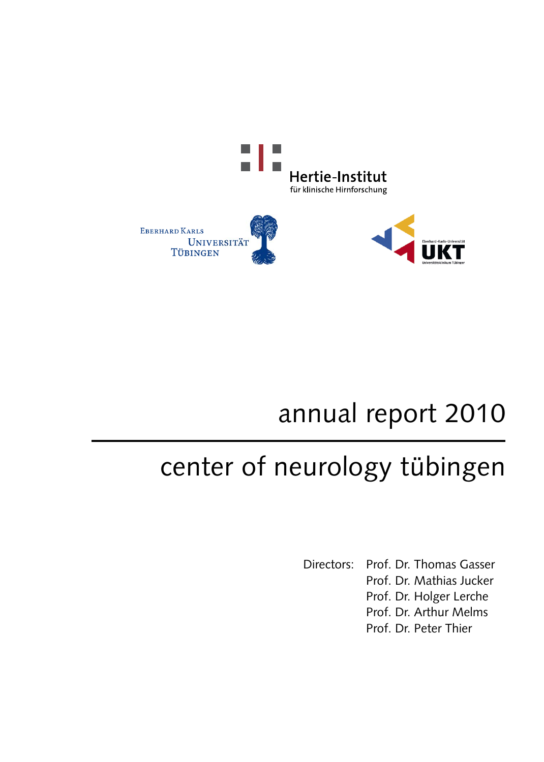

# annual report 2010

# center of neurology tübingen

Directors: Prof. Dr. Thomas Gasser Prof. Dr. Mathias Jucker Prof. Dr. Holger Lerche Prof. Dr. Arthur Melms Prof. Dr. Peter Thier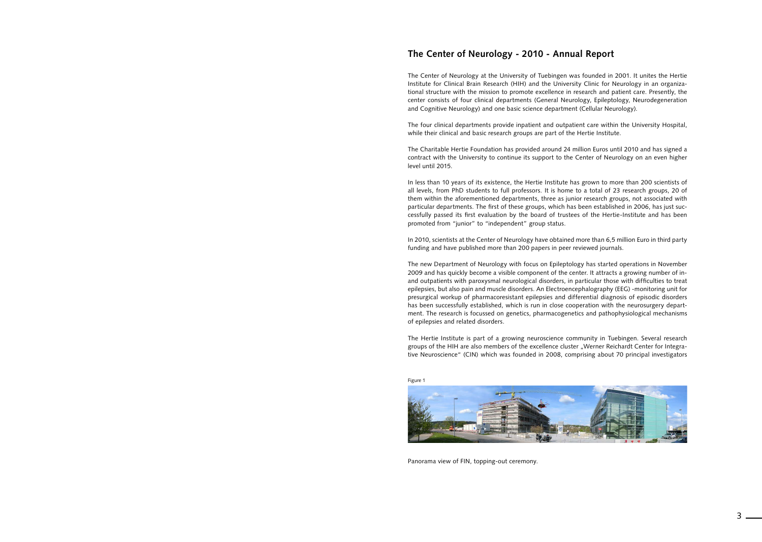### **The Center of Neurology - 2010 - Annual Report**



Panorama view of FIN, topping-out ceremony.

The Center of Neurology at the University of Tuebingen was founded in 2001. It unites the Hertie Institute for Clinical Brain Research (HIH) and the University Clinic for Neurology in an organizational structure with the mission to promote excellence in research and patient care. Presently, the center consists of four clinical departments (General Neurology, Epileptology, Neurodegeneration and Cognitive Neurology) and one basic science department (Cellular Neurology).

The four clinical departments provide inpatient and outpatient care within the University Hospital, while their clinical and basic research groups are part of the Hertie Institute.

The Charitable Hertie Foundation has provided around 24 million Euros until 2010 and has signed a contract with the University to continue its support to the Center of Neurology on an even higher level until 2015.

In less than 10 years of its existence, the Hertie Institute has grown to more than 200 scientists of all levels, from PhD students to full professors. It is home to a total of 23 research groups, 20 of them within the aforementioned departments, three as junior research groups, not associated with particular departments. The first of these groups, which has been established in 2006, has just successfully passed its first evaluation by the board of trustees of the Hertie-Institute and has been promoted from "junior" to "independent" group status.

In 2010, scientists at the Center of Neurology have obtained more than 6,5 million Euro in third party funding and have published more than 200 papers in peer reviewed journals.

The new Department of Neurology with focus on Epileptology has started operations in November 2009 and has quickly become a visible component of the center. It attracts a growing number of inand outpatients with paroxysmal neurological disorders, in particular those with difficulties to treat epilepsies, but also pain and muscle disorders. An Electroencephalography (EEG) -monitoring unit for presurgical workup of pharmacoresistant epilepsies and differential diagnosis of episodic disorders has been successfully established, which is run in close cooperation with the neurosurgery department. The research is focussed on genetics, pharmacogenetics and pathophysiological mechanisms of epilepsies and related disorders.

The Hertie Institute is part of a growing neuroscience community in Tuebingen. Several research groups of the HIH are also members of the excellence cluster "Werner Reichardt Center for Integrative Neuroscience" (CIN) which was founded in 2008, comprising about 70 principal investigators

Figure 1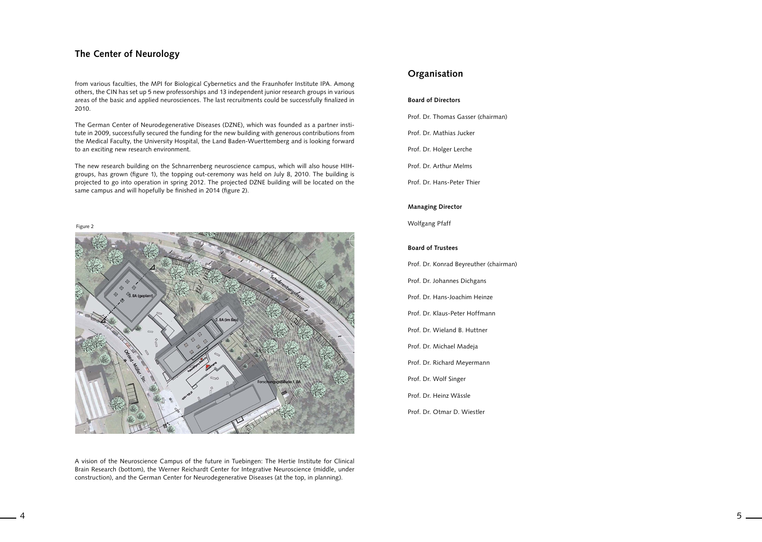### **The Center of Neurology**

from various faculties, the MPI for Biological Cybernetics and the Fraunhofer Institute IPA. Among others, the CIN has set up 5 new professorships and 13 independent junior research groups in various areas of the basic and applied neurosciences. The last recruitments could be successfully finalized in 2010.

The German Center of Neurodegenerative Diseases (DZNE), which was founded as a partner institute in 2009, successfully secured the funding for the new building with generous contributions from the Medical Faculty, the University Hospital, the Land Baden-Wuerttemberg and is looking forward to an exciting new research environment.

The new research building on the Schnarrenberg neuroscience campus, which will also house HIHgroups, has grown (figure 1), the topping out-ceremony was held on July 8, 2010. The building is projected to go into operation in spring 2012. The projected DZNE building will be located on the same campus and will hopefully be finished in 2014 (figure 2).

A vision of the Neuroscience Campus of the future in Tuebingen: The Hertie Institute for Clinical Brain Research (bottom), the Werner Reichardt Center for Integrative Neuroscience (middle, under construction), and the German Center for Neurodegenerative Diseases (at the top, in planning).

Figure 2



## **Organisation**

### **Board of Directors**

Prof. Dr. Thomas Gasser (chairman)

Prof. Dr. Mathias Jucker

Prof. Dr. Holger Lerche

Prof. Dr. Arthur Melms

Prof. Dr. Hans-Peter Thier

### **Managing Director**

Wolfgang Pfaff

### **Board of Trustees**

Prof. Dr. Konrad Beyreuther (chairman) Prof. Dr. Johannes Dichgans Prof. Dr. Hans-Joachim Heinze Prof. Dr. Klaus-Peter Hoffmann Prof. Dr. Wieland B. Huttner Prof. Dr. Michael Madeja Prof. Dr. Richard Meyermann Prof. Dr. Wolf Singer Prof. Dr. Heinz Wässle Prof. Dr. Otmar D. Wiestler

4 5 5 and 20  $\sigma$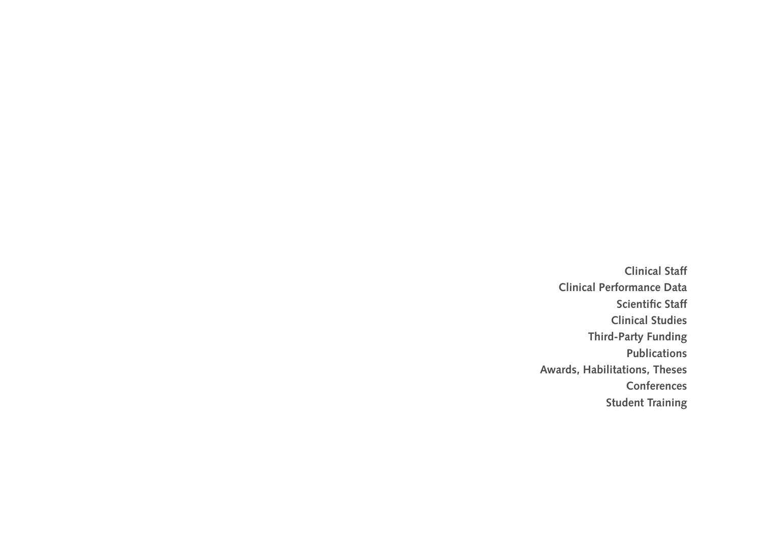**Clinical Staff Clinical Performance Data Scientific Staff Clinical Studies Third-Party Funding Publications Awards, Habilitations, Theses Conferences Student Training**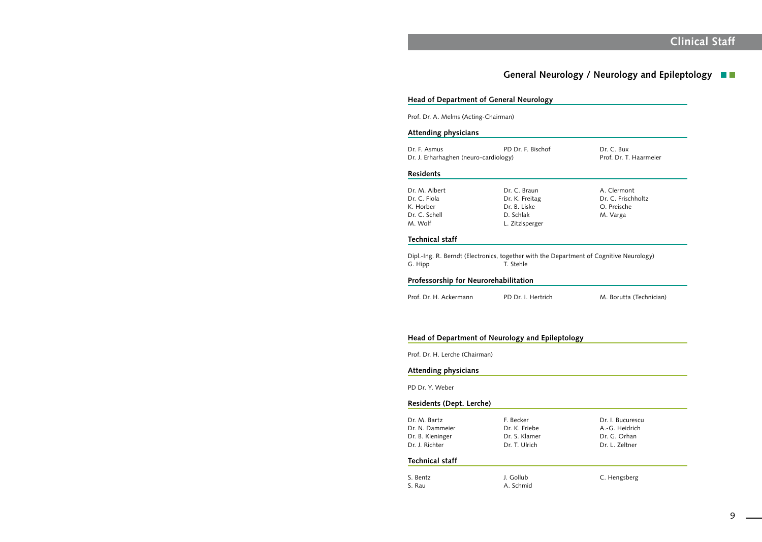# **Clinical Staff**

Dr. C. Bux gy) Prof. Dr. T. Haarmeier

> A. Clermont Dr. C. Frischholtz O. Preische M. Varga

## **General Neurology / Neurology and Epileptology**

### **Head of Department of General Neurology**

Prof. Dr. A. Melms (Acting-Chairman)

### **Attending physicians**

| Dr. F. Asmus                          | PD Dr. F. Bischof |
|---------------------------------------|-------------------|
| Dr. J. Erharhaghen (neuro-cardiology) |                   |

Dipl.-Ing. R. Berndt (Electronics, together with the Department of Cognitive Neurology) G. Hipp T. Stehle

### **Residents**

| Dr. M. Albert | Dr. C. Braun    |
|---------------|-----------------|
| Dr. C. Fiola  | Dr. K. Freitag  |
| K. Horber     | Dr. B. Liske    |
| Dr. C. Schell | D. Schlak       |
| M. Wolf       | L. Zitzlsperger |

### **Technical staff**

### **Professorship for Neurorehabilitation**

Prof. Dr. H. Ackermann PD Dr. I. Hertrich M. Borutta (Technician)

### **Head of Department of Neurology and Epileptology**

Prof. Dr. H. Lerche (Chairman)

## **Attending physicians**

PD Dr. Y. Weber

### **Residents (Dept. Lerche)**

| F. Becker     | Dr. I. Bucurescu |
|---------------|------------------|
| Dr. K. Friebe | A.-G. Heidrich   |
| Dr. S. Klamer | Dr. G. Orhan     |
| Dr. T. Ulrich | Dr. L. Zeltner   |
|               |                  |

### **Technical staff**

| S. Bentz | J. Gollub | C. Hengsberg |
|----------|-----------|--------------|
| S. Rau   | A. Schmid |              |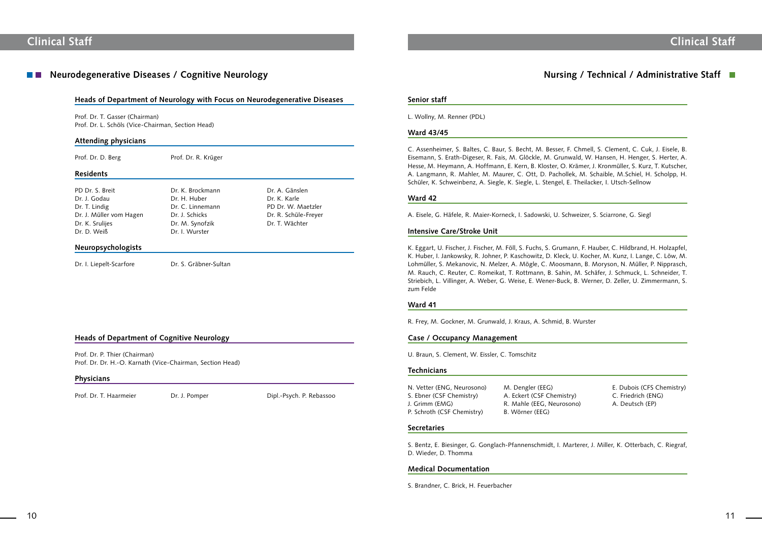## Neurodegenerative Diseases / Cognitive Neurology **Nursing / Technical / Administrative Staff**

E. Dubois (CFS Chemistry) (ENG) C. Friedrich (ENG)

J. Grimm (Grimm A. Deutsch (EP)

### **Senior staff**

L. Wollny, M. Renner (PDL)

### **Ward 43/45**

C. Assenheimer, S. Baltes, C. Baur, S. Becht, M. Besser, F. Chmell, S. Clement, C. Cuk, J. Eisele, B. Eisemann, S. Erath-Digeser, R. Fais, M. Glöckle, M. Grunwald, W. Hansen, H. Henger, S. Herter, A. Hesse, M. Heymann, A. Hoffmann, E. Kern, B. Kloster, O. Krämer, J. Kronmüller, S. Kurz, T. Kutscher, A. Langmann, R. Mahler, M. Maurer, C. Ott, D. Pachollek, M. Schaible, M.Schiel, H. Scholpp, H. Schüler, K. Schweinbenz, A. Siegle, K. Siegle, L. Stengel, E. Theilacker, I. Utsch-Sellnow

### **Ward 42**

A. Eisele, G. Häfele, R. Maier-Korneck, I. Sadowski, U. Schweizer, S. Sciarrone, G. Siegl

### **Intensive Care/Stroke Unit**

K. Eggart, U. Fischer, J. Fischer, M. Föll, S. Fuchs, S. Grumann, F. Hauber, C. Hildbrand, H. Holzapfel, K. Huber, I. Jankowsky, R. Johner, P. Kaschowitz, D. Kleck, U. Kocher, M. Kunz, I. Lange, C. Löw, M. Lohmüller, S. Mekanovic, N. Melzer, A. Mögle, C. Moosmann, B. Moryson, N. Müller, P. Nipprasch, M. Rauch, C. Reuter, C. Romeikat, T. Rottmann, B. Sahin, M. Schäfer, J. Schmuck, L. Schneider, T. Striebich, L. Villinger, A. Weber, G. Weise, E. Wener-Buck, B. Werner, D. Zeller, U. Zimmermann, S. zum Felde

- PD Dr. S. Breit Dr. K. Brockmann Dr. A. Gänslen Dr. J. Godau Dr. H. Huber Dr. K. Karle Dr. T. Lindig The Dr. C. Linnemann PD Dr. W. Maetzler Dr. J. Müller vom Hagen Dr. J. Schicks Dr. R. Schüle-Freyer Dr. K. Srulijes Dr. M. Synofzik Dr. T. Wächter Dr. D. Weiß Dr. I. Wurster
- 

### **Ward 41**

R. Frey, M. Gockner, M. Grunwald, J. Kraus, A. Schmid, B. Wurster

### **Case / Occupancy Management**

U. Braun, S. Clement, W. Eissler, C. Tomschitz

### **Technicians**

| M. Dengler (EEG)       |
|------------------------|
| A. Eckert (CSF Chemist |
| R. Mahle (EEG, Neuros  |
| B. Wörner (EEG)        |
|                        |

### **Secretaries**

S. Bentz, E. Biesinger, G. Gonglach-Pfannenschmidt, I. Marterer, J. Miller, K. Otterbach, C. Riegraf, D. Wieder, D. Thomma

### **Medical Documentation**

S. Brandner, C. Brick, H. Feuerbacher

### **Heads of Department of Neurology with Focus on Neurodegenerative Diseases**

Prof. Dr. T. Gasser (Chairman) Prof. Dr. L. Schöls (Vice-Chairman, Section Head)

### **Attending physicians**

Prof. Dr. D. Berg Prof. Dr. R. Krüger

### **Residents**

### **Neuropsychologists**

Dr. I. Liepelt-Scarfore Dr. S. Gräbner-Sultan

### **Heads of Department of Cognitive Neurology**

Prof. Dr. P. Thier (Chairman) Prof. Dr. Dr. H.-O. Karnath (Vice-Chairman, Section Head)

### **Physicians**

Prof. Dr. T. Haarmeier Dr. J. Pomper Dipl.-Psych. P. Rebassoo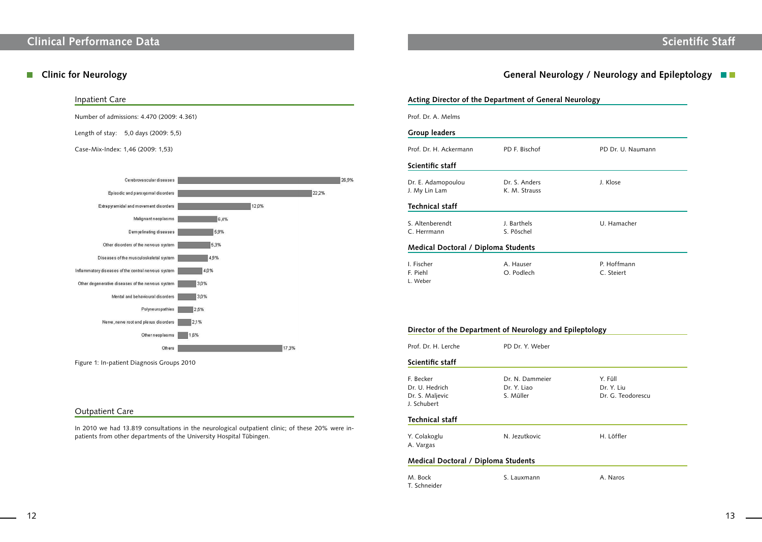# **Scientific Staff**

PD Dr. U. Naumann

U. Hamacher

P. Hoffmann C. Steiert

Dr. Y. Liu Dr. G. Teodorescu

H. Löffler

### Inpatient Care

Number of admissions: 4.470 (2009: 4.361)

Length of stay: 5,0 days (2009: 5,5)

Case-Mix-Index: 1,46 (2009: 1,53)



Figure 1: In-patient Diagnosis Groups 2010

### Outpatient Care

In 2010 we had 13.819 consultations in the neurological outpatient clinic; of these 20% were inpatients from other departments of the University Hospital Tübingen.

## **Clinic for Neurology General Neurology / Neurology and Epileptology / Neurology and Epileptology <b>and**

M. Bock S. Lauxmann A. Naros T. Schneider

|                                            | <b>Acting Director of the Department of General Neurology</b> |                      |
|--------------------------------------------|---------------------------------------------------------------|----------------------|
| Prof. Dr. A. Melms                         |                                                               |                      |
| <b>Group leaders</b>                       |                                                               |                      |
| Prof. Dr. H. Ackermann                     | PD F. Bischof                                                 | PD Dr.               |
| Scientific staff                           |                                                               |                      |
| Dr. E. Adamopoulou<br>J. My Lin Lam        | Dr. S. Anders<br>K. M. Strauss                                | J. Klose             |
| <b>Technical staff</b>                     |                                                               |                      |
| S. Altenberendt<br>C. Herrmann             | J. Barthels<br>S. Pöschel                                     | U. Ham               |
| <b>Medical Doctoral / Diploma Students</b> |                                                               |                      |
| I. Fischer<br>F. Piehl<br>L. Weber         | A. Hauser<br>O. Podlech                                       | P. Hoffi<br>C. Steie |

### **Director of the Department of Neurology and Epileptology**

| Prof. Dr. H. Lerche                                           | PD Dr. Y. Weber                             |                             |
|---------------------------------------------------------------|---------------------------------------------|-----------------------------|
| Scientific staff                                              |                                             |                             |
| F. Becker<br>Dr. U. Hedrich<br>Dr. S. Maljevic<br>J. Schubert | Dr. N. Dammeier<br>Dr. Y. Liao<br>S. Müller | Y. Füll<br>Dr. Y.<br>Dr. G. |
| <b>Technical staff</b>                                        |                                             |                             |
| Y. Colakoglu<br>A. Vargas                                     | N. Jezutkovic                               | H lö1                       |

### **Medical Doctoral / Diploma Students**

# **Clinical Performance Data**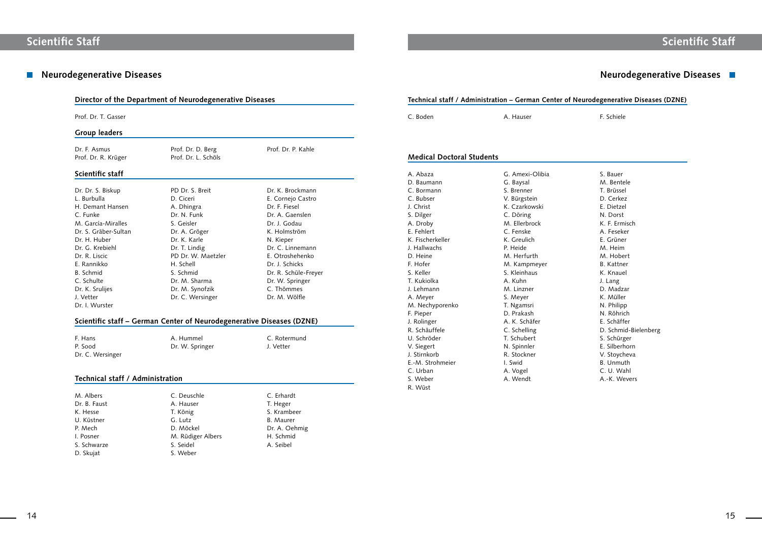## **Neurodegenerative Diseases Neurodegenerative Diseases**

### **Neurodegenerative Diseases (DZNE)**

F. Schiele

- S. Bauer M. Bentele T. Brüssel D. Cerkez E. Dietzel N. Dorst K. F. Ermisch A. Feseker E. Grüner M. Heim M. Hobert B. Kattner K. Knauel J. Lang D. Madzar K. Müller N. Philipp N. Röhrich E. Schäffer D. Schmid-Bielenberg S. Schürger E. Silberhorn V. Stoycheva B. Unmuth C. U. Wahl
- A.-K. Wevers

| Prof. Dr. T. Gasser              |                                                                       |                                    | C. Boden                         | A. Hauser            |
|----------------------------------|-----------------------------------------------------------------------|------------------------------------|----------------------------------|----------------------|
| <b>Group leaders</b>             |                                                                       |                                    |                                  |                      |
| Dr. F. Asmus                     | Prof. Dr. D. Berg                                                     | Prof. Dr. P. Kahle                 |                                  |                      |
| Prof. Dr. R. Krüger              | Prof. Dr. L. Schöls                                                   |                                    | <b>Medical Doctoral Students</b> |                      |
| Scientific staff                 |                                                                       |                                    | A. Abaza                         | G. Amexi-Olibia      |
|                                  | PD Dr. S. Breit                                                       | Dr. K. Brockmann                   | D. Baumann<br>C. Bormann         | G. Baysal            |
| Dr. Dr. S. Biskup<br>L. Burbulla | D. Ciceri                                                             |                                    | C. Bubser                        | S. Brenner           |
| H. Demant Hansen                 |                                                                       | E. Cornejo Castro<br>Dr. F. Fiesel | J. Christ                        | V. Bürgstein         |
|                                  | A. Dhingra                                                            |                                    |                                  | K. Czarkowski        |
| C. Funke                         | Dr. N. Funk                                                           | Dr. A. Gaenslen                    | S. Dilger                        | C. Döring            |
| M. García-Miralles               | S. Geisler                                                            | Dr. J. Godau                       | A. Droby<br>E. Fehlert           | M. Ellerbrock        |
| Dr. S. Gräber-Sultan             | Dr. A. Gröger                                                         | K. Holmström                       | K. Fischerkeller                 | C. Fenske            |
| Dr. H. Huber                     | Dr. K. Karle                                                          | N. Kieper                          |                                  | K. Greulich          |
| Dr. G. Krebiehl                  | Dr. T. Lindig                                                         | Dr. C. Linnemann                   | J. Hallwachs                     | P. Heide             |
| Dr. R. Liscic                    | PD Dr. W. Maetzler                                                    | E. Otroshehenko                    | D. Heine                         | M. Herfurth          |
| E. Rannikko                      | H. Schell                                                             | Dr. J. Schicks                     | F. Hofer                         | M. Kampmeyer         |
| B. Schmid                        | S. Schmid                                                             | Dr. R. Schüle-Freyer               | S. Keller                        | S. Kleinhaus         |
| C. Schulte                       | Dr. M. Sharma                                                         | Dr. W. Springer                    | T. Kukiolka                      | A. Kuhn              |
| Dr. K. Srulijes                  | Dr. M. Synofzik                                                       | C. Thömmes                         | J. Lehmann                       | M. Linzner           |
| J. Vetter                        | Dr. C. Wersinger                                                      | Dr. M. Wölfle                      | A. Meyer                         | S. Meyer             |
| Dr. I. Wurster                   |                                                                       |                                    | M. Nechyporenko                  | T. Ngamsri           |
|                                  |                                                                       |                                    | F. Pieper                        | D. Prakash           |
|                                  | Scientific staff - German Center of Neurodegenerative Diseases (DZNE) |                                    | J. Rolinger                      | A. K. Schäfer        |
|                                  |                                                                       |                                    | R. Schäuffele                    | C. Schelling         |
| F. Hans                          | A. Hummel                                                             | C. Rotermund                       | U. Schröder                      | T. Schubert          |
| P. Sood                          | Dr. W. Springer                                                       | J. Vetter                          | V. Siegert                       | N. Spinnler          |
| Dr. C. Wersinger                 |                                                                       |                                    | J. Stirnkorb                     | R. Stockner          |
|                                  |                                                                       |                                    | E.-M. Strohmeier                 | I. Swid              |
| Technical staff / Administration |                                                                       |                                    | C. Urban<br>S. Weber             | A. Vogel<br>A. Wendt |
|                                  |                                                                       |                                    | R. Wüst                          |                      |
| M. Albers                        | C. Deuschle                                                           | C. Erhardt                         |                                  |                      |
| Dr. B. Faust                     | A. Hauser                                                             | T. Heger                           |                                  |                      |
| K. Hesse                         | T. König                                                              | S. Krambeer                        |                                  |                      |
| U. Küstner                       | G. Lutz                                                               | <b>B.</b> Maurer                   |                                  |                      |
| P. Mech                          | D. Möckel                                                             | Dr. A. Oehmig                      |                                  |                      |
| I. Posner                        | M. Rüdiger Albers                                                     | H. Schmid                          |                                  |                      |
|                                  |                                                                       |                                    |                                  |                      |
| S. Schwarze<br>D. Skujat         | S. Seidel<br>S. Weber                                                 | A. Seibel                          |                                  |                      |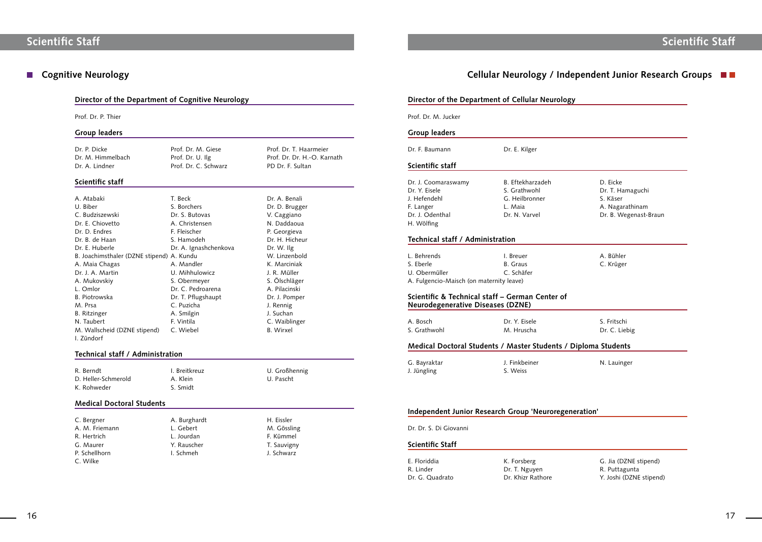D. Eicke Dr. T. Hamaguchi S. Käser A. Nagarathinam Dr. B. Wegenast-Braun

A. Bühler C. Krüger

S. Fritschi Dr. C. Liebig

### **Mbd** Diploma Students

N. Lauinger

**Independent** 

- G. Jia (DZNE stipend)
- R. Puttagunta
- Y. Joshi (DZNE stipend)

|                                                                                                    | Director of the Department of Cellular Neurology                               |  |
|----------------------------------------------------------------------------------------------------|--------------------------------------------------------------------------------|--|
| Prof. Dr. M. Jucker                                                                                |                                                                                |  |
| <b>Group leaders</b>                                                                               |                                                                                |  |
| Dr. F. Baumann                                                                                     | Dr. E. Kilger                                                                  |  |
| Scientific staff                                                                                   |                                                                                |  |
| Dr. J. Coomaraswamy<br>Dr. Y. Eisele<br>J. Hefendehl<br>F. Langer<br>Dr. J. Odenthal<br>H. Wölfing | B. Eftekharzadeh<br>S. Grathwohl<br>G. Heilbronner<br>L. Maia<br>Dr. N. Varvel |  |
| Technical staff / Administration                                                                   |                                                                                |  |
| L. Behrends<br>S. Eberle<br>U. Obermüller<br>A. Fulgencio-Maisch (on maternity leave)              | I. Breuer<br><b>B.</b> Graus<br>C. Schäfer                                     |  |
| <b>Neurodegenerative Diseases (DZNE)</b>                                                           | Scientific & Technical staff – German Center of                                |  |
| A. Bosch<br>S. Grathwohl                                                                           | Dr. Y. Eisele<br>M. Hruscha                                                    |  |
|                                                                                                    | Medical Doctoral Students / Master Students / D                                |  |
| G. Bayraktar<br>J. Jüngling                                                                        | J. Finkbeiner<br>S. Weiss                                                      |  |
|                                                                                                    | Independent Junior Research Group 'Neuroregene                                 |  |
| Dr. Dr. S. Di Giovanni                                                                             |                                                                                |  |
| <b>Scientific Staff</b>                                                                            |                                                                                |  |
| E. Floriddia<br>R. Linder<br>Dr. G. Quadrato                                                       | K. Forsberg<br>Dr. T. Nguyen<br>Dr. Khizr Rathore                              |  |

Dr. P. Dicke Prof. Dr. M. Giese Prof. Dr. T. Haarmeier Dr. M. Himmelbach Prof. Dr. U. Ilg Prof. Dr. Dr. Dr. H.-O. Karnath

### **Director of the Department of Cognitive Neurology**

Prof. Dr. P. Thier

### **Group leaders**

Dr. A. Lindner **Prof. Dr. C. Schwarz** PD Dr. F. Sultan

C. Bergner A. Burghardt H. Eissler A. M. Friemann C. Gebert C. Gebert M. Gössling R. Hertrich Carl L. Jourdan F. Kümmel G. Maurer T. Sauvigny P. Schellhorn **I. Schmeh** J. Schwarz C. Wilke

Dr. A. Benali Dr. D. Brugger V. Caggiano Dr. E. Chiovetto A. Christensen N. Daddaoua P. Georgieva Dr. H. Hicheur chenkova Dr. W. Ilg W. Linzenbold K. Marciniak Dr. J. A. Martin U. Mihhulowicz J. R. Müller S. Ölschläger L. Omlor Dr. C. Pedroarena A. Pilacinski aupt Dr. J. Pomper J. Rennig J. Suchan C. Waiblinger B. Wirxel

## ■ Cognitive Neurology **Cellular Neurology / Independent Junior Research Groups**

### **Scientific staff**

| A. Atabaki                                | T. Beck         |
|-------------------------------------------|-----------------|
| U. Biber                                  | S. Borchers     |
| C. Budziszewski                           | Dr. S. Butovas  |
| Dr. E. Chiovetto                          | A. Christenser  |
| Dr. D. Endres                             | F. Fleischer    |
| Dr. B. de Haan                            | S. Hamodeh      |
| Dr. E. Huberle                            | Dr. A. Ignasho  |
| B. Joachimsthaler (DZNE stipend) A. Kundu |                 |
| A. Maia Chagas                            | A. Mandler      |
| Dr. J. A. Martin                          | U. Mihhulowi    |
| A. Mukovskiy                              | S. Obermeyer    |
| L. Omlor                                  | Dr. C. Pedroar  |
| B. Piotrowska                             | Dr. T. Pflugsha |
| M. Prsa                                   | C. Puzicha      |
| B. Ritzinger                              | A. Smilgin      |
| N. Taubert                                | F. Vintila      |
| M. Wallscheid (DZNE stipend)              | C. Wiebel       |
| I. Zündorf                                |                 |

### **Technical staff / Administration**

R. Berndt **I. Breitkreuz** I. Breitkreuz **U. Großhennig** D. Heller-Schmerold A. Klein C. Pascht K. Rohweder S. Smidt

### **Medical Doctoral Students**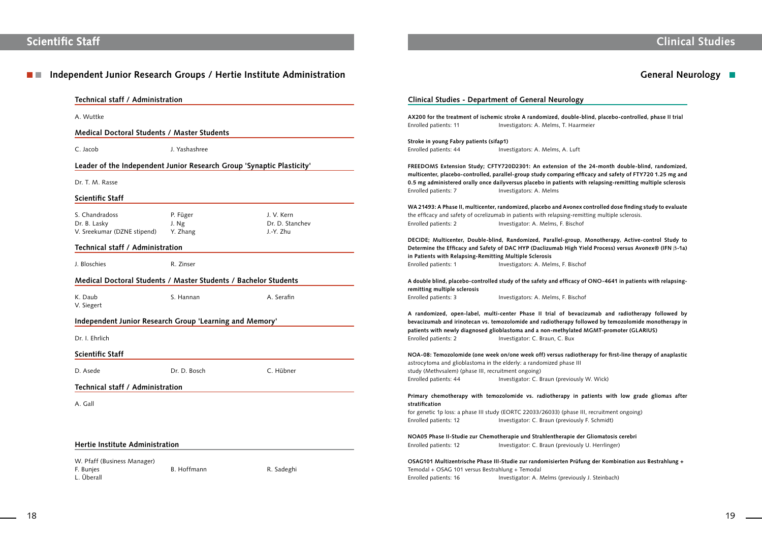#### Independent Junior Research Groups / Hertie Institute Administration **General Administration** General Neurology **N TELEVISION**

# **Clinical Studies**

### **ral Neurology**

**AX200 for the treatment of ischemic stroke A randomized, double-blind, placebo-controlled, phase II trial** . Melms, T. Haarmeier

### . Melms, A. Luft

**n** extension of the 24-month double-blind, randomized, **multicenter, placebo-controlled, parallel-group study comparing efficacy and safety of FTY720 1.25 mg and**  bo in patients with relapsing-remitting multiple sclerosis

acebo and Avonex controlled dose finding study to evaluate vith relapsing-remitting multiple sclerosis. Melms, F. Bischof

**Parallel-group, Monotherapy, Active-control Study to aclizumab High Yield Process) versus Avonex® (IFN β-1a)** 

fety and efficacy of ONO-4641 in patients with relapsing-

**H** trial of bevacizumab and radiotherapy followed by **b** radiotherapy followed by temozolomide monotherapy in **patients with net included MGMT-promoter (GLARIUS)** Braun, C. Bux

off) versus radiotherapy for first-line therapy of anaplastic domized phase III

### radiotherapy in patients with low grade gliomas after

8/26033) (phase III, recruitment ongoing) Braun (previously F. Schmidt)

rahlentherapie der Gliomatosis cerebri

### domisierten Prüfung der Kombination aus Bestrahlung +

| Technical staff / Administration                                      |               |                 |                                                                  | <b>Clinical Studies - Department of General Neurology</b>                                                                                 |
|-----------------------------------------------------------------------|---------------|-----------------|------------------------------------------------------------------|-------------------------------------------------------------------------------------------------------------------------------------------|
| A. Wuttke                                                             |               |                 |                                                                  | AX200 for the treatment of ischemic stroke A randomized, double-blind, placebo-                                                           |
|                                                                       |               |                 | Enrolled patients: 11                                            | Investigators: A. Melms, T. Haarmeier                                                                                                     |
| <b>Medical Doctoral Students / Master Students</b>                    |               |                 |                                                                  |                                                                                                                                           |
| C. Jacob                                                              | J. Yashashree |                 | Stroke in young Fabry patients (sifap1)<br>Enrolled patients: 44 | Investigators: A. Melms, A. Luft                                                                                                          |
| Leader of the Independent Junior Research Group 'Synaptic Plasticity' |               |                 |                                                                  | FREEDOMS Extension Study; CFTY720D2301: An extension of the 24-month d                                                                    |
|                                                                       |               |                 |                                                                  | multicenter, placebo-controlled, parallel-group study comparing efficacy and safe                                                         |
| Dr. T. M. Rasse                                                       |               |                 |                                                                  | 0.5 mg administered orally once dailyversus placebo in patients with relapsing-re                                                         |
|                                                                       |               |                 | Enrolled patients: 7                                             | Investigators: A. Melms                                                                                                                   |
| Scientific Staff                                                      |               |                 |                                                                  |                                                                                                                                           |
|                                                                       |               |                 |                                                                  | WA 21493: A Phase II, multicenter, randomized, placebo and Avonex controlled dos                                                          |
| S. Chandradoss                                                        | P. Füger      | J. V. Kern      |                                                                  | the efficacy and safety of ocrelizumab in patients with relapsing-remitting multiple                                                      |
| Dr. B. Lasky                                                          | J. Ng         | Dr. D. Stanchev | Enrolled patients: 2                                             | Investigator: A. Melms, F. Bischof                                                                                                        |
| V. Sreekumar (DZNE stipend)                                           | Y. Zhang      | J.-Y. Zhu       |                                                                  |                                                                                                                                           |
| Technical staff / Administration                                      |               |                 |                                                                  | DECIDE; Multicenter, Double-blind, Randomized, Parallel-group, Monotherapy                                                                |
|                                                                       |               |                 |                                                                  | Determine the Efficacy and Safety of DAC HYP (Daclizumab High Yield Process) v<br>in Patients with Relapsing-Remitting Multiple Sclerosis |
| J. Bloschies                                                          | R. Zinser     |                 | Enrolled patients: 1                                             | Investigators: A. Melms, F. Bischof                                                                                                       |
|                                                                       |               |                 |                                                                  |                                                                                                                                           |
| Medical Doctoral Students / Master Students / Bachelor Students       |               |                 |                                                                  | A double blind, placebo-controlled study of the safety and efficacy of ONO-4641                                                           |
|                                                                       |               |                 | remitting multiple sclerosis                                     |                                                                                                                                           |
| K. Daub                                                               | S. Hannan     | A. Serafin      | Enrolled patients: 3                                             | Investigators: A. Melms, F. Bischof                                                                                                       |
| V. Siegert                                                            |               |                 |                                                                  |                                                                                                                                           |
|                                                                       |               |                 |                                                                  | A randomized, open-label, multi-center Phase II trial of bevacizumab and r                                                                |
| Independent Junior Research Group 'Learning and Memory'               |               |                 |                                                                  | bevacizumab and irinotecan vs. temozolomide and radiotherapy followed by temo                                                             |
| Dr. I. Ehrlich                                                        |               |                 | Enrolled patients: 2                                             | patients with newly diagnosed glioblastoma and a non-methylated MGMT-promo<br>Investigator: C. Braun, C. Bux                              |
|                                                                       |               |                 |                                                                  |                                                                                                                                           |
| Scientific Staff                                                      |               |                 |                                                                  | NOA-08: Temozolomide (one week on/one week off) versus radiotherapy for first                                                             |
|                                                                       |               |                 |                                                                  | astrocytoma and glioblastoma in the elderly: a randomized phase III                                                                       |
| D. Asede                                                              | Dr. D. Bosch  | C. Hübner       | study (Methvsalem) (phase III, recruitment ongoing)              |                                                                                                                                           |
|                                                                       |               |                 | Enrolled patients: 44                                            | Investigator: C. Braun (previously W. Wick)                                                                                               |
| Technical staff / Administration                                      |               |                 |                                                                  |                                                                                                                                           |
|                                                                       |               |                 |                                                                  | Primary chemotherapy with temozolomide vs. radiotherapy in patients with                                                                  |
| A. Gall                                                               |               |                 | stratification                                                   |                                                                                                                                           |
|                                                                       |               |                 |                                                                  | for genetic 1p loss: a phase III study (EORTC 22033/26033) (phase III, recruitment                                                        |
|                                                                       |               |                 | Enrolled patients: 12                                            | Investigator: C. Braun (previously F. Schmidt)                                                                                            |
|                                                                       |               |                 |                                                                  | NOA05 Phase II-Studie zur Chemotherapie und Strahlentherapie der Gliomatosis                                                              |
| <b>Hertie Institute Administration</b>                                |               |                 | Enrolled patients: 12                                            | Investigator: C. Braun (previously U. Herrlinger)                                                                                         |
| W. Pfaff (Business Manager)                                           |               |                 |                                                                  | OSAG101 Multizentrische Phase III-Studie zur randomisierten Prüfung der Kombir                                                            |
| F. Bunjes                                                             | B. Hoffmann   | R. Sadeghi      | Temodal + OSAG 101 versus Bestrahlung + Temodal                  |                                                                                                                                           |
| L. Überall                                                            |               |                 | Enrolled patients: 16                                            | Investigator: A. Melms (previously J. Steinbach)                                                                                          |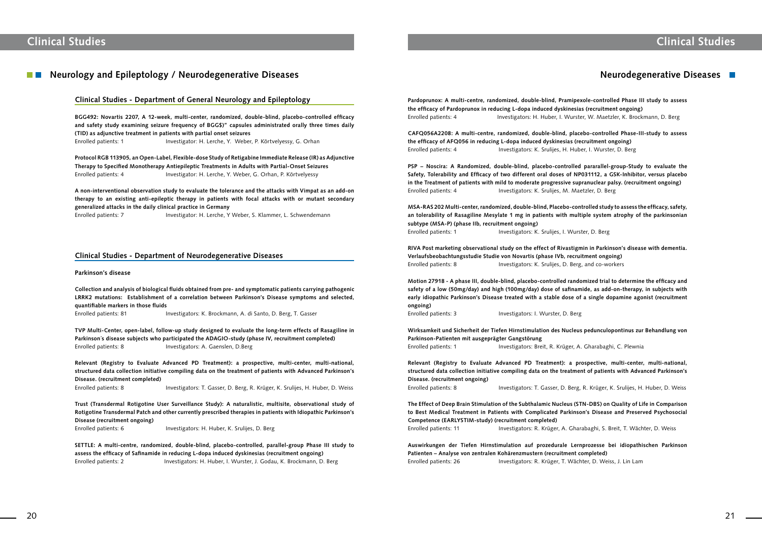**Pardoprunox: A multi-centre, randomized, double-blind, Pramipexole-controlled Phase III study to assess the efficacy of Pardoprunox in reducing L-dopa induced dyskinesias (recruitment ongoing)** Enrolled patients: 4 Investigators: H. Huber, I. Wurster, W. Maetzler, K. Brockmann, D. Berg

**CAFQ056A2208: A multi-centre, randomized, double-blind, placebo-controlled Phase-III-study to assess the efficacy of AFQ056 in reducing L-dopa induced dyskinesias (recruitment ongoing)** Enrolled patients: 4 Investigators: K. Srulijes, H. Huber, I. Wurster, D. Berg

**RIVA Post marketing observational study on the effect of Rivastigmin in Parkinson's disease with dementia. Verlaufsbeobachtungsstudie Studie von Novartis (phase IVb, recruitment ongoing)** Enrolled patients: 8 Investigators: K. Srulijes, D. Berg, and co-workers

**PSP – Noscira: A Randomized, double-blind, placebo-controlled pararallel-group-Study to evaluate the Safety, Tolerability and Efficacy of two different oral doses of NP031112, a GSK-Inhibitor, versus placebo in the Treatment of patients with mild to moderate progressive supranuclear palsy. (recruitment ongoing)** Enrolled patients: 4 Investigators: K. Srulijes, M. Maetzler, D. Berg

**MSA-RAS 202 Multi-center, randomized, double-blind, Placebo-controlled study to assess the efficacy, safety, an tolerability of Rasagiline Mesylate 1 mg in patients with multiple system atrophy of the parkinsonian subtype (MSA-P) (phase IIb, recruitment ongoing)** Enrolled patients: 1 Investigators: K. Srulijes, I. Wurster, D. Berg

**The Effect of Deep Brain Stimulation of the Subthalamic Nucleus (STN-DBS) on Quality of Life in Comparison to Best Medical Treatment in Patients with Complicated Parkinson's Disease and Preserved Psychosocial Competence (EARLYSTIM-study) (recruitment completed)** Enrolled patients: 11 Investigators: R. Krüger, A. Gharabaghi, S. Breit, T. Wächter, D. Weiss

**Motion 27918 - A phase III, double-blind, placebo-controlled randomized trial to determine the efficacy and safety of a low (50mg/day) and high (100mg/day) dose of safinamide, as add-on-therapy, in subjects with early idiopathic Parkinson's Disease treated with a stable dose of a single dopamine agonist (recruitment ongoing)**

Enrolled patients: 3 Investigators: I. Wurster, D. Berg

**Protocol RGB 113905, an Open-Label, Flexible-dose Study of Retigabine Immediate Release (IR) as Adjunctive Therapy to Specified Monotherapy Antiepileptic Treatments in Adults with Partial-Onset Seizures** Enrolled patients: 4 Investigator: H. Lerche, Y. Weber, G. Orhan, P. Körtvelyessy

> **Wirksamkeit und Sicherheit der Tiefen Hirnstimulation des Nucleus pedunculopontinus zur Behandlung von Parkinson-Patienten mit ausgeprägter Gangstörung** Enrolled patients: 1 Investigators: Breit, R. Krüger, A. Gharabaghi, C. Plewnia

> **Relevant (Registry to Evaluate Advanced PD Treatment): a prospective, multi-center, multi-national, structured data collection initiative compiling data on the treatment of patients with Advanced Parkinson's Disease. (recruitment ongoing)** Enrolled patients: 8 Investigators: T. Gasser, D. Berg, R. Krüger, K. Srulijes, H. Huber, D. Weiss

> **Auswirkungen der Tiefen Hirnstimulation auf prozedurale Lernprozesse bei idiopathischen Parkinson Patienten – Analyse von zentralen Kohärenzmustern (recruitment completed)** Enrolled patients: 26 Investigators: R. Krüger, T. Wächter, D. Weiss, J. Lin Lam

### **Neurology and Epileptology / Neurodegenerative Diseases**

### **Clinical Studies - Department of General Neurology and Epileptology**

**BGG492: Novartis 2207, A 12-week, multi-center, randomized, double-blind, placebo-controlled efficacy and safety study examining seizure frequency of BGG\$)" capsules administrated orally three times daily (TID) as adjunctive treatment in patients with partial onset seizures** Enrolled patients: 1 Investigator: H. Lerche, Y. Weber, P. Körtvelyessy, G. Orhan

**A non-interventional observation study to evaluate the tolerance and the attacks with Vimpat as an add-on therapy to an existing anti-epileptic therapy in patients with focal attacks with or mutant secondary generalized attacks in the daily clinical practice in Germany**

Enrolled patients: 7 Investigator: H. Lerche, Y Weber, S. Klammer, L. Schwendemann

### **Clinical Studies - Department of Neurodegenerative Diseases**

#### **Parkinson's disease**

**Collection and analysis of biological fluids obtained from pre- and symptomatic patients carrying pathogenic LRRK2 mutations: Establishment of a correlation between Parkinson's Disease symptoms and selected, quantifiable markers in those fluids**

Enrolled patients: 81 Investigators: K. Brockmann, A. di Santo, D. Berg, T. Gasser

**TVP Multi-Center, open-label, follow-up study designed to evaluate the long-term effects of Rasagiline in Parkinson´s disease subjects who participated the ADAGIO-study (phase IV, recruitment completed)** Enrolled patients: 8 Investigators: A. Gaenslen, D.Berg

**Relevant (Registry to Evaluate Advanced PD Treatment): a prospective, multi-center, multi-national, structured data collection initiative compiling data on the treatment of patients with Advanced Parkinson's Disease. (recruitment completed)**

Enrolled patients: 8 Investigators: T. Gasser, D. Berg, R. Krüger, K. Srulijes, H. Huber, D. Weiss

**Trust (Transdermal Rotigotine User Surveillance Study): A naturalistic, multisite, observational study of Rotigotine Transdermal Patch and other currently prescribed therapies in patients with Idiopathic Parkinson's Disease (recruitment ongoing)**

Enrolled patients: 6 Investigators: H. Huber, K. Srulijes, D. Berg

**SETTLE: A multi-centre, randomized, double-blind, placebo-controlled, parallel-group Phase III study to assess the efficacy of Safinamide in reducing L-dopa induced dyskinesias (recruitment ongoing)** Enrolled patients: 2 Investigators: H. Huber, I. Wurster, J. Godau, K. Brockmann, D. Berg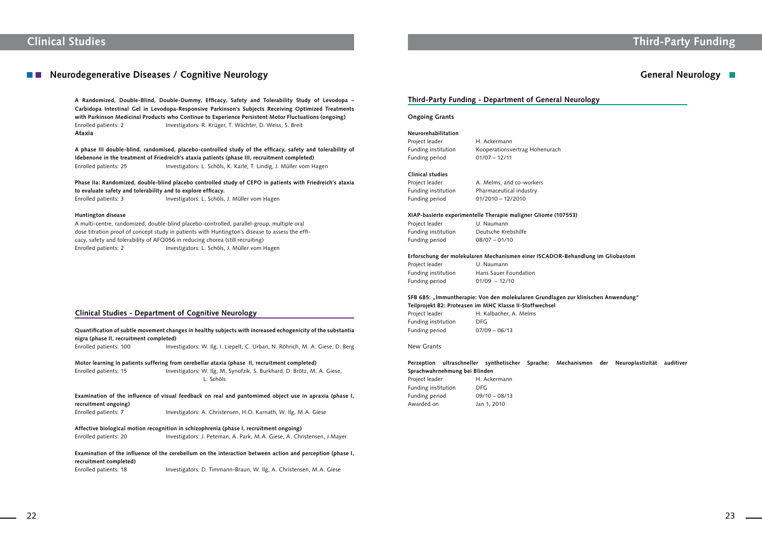# **Clinical Studies Third-Party Funding**

## **Neurodegenerative Diseases / Cognitive Neurology**

**A Randomized, Double-Blind, Double-Dummy, Efficacy, Safety and Tolerability Study of Levodopa – Carbidopa Intestinal Gel in Levodopa-Responsive Parkinson's Subjects Receiving Optimized Treatments with Parkinson Medicinal Products who Continue to Experience Persistent Motor Fluctuations (ongoing)** Enrolled patients: 2 Investigators: R. Krüger, T. Wächter, D. Weiss, S. Breit **Ataxia**

**Phase IIa: Randomized, double-blind placebo controlled study of CEPO in patients with Friedreich's ataxia to evaluate safety and tolerability and to explore efficacy.** Enrolled patients: 3 Investigators: L. Schöls, J. Müller vom Hagen

**A phase III double-blind, randomised, placebo-controlled study of the efficacy, safety and tolerability of Idebenone in the treatment of Friedreich's ataxia patients (phase III, recruitment completed)** Enrolled patients: 25 Investigators: L. Schöls, K. Karle, T. Lindig, J. Müller vom Hagen

#### **Huntington disease**

A multi-centre, randomized, double-blind placebo-controlled, parallel-group, multiple oral dose titration proof of concept study in patients with Huntington's disease to assess the efficacy, safety and tolerability of AFQ056 in reducing chorea (still recruiting) Enrolled patients: 2 Investigators: L. Schöls, J. Müller vom Hagen

Project leader H. Ackermann Funding period 01/07 – 12/11

### **Clinical Studies - Department of Cognitive Neurology**

Project leader **A. Melms, and co-workers** Funding institution Pharmaceutical industry Funding period 01/2010 – 12/2010

Project leader U. Naumann Funding period 08/07 – 01/10

Project leader U. Naumann Funding period 01/09 – 12/10

Project leader H. Kalbacher, A. Melms Funding institution DFG Funding period 07/09 – 06/13

### **Perzeption ultraschneller synthetischer Sprache: Mechanismen der Neuroplastizität auditiver Sprachwahrnehmung bei Blinden** Project leader H. Ackermann

| nigra (phase II, recruitment completed) | Quantification of subtle movement changes in healthy subjects with increased echogenicity of the substantia |
|-----------------------------------------|-------------------------------------------------------------------------------------------------------------|
| Enrolled patients: 100                  | Investigators: W. Ilg, I. Liepelt, C. Urban, N. Röhrich, M. A. Giese, D. Berg                               |
|                                         | Motor learning in patients suffering from cerebellar ataxia (phase II, recruitment completed)               |
| Enrolled patients: 15                   | Investigators: W. Ilg, M. Synofzik, S. Burkhard, D. Brötz, M. A. Giese,<br>L. Schöls                        |
| recruitment ongoing)                    | Examination of the influence of visual feedback on real and pantomimed object use in apraxia (phase I,      |
| Enrolled patients: 7                    | Investigators: A. Christensen, H.O. Karnath, W. Ilg, M.A. Giese                                             |
|                                         | Affective biological motion recognition in schizophrenia (phase I, recruitment ongoing)                     |
| Enrolled patients: 20                   | Investigators: J. Peteman, A. Park, M.A. Giese, A. Christensen, J Mayer                                     |
|                                         | Examination of the influence of the cerebellum on the interaction between action and perception (phase I,   |

**recruitment completed)** Enrolled patients: 18 Investigators: D. Timmann-Braun, W. Ilg, A. Christensen, M.A. Giese

## **General Neurology**

### **Third-Party Funding - Department of General Neurology**

### **Ongoing Grants**

### **Neurorehabilitation**

Funding institution Kooperationsvertrag Hohenurach

### **Clinical studies**

#### **XIAP-basierte experimentelle Therapie maligner Gliome (107553)**

Funding institution Deutsche Krebshilfe

### **Erforschung der molekularen Mechanismen einer ISCADOR-Behandlung im Gliobastom**

Funding institution Hans Sauer Foundation

### **SFB 685: "Immuntherapie: Von den molekularen Grundlagen zur klinischen Anwendung" Teilprojekt B2: Proteasen im MHC Klasse II-Stoffwechsel**

New Grants

Funding institution DFG Funding period 09/10 – 08/13 Awarded on Jan 1, 2010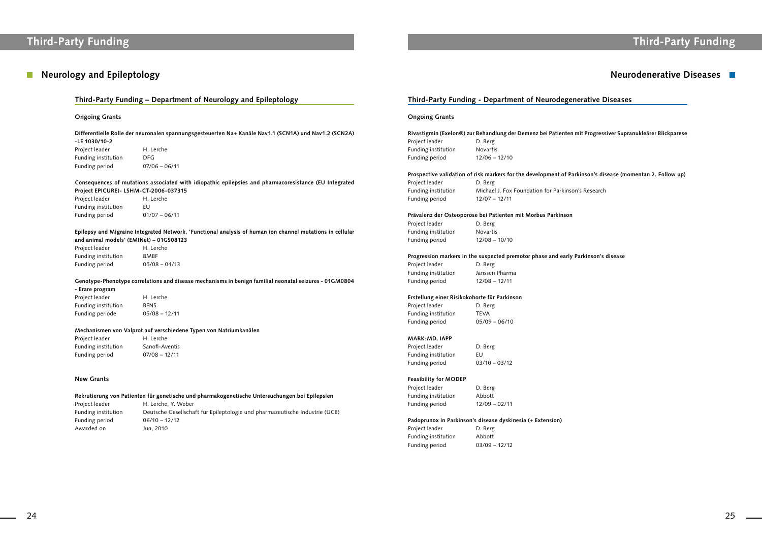## **Neurology and Epileptology**

# **Third-Party Funding Third-Party Funding**

## **Neurodenerative Diseases**

### **Ongoing Grants**

**Consequences of mutations associated with idiopathic epilepsies and pharmacoresistance (EU Integrated Project EPICURE)- LSHM-CT-2006-037315** Project leader

**Differentielle Rolle der neuronalen spannungsgesteuerten Na+ Kanäle Nav1.1 (SCN1A) und Nav1.2 (SCN2A) -LE 1030/10-2**

| -LE 1030/10-2       |                 |
|---------------------|-----------------|
| Project leader      | H. Lerche       |
| Funding institution | DEG             |
| Funding period      | $07/06 - 06/11$ |

Project leader H. Lerche Funding institution BFNS Funding periode 05/08 – 12/11

| Project leader      | H. Lerche       |
|---------------------|-----------------|
| Funding institution | FU              |
| Funding period      | $01/07 - 06/11$ |

Project leader H. Lerche Funding institution Sanofi-Aventis Funding period 07/08 – 12/11

**Epilepsy and Migraine Integrated Network, 'Functional analysis of human ion channel mutations in cellular and animal models' (EMINet) – 01GS08123**

| Project leader      | H. Lerche       |
|---------------------|-----------------|
| Funding institution | <b>BMBF</b>     |
| Funding period      | $05/08 - 04/13$ |

**Genotype-Phenotype correlations and disease mechanisms in benign familial neonatal seizures - 01GM0804** 

### **- Erare program**

Project leader **D. Berg** Funding institution Michael J. Fox Foundation for Parkinson's Research Funding period 12/07 – 12/11

#### **Mechanismen von Valprot auf verschiedene Typen von Natriumkanälen**

Project leader D. Berg Funding institution Novartis Funding period 12/08 – 10/10

Project leader D. Berg Funding institution Janssen Pharma Funding period 12/08 – 12/11

### **New Grants**

Project leader **D. Berg** Funding institution TEVA Funding period 05/09 – 06/10

**Rekrutierung von Patienten für genetische und pharmakogenetische Untersuchungen bei Epilepsien**

Project leader D. Berg Funding institution EU Funding period 03/10 – 03/12

Project leader D. Berg Funding institution Abbott Funding period 12/09 – 02/11

| Project leader      | H. Lerche, Y. Weber                                                         |
|---------------------|-----------------------------------------------------------------------------|
| Funding institution | Deutsche Gesellschaft für Epileptologie und pharmazeutische Industrie (UCB) |
| Funding period      | $06/10 - 12/12$                                                             |
| Awarded on          | Jun. 2010                                                                   |
|                     |                                                                             |

### **Third-Party Funding - Department of Neurodegenerative Diseases**

### **Ongoing Grants**

| Rivastigmin (Exelon®) zur Behandlung der Demenz bei Patienten mit Progressiver Supranukleärer Blickparese |                 |  |
|-----------------------------------------------------------------------------------------------------------|-----------------|--|
| Project leader                                                                                            | D. Berg         |  |
| Funding institution                                                                                       | <b>Novartis</b> |  |
| Funding period                                                                                            | $12/06 - 12/10$ |  |
|                                                                                                           |                 |  |
| Prospective validation of risk markers for the development of Parkinson's disease (momentan 2. Follow up) |                 |  |
| <b>Droject</b> leader                                                                                     | $D$ Ref         |  |

### **Prävalenz der Osteoporose bei Patienten mit Morbus Parkinson**

### **Progression markers in the suspected premotor phase and early Parkinson's disease**

### **Erstellung einer Risikokohorte für Parkinson**

### **MARK-MD, IAPP**

### **Feasibility for MODEP**

### **Padoprunox in Parkinson's disease dyskinesia (+ Extension)**

| D. Berg         |
|-----------------|
| Abbott          |
| $03/09 - 12/12$ |
|                 |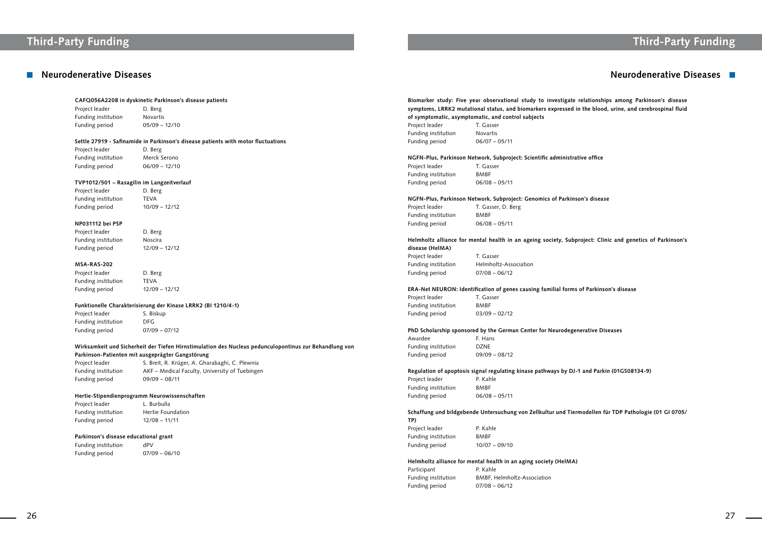# **Third-Party Funding Third-Party Funding**

## **Neurodenerative Diseases Neurodenerative Diseases**

Project leader D. Berg Funding institution Novartis Funding period 05/09 – 12/10

#### **CAFQ056A2208 in dyskinetic Parkinson's disease patients**

Project leader D. Berg Funding institution Merck Serono Funding period 06/09 – 12/10

Project leader D. Berg Funding institution TEVA Funding period 10/09 – 12/12

### **Settle 27919 - Safinamide in Parkinson's disease patients with motor fluctuations**

Project leader D. Berg Funding institution Moscira Funding period 12/09 – 12/12

Project leader D. Berg Funding institution TEVA Funding period 12/09 – 12/12

#### **TVP1012/501 – Rasagilin im Langzeitverlauf**

Project leader S. Biskup Funding institution DFG Funding period 07/09 – 07/12

### **NP031112 bei PSP**

Project leader S. Breit, R. Krüger, A. Gharabaghi, C. Plewnia Funding institution AKF – Medical Faculty, University of Tuebingen Funding period 09/09 – 08/11

### **MSA-RAS-202**

Project leader L. Burbulla Funding institution Hertie Foundation Funding period 12/08 – 11/11

Funding institution dPV Funding period 07/09 – 06/10 **Biomarker study: Five year observational study to investigate relationships among Parkinson's disease**  ed in the blood, urine, and cerebrospinal fluid

strative office

### **Funktionelle Charakterisierung der Kinase LRRK2 (BI 1210/4-1)**

### **Wirksamkeit und Sicherheit der Tiefen Hirnstimulation des Nucleus pedunculopontinus zur Behandlung von Parkinson-Patienten mit ausgeprägter Gangstörung**

#### **Hertie-Stipendienprogramm Neurowissenschaften**

### **Parkinson's disease educational grant**

**NGFN-Plus, Parkinson Network, Subproject: Genomics of Parkinson's disease**

ubproject: Clinic and genetics of Parkinson's

|                                                    | Biomarker study: Five year observational study to investiga<br>symptoms, LRRK2 mutational status, and biomarkers expresse |  |
|----------------------------------------------------|---------------------------------------------------------------------------------------------------------------------------|--|
| of symptomatic, asymptomatic, and control subjects |                                                                                                                           |  |
| Project leader                                     | T. Gasser                                                                                                                 |  |
| Funding institution                                | <b>Novartis</b>                                                                                                           |  |
| Funding period                                     | $06/07 - 05/11$                                                                                                           |  |
|                                                    | NGFN-Plus, Parkinson Network, Subproject: Scientific adminis                                                              |  |
| Project leader                                     | T. Gasser                                                                                                                 |  |
| Funding institution                                | <b>BMBF</b>                                                                                                               |  |
| Funding period                                     | $06/08 - 05/11$                                                                                                           |  |
|                                                    | NGFN-Plus, Parkinson Network, Subproject: Genomics of Park                                                                |  |
| Project leader                                     | T. Gasser, D. Berg                                                                                                        |  |
| Funding institution                                | <b>BMBF</b>                                                                                                               |  |
| Funding period                                     | $06/08 - 05/11$                                                                                                           |  |
| disease (HelMA)                                    | Helmholtz alliance for mental health in an ageing society, Su                                                             |  |
| Project leader                                     | T. Gasser                                                                                                                 |  |
| Funding institution                                | Helmholtz-Association                                                                                                     |  |
| Funding period                                     | $07/08 - 06/12$                                                                                                           |  |
|                                                    | ERA-Net NEURON: Identification of genes causing familial for                                                              |  |
| Project leader                                     | T. Gasser                                                                                                                 |  |
| Funding institution                                | <b>BMBF</b>                                                                                                               |  |
| Funding period                                     | $03/09 - 02/12$                                                                                                           |  |
|                                                    | PhD Scholarship sponsored by the German Center for Neurode                                                                |  |
| Awardee                                            | F. Hans                                                                                                                   |  |
| Funding institution                                | <b>DZNE</b>                                                                                                               |  |
| Funding period                                     | $09/09 - 08/12$                                                                                                           |  |
|                                                    | Regulation of apoptosis signal regulating kinase pathways by I                                                            |  |
| Project leader F. Kahle                            |                                                                                                                           |  |
| Funding institution                                | BMBF                                                                                                                      |  |
| Funding period                                     | $06/08 - 05/11$                                                                                                           |  |
| TP)                                                | Schaffung und bildgebende Untersuchung von Zellkultur und T                                                               |  |
| Project leader                                     | P. Kahle                                                                                                                  |  |
| Funding institution                                | <b>BMBF</b>                                                                                                               |  |
| Funding period                                     | $10/07 - 09/10$                                                                                                           |  |
|                                                    |                                                                                                                           |  |

**ERA-Net NEURON: Identification of genes causing familial forms of Parkinson's disease**

**Philo Burge**<br>egenerative Diseases

**DJ-1 and Parkin (01GS08134-9)** 

Tiermodellen für TDP Pathologie (01 GI 0705/

### **Helmholtz alliance for mental health in an aging society (HelMA)**

| Participant         | P. Kahle  |
|---------------------|-----------|
| Funding institution | BMBF, H   |
| Funding period      | $07/08 -$ |

BMBF, Helmholtz-Association  $07/08 - 06/12$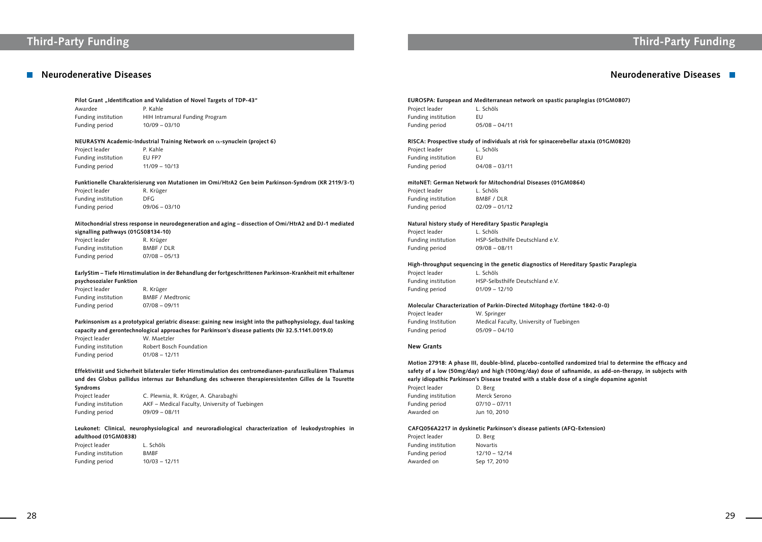#### Pilot Grant "Identification and Validation of Novel Targets of TDP-43"

# **Third-Party Funding Third-Party Funding**

## **Neurodenerative Diseases Neurodenerative Diseases**

Awardee P. Kahle Funding period 10/09 – 03/10

Funding institution HIH Intramural Funding Program

#### **NEURASYN Academic-Industrial Training Network on a-synuclein (project 6)**

| Project leader      | P. Kahle        |
|---------------------|-----------------|
| Funding institution | EU FP7          |
| Funding period      | $11/09 - 10/13$ |

Project leader R. Krüger Funding institution BMBF / DLR Funding period 07/08 – 05/13

#### **Funktionelle Charakterisierung von Mutationen im Omi/HtrA2 Gen beim Parkinson-Syndrom (KR 2119/3-1)**

| Project leader      | R. Krüger       |
|---------------------|-----------------|
| Funding institution | DFG             |
| Funding period      | $09/06 - 03/10$ |

### **Mitochondrial stress response in neurodegeneration and aging – dissection of Omi/HtrA2 and DJ-1 mediated signalling pathways (01GS08134-10)**

### **EarlyStim – Tiefe Hirnstimulation in der Behandlung der fortgeschrittenen Parkinson-Krankheit mit erhaltener psychosozialer Funktion**

| Project leader      | R. Krüger               |
|---------------------|-------------------------|
| Funding institution | <b>BMBF / Medtronic</b> |
| Funding period      | $07/08 - 09/11$         |

Project leader L. Schöls Funding institution EU Funding period 04/08 – 03/11

### **Parkinsonism as a prototypical geriatric disease: gaining new insight into the pathophysiology, dual tasking capacity and gerontechnological approaches for Parkinson's disease patients (Nr 32.5.1141.0019.0)**

| Project leader      | W. Maetzler             |
|---------------------|-------------------------|
| Funding institution | Robert Bosch Foundation |
| Funding period      | $01/08 - 12/11$         |

Project leader L. Schöls Funding institution HSP-Selbsthilfe Deutschland e.V. Funding period 01/09 – 12/10

**Effektivität und Sicherheit bilateraler tiefer Hirnstimulation des centromedianen-parafaszikulären Thalamus und des Globus pallidus internus zur Behandlung des schweren therapieresistenten Gilles de la Tourette Syndroms** 

Project leader W. Springer Funding Institution Medical Faculty, University of Tuebingen Funding period 05/09 – 04/10

| Project leader      | C. Plewnia, R. Krüger, A. Gharabaghi           |
|---------------------|------------------------------------------------|
| Funding institution | AKF – Medical Faculty, University of Tuebingen |
| Funding period      | $09/09 - 08/11$                                |

**Leukonet: Clinical, neurophysiological and neuroradiological characterization of leukodystrophies in adulthood (01GM0838)**

| Project leader      | L. Schöls       |
|---------------------|-----------------|
| Funding institution | <b>BMBF</b>     |
| Funding period      | $10/03 - 12/11$ |

### **EUROSPA: European and Mediterranean network on spastic paraplegias (01GM0807)** Project leader L. Schöls

| Project leader      | L. SCIIOIS      |
|---------------------|-----------------|
| Funding institution | FU              |
| Funding period      | $05/08 - 04/11$ |

**RISCA: Prospective study of individuals at risk for spinacerebellar ataxia (01GM0820)**

### **mitoNET: German Network for Mitochondrial Diseases (01GM0864)**

Project leader L. Schöls Funding institution BMBF / DLR Funding period 02/09 – 01/12

### **Natural history study of Hereditary Spastic Paraplegia**

Funding institution HSP-Selbsthilfe Deutschland e.V.

Project leader L. Schöls Funding period 09/08 – 08/11

### **High-throughput sequencing in the genetic diagnostics of Hereditary Spastic Paraplegia**

### **Molecular Characterization of Parkin-Directed Mitophagy (fortüne 1842-0-0)**

### **New Grants**

**Motion 27918: A phase III, double-blind, placebo-contolled randomized trial to determine the efficacy and** 

|                                                                                              | Motion 27918: A phase III, double-blind, placebo-contolled randomized trial to determine the efficacy and |  |
|----------------------------------------------------------------------------------------------|-----------------------------------------------------------------------------------------------------------|--|
|                                                                                              | safety of a low (50mg/day) and high (100mg/day) dose of safinamide, as add-on-therapy, in subjects with   |  |
| early idiopathic Parkinson's Disease treated with a stable dose of a single dopamine agonist |                                                                                                           |  |
| Project leader                                                                               | D. Berg                                                                                                   |  |
| Funding institution                                                                          | Merck Serono                                                                                              |  |
| Funding period                                                                               | $07/10 - 07/11$                                                                                           |  |
| Awarded on                                                                                   | Jun 10, 2010                                                                                              |  |
|                                                                                              |                                                                                                           |  |

### **CAFQ056A2217 in dyskinetic Parkinson's disease patients (AFQ-Extension)**

| Project leader      | D. Berg         |
|---------------------|-----------------|
| Funding institution | Novartis        |
| Funding period      | $12/10 - 12/14$ |
| Awarded on          | Sep 17, 2010    |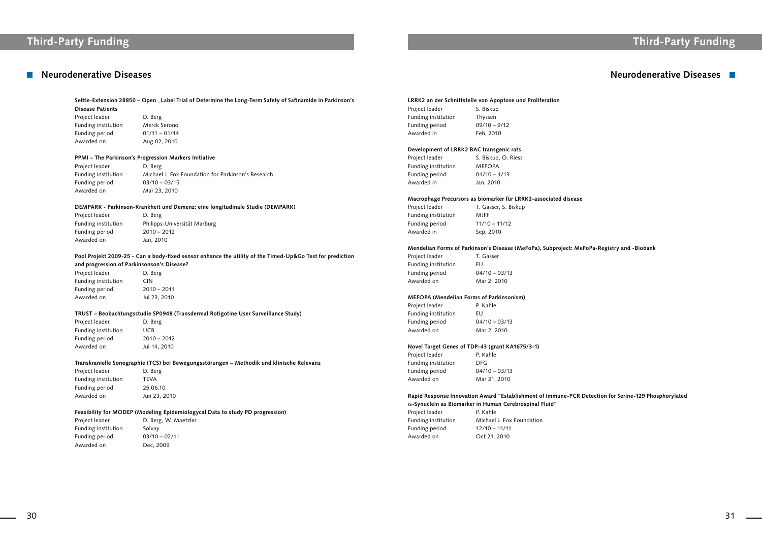# **Third-Party Funding Third-Party Funding**

## **Neurodenerative Diseases Neurodenerative Diseases**

**Settle-Extension 28850 – Open \_Label Trial of Determine the Long-Term Safety of Safinamide in Parkinson's Disease Patients**

Project leader D. Berg Funding institution Merck Serono Funding period 01/11 – 01/14 Awarded on Aug 02, 2010

### **PPMI – The Parkinson's Progression Markers Initiative**

Project leader D. Berg Funding period 2010 – 2012 Awarded on Jan, 2010

| Project leader      | D. Berg                                            |
|---------------------|----------------------------------------------------|
| Funding institution | Michael J. Fox Foundation for Parkinson's Research |
| Funding period      | $03/10 - 03/15$                                    |
| Awarded on          | Mar 23, 2010                                       |
|                     |                                                    |

Project leader D. Berg Funding institution CIN Funding period 2010 – 2011 Awarded on Jul 23, 2010

### **DEMPARK - Parkinson-Krankheit und Demenz: eine longitudinale Studie (DEMPARK)**

Project leader D. Berg Funding institution UCB Funding period 2010 – 2012 Awarded on Jul 14, 2010

Funding institution Philipps-Universität Marburg

#### **LRRK2 an der Schnittstelle von Apoptose und Proliferation** Project leader S. Biskup

### **Pool Projekt 2009-25 - Can a body-fixed sensor enhance the utility of the Timed-Up&Go Test for prediction and progression of Parkinsonson's Disease?**

### **TRUST – Beobachtungsstudie SP0948 (Transdermal Rotigotine User Surveillance Study)**

**Transkranielle Sonographie (TCS) bei Bewegungsstörungen – Methodik und klinische Relevanz**

| D. Berg      |
|--------------|
| <b>TFVA</b>  |
| 25.06.10     |
| Jun 23, 2010 |
|              |

### **Feasibility for MODEP (Modeling Epidemiologycal Data to study PD progression)**

| Project leader      | D. Berg, W. Maetzler |
|---------------------|----------------------|
| Funding institution | Solvay               |
| Funding period      | $03/10 - 02/11$      |
| Awarded on          | Dec. 2009            |

| <b>FIUCCLICAUCI</b> | J. DISNUP      |
|---------------------|----------------|
| Funding institution | Thyssen        |
| Funding period      | $09/10 - 9/12$ |
| Awarded in          | Feb, 2010      |

### **Development of LRRK2 BAC transgenic rats** Project leader S. Biskup, O. Riess Funding institution MEFOPA Funding period 04/10 – 4/13 Awarded in Jan, 2010

### **Macrophage Precursors as biomarker für LRRK2-associated disease**

Project leader T. Gasser, S. Biskup Funding institution MJFF Funding period 11/10 – 11/12 Awarded in Sep, 2010

### **Mendelian Forms of Parkinson's Disease (MeFoPa), Subproject: MeFoPa-Registry and -Biobank**

Project leader T. Gasser Funding institution EU Funding period 04/10 – 03/13 Awarded on Mar 2, 2010

### **MEFOPA (Mendelian Forms of Parkinsonism)**

Project leader **P. Kahle** Funding institution EU Funding period 04/10 – 03/13 Awarded on Mar 2, 2010

### **Novel Target Genes of TDP-43 (grant KA1675/3-1)**

Project leader P. Kahle Funding institution DFG Funding period 04/10 – 03/13 Awarded on Mar 31, 2010

### **Rapid Response Innovation Award "Establishment of Immune-PCR Detection for Serine-129 Phosphorylated**

|                     | $\alpha$ -Synuclein as Biomarker in Human Cerebrospinal Fluid" |
|---------------------|----------------------------------------------------------------|
| Project leader      | P. Kahle                                                       |
| Funding institution | Michael J. Fox Foundation                                      |
| Funding period      | $12/10 - 11/11$                                                |
| Awarded on          | Oct 21, 2010                                                   |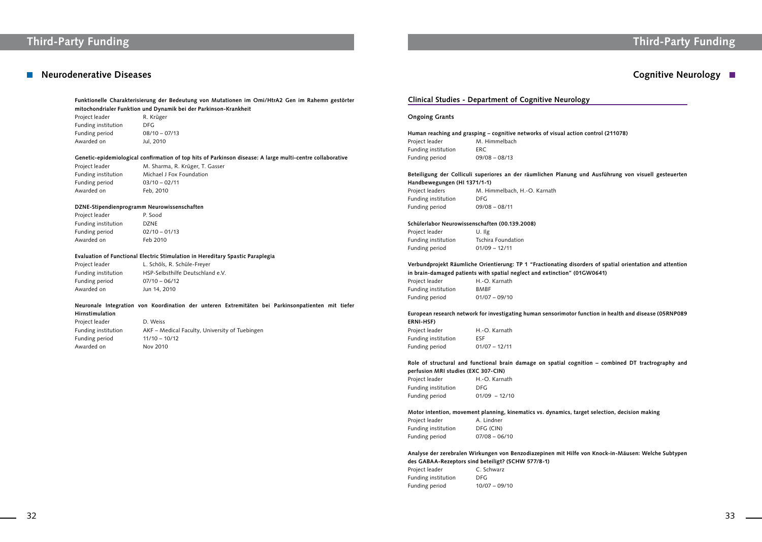## ■ Neurodenerative Diseases **Cognitive Neurology ■**

# **Third-Party Funding Third-Party Funding**

action control (211078)

**Funktionelle Charakterisierung der Bedeutung von Mutationen im Omi/HtrA2 Gen im Rahemn gestörter mitochondrialer Funktion und Dynamik bei der Parkinson-Krankheit**

Project leader R. Krüger Funding institution DFG Funding period 08/10 – 07/13 Awarded on Jul, 2010

Project leader M. Sharma, R. Krüger, T. Gasser Funding institution Michael J Fox Foundation

Funding period 03/10 – 02/11 Awarded on Feb, 2010

### **Genetic-epidemiological confirmation of top hits of Parkinson disease: A large multi-centre collaborative**

#### **DZNE-Stipendienprogramm Neurowissenschaften**

Project leader P. Sood Funding institution DZNE Funding period 02/10 – 01/13 Awarded on Feb 2010

#### **Evaluation of Functional Electric Stimulation in Hereditary Spastic Paraplegia**

Project leaders M. Himmelbach, H.-O. Karnath Funding institution DFG Funding period 09/08 – 08/11

Project leader L. Schöls, R. Schüle-Freyer Funding institution HSP-Selbsthilfe Deutschland e.V.

Funding period 07/10 – 06/12 Awarded on Jun 14, 2010

**in brain-damaged patients with spatial neglect and extinction" (01GW0641)** Project leader H.-O. Karnath

| nstitution | <b>BMBF</b>     |
|------------|-----------------|
| oeriod     | $01/07 - 09/10$ |

### **Neuronale Integration von Koordination der unteren Extremitäten bei Parkinsonpatienten mit tiefer Hirnstimulation**

| Project leader      | D. Weiss                                       |
|---------------------|------------------------------------------------|
| Funding institution | AKF – Medical Faculty, University of Tuebingen |
| Funding period      | $11/10 - 10/12$                                |
| Awarded on          | Nov 2010                                       |

### **Clinical Studies - Department of Cognitive Neurology**

Project leader H.-O. Karnath Funding institution DFG Funding period 01/09 – 12/10

### **Ongoing Grants**

| Human reaching and grasping – cognitive networks of visual |  |  |
|------------------------------------------------------------|--|--|
| M. Himmelbach                                              |  |  |
| FRC.                                                       |  |  |
| $09/08 - 08/13$                                            |  |  |
|                                                            |  |  |

### **Beteiligung der Colliculi superiores an der räumlichen Planung und Ausführung von visuell gesteuerten Handbewegungen (HI 1371/1-1)**

### **Schülerlabor Neurowissenschaften (00.139.2008)**

Project leader U. Ilg Funding institution Tschira Foundation Funding period 01/09 – 12/11

Funding Funding

### **Verbundprojekt Räumliche Orientierung: TP 1 "Fractionating disorders of spatial orientation and attention**

### **European research network for investigating human sensorimotor function in health and disease (05RNP089 ERNI-HSF)**

| Project leader      | H.-O. Karnath   |
|---------------------|-----------------|
| Funding institution | <b>FSF</b>      |
| Funding period      | $01/07 - 12/11$ |

### **Role of structural and functional brain damage on spatial cognition – combined DT tractrography and perfusion MRI studies (EXC 307-CIN)**

### **Motor intention, movement planning, kinematics vs. dynamics, target selection, decision making**

| Project leader      | A. Lindner      |
|---------------------|-----------------|
| Funding institution | DFG (CIN)       |
| Funding period      | $07/08 - 06/10$ |

**Analyse der zerebralen Wirkungen von Benzodiazepinen mit Hilfe von Knock-in-Mäusen: Welche Subtypen** 

**des GABAA-Rezeptors sind beteiligt? (SCHW 577/8-1)** Project leader C. Schwarz Funding institution DFG Funding period 10/07 – 09/10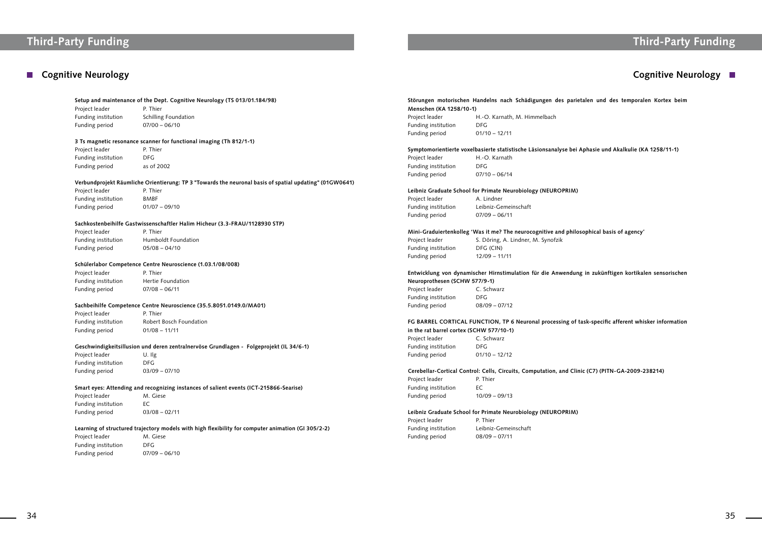# **Third-Party Funding Third-Party Funding**

## **Cognitive Neurology Cognitive Neurology**

#### **Setup and maintenance of the Dept. Cognitive Neurology (TS 013/01.184/98)**

Project leader P. Thier Funding institution Schilling Foundation Funding period 07/00 – 06/10

Project leader P. Thier Funding institution DFG Funding period as of 2002

#### **3 Ts magnetic resonance scanner for functional imaging (Th 812/1-1)**

Project leader P. Thier Funding institution BMBF Funding period 01/07 – 09/10

Project leader P. Thier Funding period 05/08 – 04/10

Funding institution Humboldt Foundation

#### **Verbundprojekt Räumliche Orientierung: TP 3 "Towards the neuronal basis of spatial updating" (01GW0641)**

Project leader P. Thier Funding institution Hertie Foundation Funding period 07/08 – 06/11

Project leader P. Thier Funding institution Robert Bosch Foundation Funding period 01/08 – 11/11

Project leader U. Ilg Funding institution DFG Funding period 03/09 – 07/10

### **Sachkostenbeihilfe Gastwissenschaftler Halim Hicheur (3.3-FRAU/1128930 STP)**

Project leader M. Giese Funding institution EC Funding period 03/08 – 02/11

### **Schülerlabor Competence Centre Neuroscience (1.03.1/08/008)**

Project leader M. Giese Funding institution DFG Funding period 07/09 – 06/10

### **Sachbeihilfe Competence Centre Neuroscience (35.5.8051.0149.0/MA01)**

### **Geschwindigkeitsillusion und deren zentralnervöse Grundlagen - Folgeprojekt (IL 34/6-1)**

### **Smart eyes: Attending and recognizing instances of salient events (ICT-215866-Searise)**

### **Learning of structured trajectory models with high flexibility for computer animation (GI 305/2-2)**

Project leader P. Thier Funding institution EC Funding period 10/09 – 09/13

Project leader **P. Thier** Funding period 08/09 – 07/11

**Störungen motorischen Handelns nach Schädigungen des parietalen und des temporalen Kortex beim** 

se bei Aphasie und Akalkulie (KA 1258/11-1)

philosophical basis of agency'

**Endung in zukünftigen kortikalen sensorischen** 

**ng of task-specific afferent whisker information** 

**Menschen (KA 1258/10-1)**

| Project leader                           | H.-O. Karnath, M. Himmelbach                                     |
|------------------------------------------|------------------------------------------------------------------|
| Funding institution                      | <b>DFG</b>                                                       |
| Funding period                           | $01/10 - 12/11$                                                  |
|                                          | Symptomorientierte voxelbasierte statistische Läsionsanalyse bei |
| Project leader                           | H.-O. Karnath                                                    |
| Funding institution                      | <b>DFG</b>                                                       |
| Funding period                           | $07/10 - 06/14$                                                  |
|                                          | Leibniz Graduate School for Primate Neurobiology (NEUROPRIM)     |
| Project leader                           | A. Lindner                                                       |
| Funding institution                      | Leibniz-Gemeinschaft                                             |
| Funding period                           | $07/09 - 06/11$                                                  |
|                                          | Mini-Graduiertenkolleg 'Was it me? The neurocognitive and philo  |
| Project leader                           | S. Döring, A. Lindner, M. Synofzik                               |
| Funding institution                      | DFG (CIN)                                                        |
| Funding period                           | $12/09 - 11/11$                                                  |
|                                          | Entwicklung von dynamischer Hirnstimulation für die Anwendur     |
| Neuroprothesen (SCHW 577/9-1)            |                                                                  |
| Project leader                           | C. Schwarz                                                       |
| Funding institution                      | <b>DFG</b>                                                       |
| Funding period                           | $08/09 - 07/12$                                                  |
|                                          | FG BARREL CORTICAL FUNCTION, TP 6 Neuronal processing of         |
| in the rat barrel cortex (SCHW 577/10-1) |                                                                  |
| Project leader C. Schwarz                |                                                                  |

| Project leader      | C. Schwarz      |
|---------------------|-----------------|
| Funding institution | DEG             |
| Funding period      | $01/10 - 12/12$ |

### **Cerebellar-Cortical Control: Cells, Circuits, Computation, and Clinic (C7) (PITN-GA-2009-238214)**

### **Leibniz Graduate School for Primate Neurobiology (NEUROPRIM)**

Funding institution Leibniz-Gemeinschaft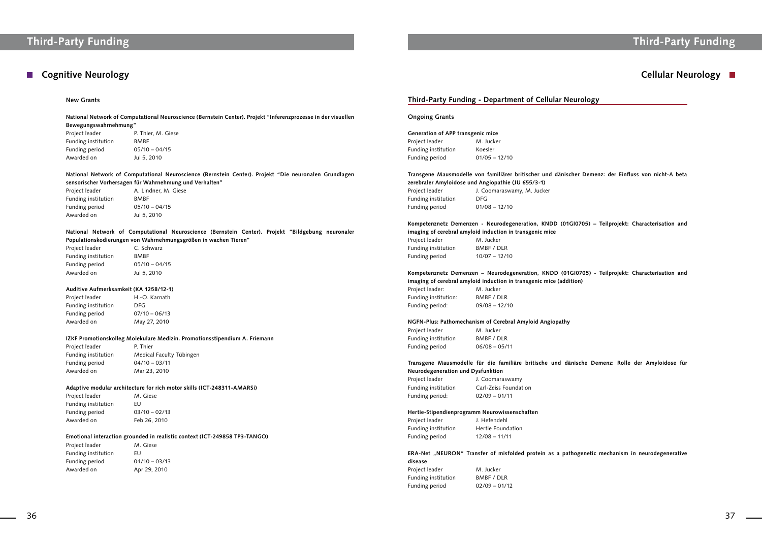# **Third-Party Funding Third-Party Funding**

## **Cognitive Neurology Cellular Neurology**

### **Third-Party Funding - Department of Cellular Neurology**

### **Ongoing Grants**

| Generation of APP transgenic mice |                 |  |
|-----------------------------------|-----------------|--|
| Project leader                    | M. Jucker       |  |
| Funding institution               | Koesler         |  |
| Funding period                    | $01/05 - 12/10$ |  |

**Transgene Mausmodelle von familiärer britischer und dänischer Demenz: der Einfluss von nicht-A beta** 

Project leader M. Jucker Funding institution BMBF / DLR Funding period 10/07 – 12/10

### **zerebraler Amyloidose und Angiopathie (JU 655/3-1)** Project leader J. Coomaraswamy, M. Jucker Funding institution DFG Funding period 01/08 – 12/10

### **Kompetenznetz Demenzen - Neurodegeneration, KNDD (01GI0705) – Teilprojekt: Characterisation and imaging of cerebral amyloid induction in transgenic mice**

Project leader J. Coomaraswamy Funding period: 02/09 – 01/11

Project leader J. Hefendehl Funding institution Hertie Foundation Funding period 12/08 – 11/11

### **Kompetenznetz Demenzen – Neurodegeneration, KNDD (01GI0705) - Teilprojekt: Characterisation and**

### ERA-Net "NEURON" Transfer of misfolded protein as a pathogenetic mechanism in neurodegenerative **disease**

| imaging of cerebral amyloid induction in transgenic mice (addition) |                 |  |
|---------------------------------------------------------------------|-----------------|--|
| Project leader:                                                     | M. Jucker       |  |
| Funding institution:                                                | BMBF / DLR      |  |
| Funding period:                                                     | $09/08 - 12/10$ |  |

Project leader P. Thier, M. Giese Funding institution BMBF Funding period 05/10 – 04/15 Awarded on Jul 5, 2010

### **NGFN-Plus: Pathomechanism of Cerebral Amyloid Angiopathy**

| Project leader      | M. Jucker       |
|---------------------|-----------------|
| Funding institution | BMBF / DLR      |
| Funding period      | $06/08 - 05/11$ |

### **Transgene Mausmodelle für die familiäre britische und dänische Demenz: Rolle der Amyloidose für Neurodegeneration und Dysfunktion**

Project leader H.-O. Karnath Funding institution DFG Funding period 07/10 – 06/13 Awarded on May 27, 2010

Funding institution Carl-Zeiss Foundation

#### **Hertie-Stipendienprogramm Neurowissenschaften**

Project leader M. Giese Funding institution EU Funding period 03/10 – 02/13 Awarded on Feb 26, 2010

| Project leader      | M. Jucker       |
|---------------------|-----------------|
| Funding institution | BMBF / DLR      |
| Funding period      | $02/09 - 01/12$ |

### **New Grants**

**National Network of Computational Neuroscience (Bernstein Center). Projekt "Inferenzprozesse in der visuellen Bewegungswahrnehmung"**

**National Network of Computational Neuroscience (Bernstein Center). Projekt "Die neuronalen Grundlagen sensorischer Vorhersagen für Wahrnehmung und Verhalten"**

| Project leader      | A. Lindner, M. Giese |
|---------------------|----------------------|
| Funding institution | <b>BMBF</b>          |
| Funding period      | $05/10 - 04/15$      |
| Awarded on          | Jul 5, 2010          |

**National Network of Computational Neuroscience (Bernstein Center). Projekt "Bildgebung neuronaler Populationskodierungen von Wahrnehmungsgrößen in wachen Tieren"**

| Project leader      | C. Schwarz      |
|---------------------|-----------------|
| Funding institution | BMBF            |
| Funding period      | $05/10 - 04/15$ |
| Awarded on          | Jul 5, 2010     |

### **Auditive Aufmerksamkeit (KA 1258/12-1)**

### **IZKF Promotionskolleg Molekulare Medizin. Promotionsstipendium A. Friemann**

Project leader P. Thier Funding institution Medical Faculty Tübingen Funding period 04/10 – 03/11 Awarded on Mar 23, 2010

### **Adaptive modular architecture for rich motor skills (ICT-248311-AMARSi)**

### **Emotional interaction grounded in realistic context (ICT-249858 TP3-TANGO)**

| Project leader      | M. Giese        |
|---------------------|-----------------|
| Funding institution | FU              |
| Funding period      | $04/10 - 03/13$ |
| Awarded on          | Apr 29, 2010    |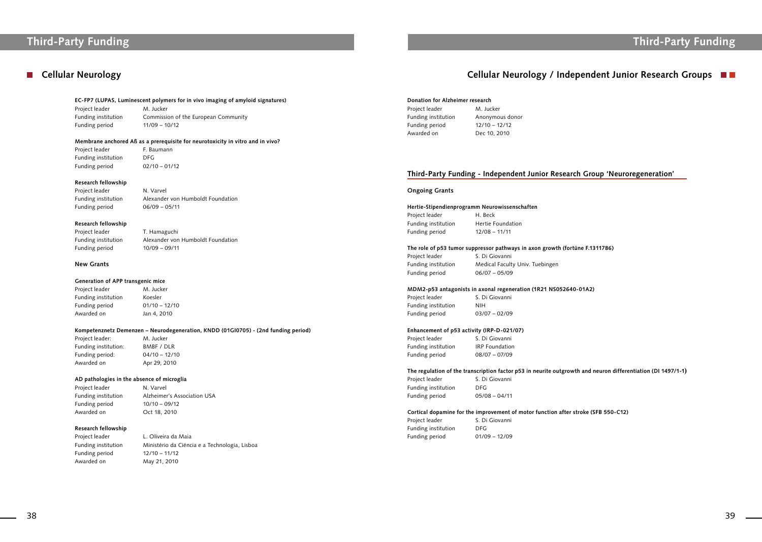## **Cellular Neurology**

# **Third-Party Funding Third-Party Funding**

**Arch Group 'Neuroregeneration'** 

**The F.1311786)** 

#### **EC-FP7 (LUPAS, Luminescent polymers for in vivo imaging of amyloid signatures)**

Project leader M. Jucker Funding period 11/09 – 10/12

Funding institution Commission of the European Community

Project leader F. Baumann Funding institution DFG Funding period 02/10 – 01/12

#### **Membrane anchored Aß as a prerequisite for neurotoxicity in vitro and in vivo?**

Project leader T. Hamaguchi Funding period 10/09 – 09/11

Project leader M. Jucker Funding institution Koesler Funding period 01/10 – 12/10 Awarded on Jan 4, 2010

### **Research fellowship**

Project leader N. Varvel

Funding institution Alexander von Humboldt Foundation Funding period 06/09 – 05/11

### **Research fellowship**

Funding institution Alexander von Humboldt Foundation

### **New Grants**

Project leader L. Oliveira da Maia Funding period 12/10 – 11/12 Awarded on May 21, 2010

### **Generation of APP transgenic mice**

### **Kompetenznetz Demenzen – Neurodegeneration, KNDD (01GI0705) - (2nd funding period)**

Project leader: M. Jucker Funding institution: BMBF / DLR Funding period: 04/10 – 12/10 Awarded on Apr 29, 2010

Project leader S. Di Giovanni Funding institution NIH Funding period 03/07 – 02/09

### **AD pathologies in the absence of microglia**

Project leader N. Varvel Funding period 10/10 – 09/12 Awarded on Oct 18, 2010

Project leader S. Di Giovanni Funding institution IRP Foundation Funding period 08/07 – 07/09

Funding institution Alzheimer's Association USA

Project leader S. Di Giovanni Funding institution DFG Funding period 05/08 – 04/11

### **Research fellowship**

Funding institution Ministério da Ciéncia e a Technologia, Lisboa

| Donation for Alzheimer research       |                                                                                |
|---------------------------------------|--------------------------------------------------------------------------------|
| Project leader                        | M. Jucker                                                                      |
| Funding institution                   | Anonymous donor                                                                |
| Funding period                        | $12/10 - 12/12$                                                                |
| Awarded on                            | Dec 10, 2010                                                                   |
|                                       |                                                                                |
|                                       |                                                                                |
|                                       | <b>Third-Party Funding - Independent Junior Resea</b>                          |
| <b>Ongoing Grants</b>                 |                                                                                |
|                                       |                                                                                |
|                                       | Hertie-Stipendienprogramm Neurowissenschaften                                  |
|                                       | H. Beck                                                                        |
| Project leader<br>Funding institution | Hertie Foundation                                                              |
| Funding period                        | $12/08 - 11/11$                                                                |
|                                       |                                                                                |
| Project leader                        | The role of p53 tumor suppressor pathways in axon growth (fo<br>S. Di Giovanni |

Funding period 06/07 – 05/09

#### **MDM2-p53 antagonists in axonal regeneration (1R21 NS052640-01A2)**

#### **Enhancement of p53 activity (IRP-D-021/07)**

### **The regulation of the transcription factor p53 in neurite outgrowth and neuron differentiation (DI 1497/1-1)**

### **Cortical dopamine for the improvement of motor function after stroke (SFB 550-C12)**

| Project leader      | S. Di Giovanni  |
|---------------------|-----------------|
| Funding institution | DEG.            |
| Funding period      | $01/09 - 12/09$ |

## **Cellular Neurology / Independent Junior Research Groups**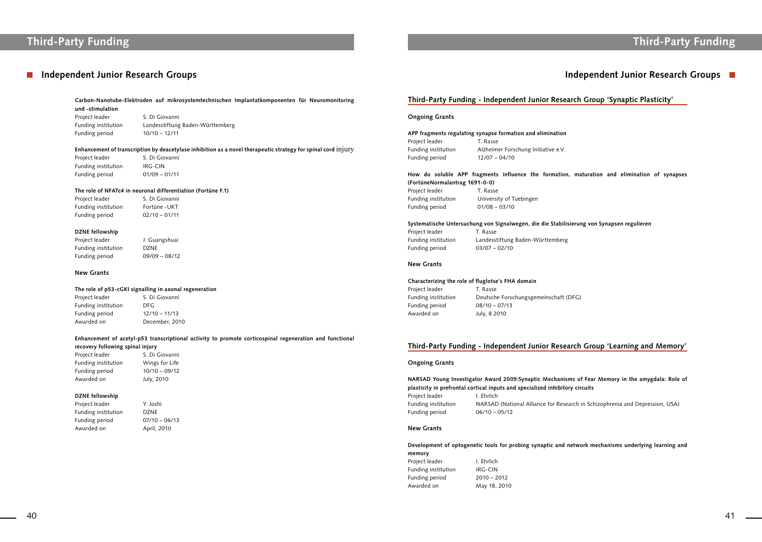### **Independent Junior Research Groups**

# **Third-Party Funding Third-Party Funding**

## **Independent Junior Research Groups**

**Name Soluts In Approx** in the amygdala: Role of **tory circuits** 

search in Schizophrenia and Depression, USA)

**Carbon-Nanotube-Elektroden auf mikrosystemtechnischen Implantatkomponenten für Neuromonitoring und -stimulation**

Project leader S. Di Giovanni Funding period 10/10 – 12/11

Funding institution Landesstiftung Baden-Württemberg

Project leader S. Di Giovanni Funding institution IRG-CIN Funding period 01/09 – 01/11

Project leader S. Di Giovanni Funding institution Fortüne -UKT Funding period 02/10 – 01/11

### **Enhancement of transcription by deacetylase inhibition as a novel therapeutic strategy for spinal cord** injury

Project leader J. Guangshuai Funding institution DZNE Funding period 09/09 – 08/12

Project leader S. Di Giovanni Funding institution DFG Funding period 12/10 – 11/13 Awarded on December, 2010

### **The role of NFATc4 in neuronal differentiation (Fortüne F.1)**

Project leader Y. Joshi Funding institution DZNE Funding period 07/10 – 06/13 Awarded on April, 2010

### **DZNE fellowship**

#### **New Grants**

### **The role of p53-cGKI signalling in axonal regeneration**

Project leader T. Rasse Funding institution University of Tuebingen Funding period 01/08 – 03/10

Project leader T. Rasse Funding institution Landesstiftung Baden-Württemberg Funding period 03/07 – 02/10

### **Enhancement of acetyl-p53 transcriptional activity to promote corticospinal regeneration and functional recovery following spinal injury**

Project leader T. Rasse Funding period 08/10 – 07/13 Awarded on July, 8 2010

| Project leader      | S. Di Giovanni  |
|---------------------|-----------------|
| Funding institution | Wings for Life  |
| Funding period      | $10/10 - 09/12$ |
| Awarded on          | July, 2010      |

### **DZNE fellowship**

### **Third-Party Funding - Independent Junior Research Group 'Synaptic Plasticity'**

### **Ongoing Grants**

| APP fragments regulating synapse formation and elimination |                                     |  |
|------------------------------------------------------------|-------------------------------------|--|
| Project leader                                             | T. Rasse                            |  |
| Funding institution                                        | Alzheimer Forschung Initiative e.V. |  |
| Funding period                                             | $12/07 - 04/10$                     |  |

### **How do soluble APP fragments influence the formation, maturation and elimination of synapses (FortüneNormalantrag 1691-0-0)**

### **Systematische Untersuchung von Signalwegen, die die Stabilisierung von Synapsen regulieren**

### **New Grants**

#### **Characterizing the role of fluglotse's FHA domain**

Funding institution Deutsche Forschungsgemeinschaft (DFG)

### **Third-Party Funding - Independent Junior Research Group 'Learning and Memory'**

#### **Ongoing Grants**

| NARSAD Young Investigator Award 2009:Synaptic Mechani            |                                   |  |  |
|------------------------------------------------------------------|-----------------------------------|--|--|
| plasticity in prefrontal cortical inputs and specialized inhibit |                                   |  |  |
| Project leader                                                   | I. Ehrlich                        |  |  |
| Funding institution                                              | NARSAD (National Alliance for Res |  |  |
| Funding period                                                   | $06/10 - 05/12$                   |  |  |

### **New Grants**

### **Development of optogenetic tools for probing synaptic and network mechanisms underlying learning and memory**

| Project leader      | I. Ehrlich    |
|---------------------|---------------|
| Funding institution | IRG-CIN       |
| Funding period      | $2010 - 2012$ |
| Awarded on          | May 18, 2010  |
|                     |               |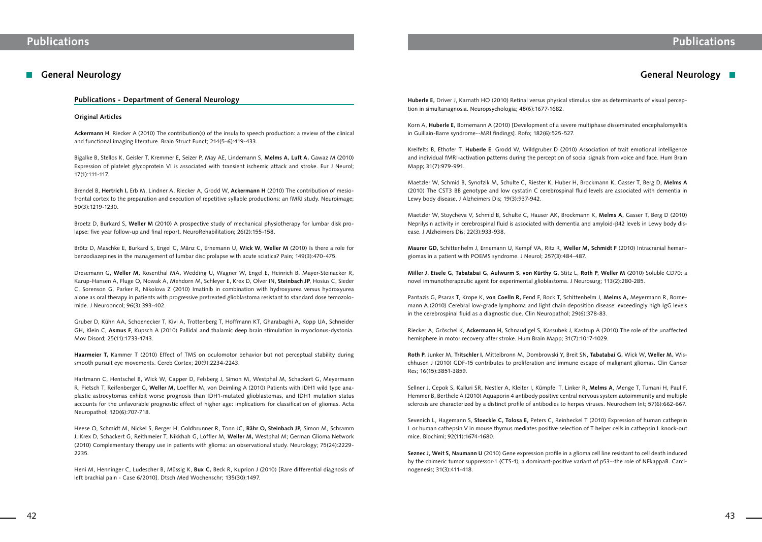## **General Neurology**

### **Publications - Department of General Neurology**

### **Original Articles**

**Ackermann H**, Riecker A (2010) The contribution(s) of the insula to speech production: a review of the clinical and functional imaging literature. Brain Struct Funct; 214(5-6):419-433.

Bigalke B, Stellos K, Geisler T, Kremmer E, Seizer P, May AE, Lindemann S, **Melms A, Luft A,** Gawaz M (2010) Expression of platelet glycoprotein VI is associated with transient ischemic attack and stroke. Eur J Neurol; 17(1):111-117.

Brendel B, **Hertrich I,** Erb M, Lindner A, Riecker A, Grodd W, **Ackermann H** (2010) The contribution of mesiofrontal cortex to the preparation and execution of repetitive syllable productions: an fMRI study. Neuroimage; 50(3):1219-1230.

Broetz D, Burkard S, **Weller M** (2010) A prospective study of mechanical physiotherapy for lumbar disk prolapse: five year follow-up and final report. NeuroRehabilitation; 26(2):155-158.

Brötz D, Maschke E, Burkard S, Engel C, Mänz C, Ernemann U, **Wick W, Weller M** (2010) Is there a role for benzodiazepines in the management of lumbar disc prolapse with acute sciatica? Pain; 149(3):470-475.

Dresemann G, **Weller M,** Rosenthal MA, Wedding U, Wagner W, Engel E, Heinrich B, Mayer-Steinacker R, Karup-Hansen A, Fluge O, Nowak A, Mehdorn M, Schleyer E, Krex D, Olver IN, **Steinbach JP**, Hosius C, Sieder C, Sorenson G, Parker R, Nikolova Z (2010) Imatinib in combination with hydroxyurea versus hydroxyurea alone as oral therapy in patients with progressive pretreated glioblastoma resistant to standard dose temozolomide. J Neurooncol; 96(3):393-402.

Gruber D, Kühn AA, Schoenecker T, Kivi A, Trottenberg T, Hoffmann KT, Gharabaghi A, Kopp UA, Schneider GH, Klein C, **Asmus F**, Kupsch A (2010) Pallidal and thalamic deep brain stimulation in myoclonus-dystonia. Mov Disord; 25(11):1733-1743.

**Haarmeier T,** Kammer T (2010) Effect of TMS on oculomotor behavior but not perceptual stability during smooth pursuit eye movements. Cereb Cortex; 20(9):2234-2243.

Hartmann C, Hentschel B, Wick W, Capper D, Felsberg J, Simon M, Westphal M, Schackert G, Meyermann R, Pietsch T, Reifenberger G, **Weller M,** Loeffler M, von Deimling A (2010) Patients with IDH1 wild type anaplastic astrocytomas exhibit worse prognosis than IDH1-mutated glioblastomas, and IDH1 mutation status accounts for the unfavorable prognostic effect of higher age: implications for classification of gliomas. Acta Neuropathol; 120(6):707-718.

Heese O, Schmidt M, Nickel S, Berger H, Goldbrunner R, Tonn JC, **Bähr O, Steinbach JP,** Simon M, Schramm J, Krex D, Schackert G, Reithmeier T, Nikkhah G, Löffler M, **Weller M,** Westphal M; German Glioma Network (2010) Complementary therapy use in patients with glioma: an observational study. Neurology; 75(24):2229- 2235.

Heni M, Henninger C, Ludescher B, Müssig K, **Bux C,** Beck R, Kuprion J (2010) [Rare differential diagnosis of left brachial pain - Case 6/2010]. Dtsch Med Wochenschr; 135(30):1497.

## **General Neurology**

**Huberle E,** Driver J, Karnath HO (2010) Retinal versus physical stimulus size as determinants of visual perception in simultanagnosia. Neuropsychologia; 48(6):1677-1682.

Korn A, **Huberle E,** Bornemann A (2010) [Development of a severe multiphase disseminated encephalomyelitis in Guillain-Barre syndrome--MRI findings]. Rofo; 182(6):525-527.

Kreifelts B, Ethofer T, **Huberle E**, Grodd W, Wildgruber D (2010) Association of trait emotional intelligence and individual fMRI-activation patterns during the perception of social signals from voice and face. Hum Brain Mapp; 31(7):979-991.

Maetzler W, Schmid B, Synofzik M, Schulte C, Riester K, Huber H, Brockmann K, Gasser T, Berg D, **Melms A**  (2010) The CST3 BB genotype and low cystatin C cerebrospinal fluid levels are associated with dementia in Lewy body disease. J Alzheimers Dis; 19(3):937-942.

Maetzler W, Stoycheva V, Schmid B, Schulte C, Hauser AK, Brockmann K, **Melms A,** Gasser T, Berg D (2010) Neprilysin activity in cerebrospinal fluid is associated with dementia and amyloid- $\beta$ 42 levels in Lewy body disease. J Alzheimers Dis; 22(3):933-938.

**Maurer GD,** Schittenhelm J, Ernemann U, Kempf VA, Ritz R, **Weller M, Schmidt F** (2010) Intracranial hemangiomas in a patient with POEMS syndrome. J Neurol; 257(3):484-487.

**Miller J, Eisele G, Tabatabai G, Aulwurm S, von Kürthy G,** Stitz L, **Roth P, Weller M** (2010) Soluble CD70: a novel immunotherapeutic agent for experimental glioblastoma. J Neurosurg; 113(2):280-285.

Pantazis G, Psaras T, Krope K, **von Coelln R,** Fend F, Bock T, Schittenhelm J, **Melms A,** Meyermann R, Bornemann A (2010) Cerebral low-grade lymphoma and light chain deposition disease: exceedingly high IgG levels in the cerebrospinal fluid as a diagnostic clue. Clin Neuropathol; 29(6):378-83.

Riecker A, Gröschel K, **Ackermann H,** Schnaudigel S, Kassubek J, Kastrup A (2010) The role of the unaffected hemisphere in motor recovery after stroke. Hum Brain Mapp; 31(7):1017-1029.

**Roth P,** Junker M, **Tritschler I,** Mittelbronn M, Dombrowski Y, Breit SN, **Tabatabai G,** Wick W, **Weller M,** Wischhusen J (2010) GDF-15 contributes to proliferation and immune escape of malignant gliomas. Clin Cancer Res; 16(15):3851-3859.

Sellner J, Cepok S, Kalluri SR, Nestler A, Kleiter I, Kümpfel T, Linker R, **Melms A**, Menge T, Tumani H, Paul F, Hemmer B, Berthele A (2010) Aquaporin 4 antibody positive central nervous system autoimmunity and multiple sclerosis are characterized by a distinct profile of antibodies to herpes viruses. Neurochem Int; 57(6):662-667.

Sevenich L, Hagemann S, **Stoeckle C, Tolosa E,** Peters C, Reinheckel T (2010) Expression of human cathepsin L or human cathepsin V in mouse thymus mediates positive selection of T helper cells in cathepsin L knock-out mice. Biochimi; 92(11):1674-1680.

**Seznec J, Weit S, Naumann U** (2010) Gene expression profile in a glioma cell line resistant to cell death induced by the chimeric tumor suppressor-1 (CTS-1), a dominant-positive variant of p53--the role of NFkappaB. Carcinogenesis; 31(3):411-418.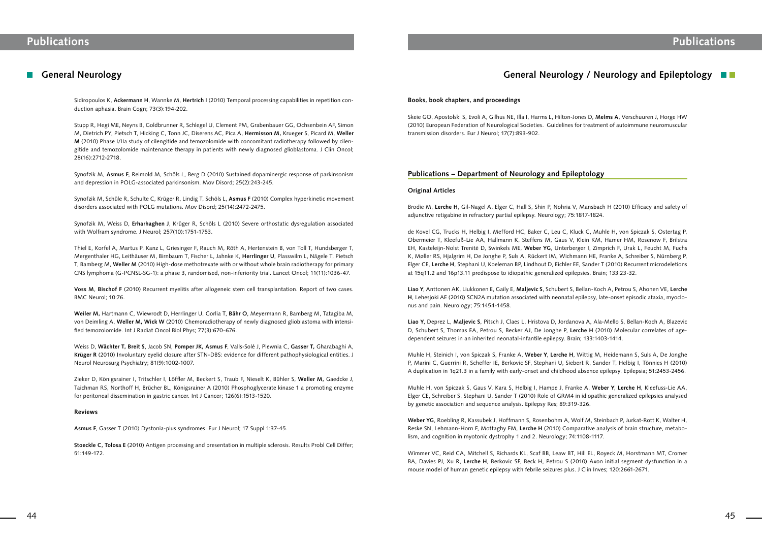### **General Neurology**

Sidiropoulos K, **Ackermann H**, Wannke M, **Hertrich I** (2010) Temporal processing capabilities in repetition conduction aphasia. Brain Cogn; 73(3):194-202.

Stupp R, Hegi ME, Neyns B, Goldbrunner R, Schlegel U, Clement PM, Grabenbauer GG, Ochsenbein AF, Simon M, Dietrich PY, Pietsch T, Hicking C, Tonn JC, Diserens AC, Pica A, **Hermisson M,** Krueger S, Picard M, **Weller M** (2010) Phase I/IIa study of cilengitide and temozolomide with concomitant radiotherapy followed by cilengitide and temozolomide maintenance therapy in patients with newly diagnosed glioblastoma. J Clin Oncol; 28(16):2712-2718.

Synofzik M, **Asmus F**, Reimold M, Schöls L, Berg D (2010) Sustained dopaminergic response of parkinsonism and depression in POLG-associated parkinsonism. Mov Disord; 25(2):243-245.

Synofzik M, Schüle R, Schulte C, Krüger R, Lindig T, Schöls L, **Asmus F** (2010) Complex hyperkinetic movement disorders associated with POLG mutations. Mov Disord; 25(14):2472-2475.

Synofzik M, Weiss D, **Erharhaghen J**, Krüger R, Schöls L (2010) Severe orthostatic dysregulation associated with Wolfram syndrome. J Neurol; 257(10):1751-1753.

Thiel E, Korfel A, Martus P, Kanz L, Griesinger F, Rauch M, Röth A, Hertenstein B, von Toll T, Hundsberger T, Mergenthaler HG, Leithäuser M, Birnbaum T, Fischer L, Jahnke K, **Herrlinger U**, Plasswilm L, Nägele T, Pietsch T, Bamberg M, **Weller M** (2010) High-dose methotrexate with or without whole brain radiotherapy for primary CNS lymphoma (G-PCNSL-SG-1): a phase 3, randomised, non-inferiority trial. Lancet Oncol; 11(11):1036-47.

**Voss M**, **Bischof F** (2010) Recurrent myelitis after allogeneic stem cell transplantation. Report of two cases. BMC Neurol; 10:76.

**Weiler M,** Hartmann C, Wiewrodt D, Herrlinger U, Gorlia T, **Bähr O**, Meyermann R, Bamberg M, Tatagiba M, von Deimling A, **Weller M, Wick W** (2010) Chemoradiotherapy of newly diagnosed glioblastoma with intensified temozolomide. Int J Radiat Oncol Biol Phys; 77(3):670-676.

Weiss D, **Wächter T, Breit S**, Jacob SN, **Pomper JK, Asmus F**, Valls-Solé J, Plewnia C, **Gasser T,** Gharabaghi A, **Krüger R** (2010) Involuntary eyelid closure after STN-DBS: evidence for different pathophysiological entities. J Neurol Neurosurg Psychiatry; 81(9):1002-1007.

Zieker D, Königsrainer I, Tritschler I, Löffler M, Beckert S, Traub F, Nieselt K, Bühler S, **Weller M,** Gaedcke J, Taichman RS, Northoff H, Brücher BL, Königsrainer A (2010) Phosphoglycerate kinase 1 a promoting enzyme for peritoneal dissemination in gastric cancer. Int J Cancer; 126(6):1513-1520.

### **Reviews**

**Asmus F**, Gasser T (2010) Dystonia-plus syndromes. Eur J Neurol; 17 Suppl 1:37-45.

**Stoeckle C, Tolosa E** (2010) Antigen processing and presentation in multiple sclerosis. Results Probl Cell Differ; 51:149-172.

### **Books, book chapters, and proceedings**

Skeie GO, Apostolski S, Evoli A, Gilhus NE, Illa I, Harms L, Hilton-Jones D, **Melms A**, Verschuuren J, Horge HW (2010) European Federation of Neurological Societies. Guidelines for treatment of autoimmune neuromuscular transmission disorders. Eur J Neurol; 17(7):893-902.

### **Publications – Department of Neurology and Epileptology**

### **Original Articles**

Brodie M, **Lerche H**, Gil-Nagel A, Elger C, Hall S, Shin P, Nohria V, Mansbach H (2010) Efficacy and safety of adjunctive retigabine in refractory partial epilepsy. Neurology; 75:1817-1824.

de Kovel CG, Trucks H, Helbig I, Mefford HC, Baker C, Leu C, Kluck C, Muhle H, von Spiczak S, Ostertag P, Obermeier T, Kleefuß-Lie AA, Hallmann K, Steffens M, Gaus V, Klein KM, Hamer HM, Rosenow F, Brilstra EH, Kasteleijn-Nolst Trenité D, Swinkels ME, **Weber YG**, Unterberger I, Zimprich F, Urak L, Feucht M, Fuchs K, Møller RS, Hjalgrim H, De Jonghe P, Suls A, Rückert IM, Wichmann HE, Franke A, Schreiber S, Nürnberg P, Elger CE, **Lerche H**, Stephani U, Koeleman BP, Lindhout D, Eichler EE, Sander T (2010) Recurrent microdeletions at 15q11.2 and 16p13.11 predispose to idiopathic generalized epilepsies. Brain; 133:23-32.

**Liao Y**, Anttonen AK, Liukkonen E, Gaily E, **Maljevic S**, Schubert S, Bellan-Koch A, Petrou S, Ahonen VE, **Lerche H**, Lehesjoki AE (2010) SCN2A mutation associated with neonatal epilepsy, late-onset episodic ataxia, myoclonus and pain. Neurology; 75:1454-1458.

**Liao Y**, Deprez L, **Maljevic S**, Pitsch J, Claes L, Hristova D, Jordanova A, Ala-Mello S, Bellan-Koch A, Blazevic D, Schubert S, Thomas EA, Petrou S, Becker AJ, De Jonghe P, **Lerche H** (2010) Molecular correlates of agedependent seizures in an inherited neonatal-infantile epilepsy. Brain; 133:1403-1414.

Muhle H, Steinich I, von Spiczak S, Franke A, **Weber Y**, **Lerche H**, Wittig M, Heidemann S, Suls A, De Jonghe P, Marini C, Guerrini R, Scheffer IE, Berkovic SF, Stephani U, Siebert R, Sander T, Helbig I, Tönnies H (2010) A duplication in 1q21.3 in a family with early-onset and childhood absence epilepsy. Epilepsia; 51:2453-2456.

Muhle H, von Spiczak S, Gaus V, Kara S, Helbig I, Hampe J, Franke A, **Weber Y**, **Lerche H**, Kleefuss-Lie AA, Elger CE, Schreiber S, Stephani U, Sander T (2010) Role of GRM4 in idiopathic generalized epilepsies analysed by genetic association and sequence analysis. Epilepsy Res; 89:319-326.

**Weber YG**, Roebling R, Kassubek J, Hoffmann S, Rosenbohm A, Wolf M, Steinbach P, Jurkat-Rott K, Walter H, Reske SN, Lehmann-Horn F, Mottaghy FM, **Lerche H** (2010) Comparative analysis of brain structure, metabolism, and cognition in myotonic dystrophy 1 and 2. Neurology; 74:1108-1117.

Wimmer VC, Reid CA, Mitchell S, Richards KL, Scaf BB, Leaw BT, Hill EL, Royeck M, Horstmann MT, Cromer BA, Davies PJ, Xu R, **Lerche H**, Berkovic SF, Beck H, Petrou S (2010) Axon initial segment dysfunction in a mouse model of human genetic epilepsy with febrile seizures plus. J Clin Inves; 120:2661-2671.

## **General Neurology / Neurology and Epileptology**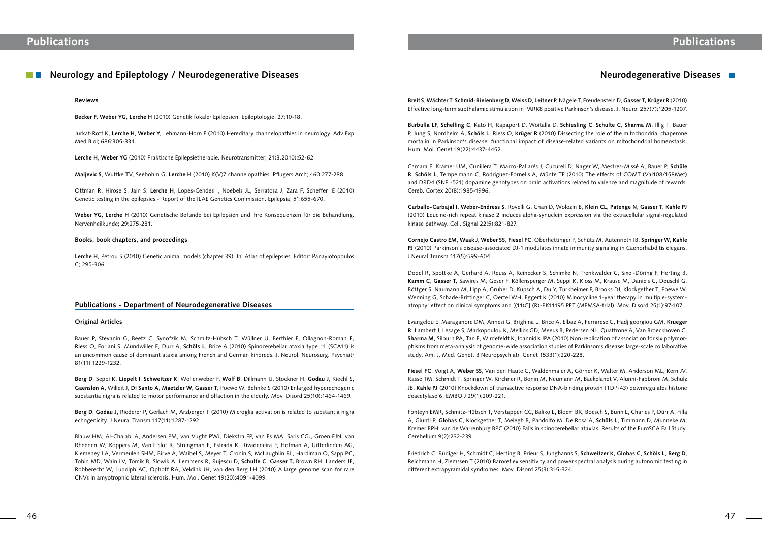## **Neurology and Epileptology / Neurodegenerative Diseases**

### **Reviews**

**Becker F, Weber YG**, **Lerche H** (2010) Genetik fokaler Epilepsien. Epileptologie; 27:10-18.

Jurkat-Rott K, **Lerche H**, **Weber Y**, Lehmann-Horn F (2010) Hereditary channelopathies in neurology. Adv Exp Med Biol; 686:305-334.

**Lerche H**, **Weber YG** (2010) Praktische Epilepsietherapie. Neurotransmitter; 21(3.2010):52-62.

**Maljevic S**, Wuttke TV, Seebohm G, **Lerche H** (2010) K(V)7 channelopathies. Pflugers Arch; 460:277-288.

Ottman R, Hirose S, Jain S, **Lerche H**, Lopes-Cendes I, Noebels JL, Serratosa J, Zara F, Scheffer IE (2010) Genetic testing in the epilepsies - Report of the ILAE Genetics Commission. Epilepsia; 51:655-670.

**Weber YG**, **Lerche H** (2010) Genetische Befunde bei Epilepsien und ihre Konsequenzen für die Behandlung. Nervenheilkunde; 29:275-281.

#### **Books, book chapters, and proceedings**

**Lerche H**, Petrou S (2010) Genetic animal models (chapter 39). In: Atlas of epilepsies. Editor: Panayiotopoulos C; 295-306.

### **Publications - Department of Neurodegenerative Diseases**

### **Original Articles**

Bauer P, Stevanin G, Beetz C, Synofzik M, Schmitz-Hübsch T, Wüllner U, Berthier E, Ollagnon-Roman E, Riess O, Forlani S, Mundwiller E, Durr A, **Schöls L**, Brice A (2010) Spinocerebellar ataxia type 11 (SCA11) is an uncommon cause of dominant ataxia among French and German kindreds. J. Neurol. Neurosurg. Psychiatr 81(11):1229-1232.

**Berg D**, Seppi K, **Liepelt I**, **Schweitzer K**, Wollenweber F, **Wolf B**, Dillmann U, Stockner H, **Godau J**, Kiechl S, **Gaenslen A**, Willeit J, **Di Santo A**, **Maetzler W**, **Gasser T,** Poewe W, Behnke S (2010) Enlarged hyperechogenic substantia nigra is related to motor performance and olfaction in the elderly. Mov. Disord 25(10):1464-1469.

**Berg D**, **Godau J**, Riederer P, Gerlach M, Arzberger T (2010) Microglia activation is related to substantia nigra echogenicity. J Neural Transm 117(11):1287-1292.

Blauw HM, Al-Chalabi A, Andersen PM, van Vught PWJ, Diekstra FP, van Es MA, Saris CGJ, Groen EJN, van Rheenen W, Koppers M, Van't Slot R, Strengman E, Estrada K, Rivadeneira F, Hofman A, Uitterlinden AG, Kiemeney LA, Vermeulen SHM, Birve A, Waibel S, Meyer T, Cronin S, McLaughlin RL, Hardiman O, Sapp PC, Tobin MD, Wain LV, Tomik B, Slowik A, Lemmens R, Rujescu D, **Schulte C**, **Gasser T,** Brown RH, Landers JE, Robberecht W, Ludolph AC, Ophoff RA, Veldink JH, van den Berg LH (2010) A large genome scan for rare CNVs in amyotrophic lateral sclerosis. Hum. Mol. Genet 19(20):4091-4099.

## **Neurodegenerative Diseases**

**Breit S**, **Wächter T**, **Schmid-Bielenberg D**, **Weiss D**, **Leitner P**, Nägele T, Freudenstein D, **Gasser T, Krüger R** (2010) Effective long-term subthalamic stimulation in PARK8 positive Parkinson's disease. J. Neurol 257(7):1205-1207.

**Burbulla LF**, **Schelling C**, Kato H, Rapaport D, Woitalla D, **Schiesling C**, **Schulte C**, **Sharma M**, Illig T, Bauer P, Jung S, Nordheim A, **Schöls L**, Riess O, **Krüger R** (2010) Dissecting the role of the mitochondrial chaperone mortalin in Parkinson's disease: functional impact of disease-related variants on mitochondrial homeostasis. Hum. Mol. Genet 19(22):4437-4452.

Camara E, Krämer UM, Cunillera T, Marco-Pallarés J, Cucurell D, Nager W, Mestres-Missé A, Bauer P, **Schüle R**, **Schöls L**, Tempelmann C, Rodriguez-Fornells A, Münte TF (2010) The effects of COMT (Val108/158Met) and DRD4 (SNP -521) dopamine genotypes on brain activations related to valence and magnitude of rewards. Cereb. Cortex 20(8):1985-1996.

**Carballo-Carbajal I**, **Weber-Endress S**, Rovelli G, Chan D, Wolozin B, **Klein CL**, **Patenge N**, **Gasser T, Kahle PJ**  (2010) Leucine-rich repeat kinase 2 induces alpha-synuclein expression via the extracellular signal-regulated kinase pathway. Cell. Signal 22(5):821-827.

**Cornejo Castro EM**, **Waak J**, **Weber SS**, **Fiesel FC**, Oberhettinger P, Schütz M, Autenrieth IB, **Springer W**, **Kahle PJ** (2010) Parkinson's disease-associated DJ-1 modulates innate immunity signaling in Caenorhabditis elegans. J Neural Transm 117(5):599-604.

Dodel R, Spottke A, Gerhard A, Reuss A, Reinecker S, Schimke N, Trenkwalder C, Sixel-Döring F, Herting B, **Kamm C**, **Gasser T,** Sawires M, Geser F, Köllensperger M, Seppi K, Kloss M, Krause M, Daniels C, Deuschl G, Böttger S, Naumann M, Lipp A, Gruber D, Kupsch A, Du Y, Turkheimer F, Brooks DJ, Klockgether T, Poewe W, Wenning G, Schade-Brittinger C, Oertel WH, Eggert K (2010) Minocycline 1-year therapy in multiple-systematrophy: effect on clinical symptoms and [(11)C] (R)-PK11195 PET (MEMSA-trial). Mov. Disord 25(1):97-107.

Evangelou E, Maraganore DM, Annesi G, Brighina L, Brice A, Elbaz A, Ferrarese C, Hadjigeorgiou GM, **Krueger R**, Lambert J, Lesage S, Markopoulou K, Mellick GD, Meeus B, Pedersen NL, Quattrone A, Van Broeckhoven C, **Sharma M**, Silburn PA, Tan E, Wirdefeldt K, Ioannidis JPA (2010) Non-replication of association for six polymorphisms from meta-analysis of genome-wide association studies of Parkinson's disease: large-scale collaborative study. Am. J. Med. Genet. B Neuropsychiatr. Genet 153B(1):220-228.

**Fiesel FC**, Voigt A, **Weber SS**, Van den Haute C, Waldenmaier A, Görner K, Walter M, Anderson ML, Kern JV, Rasse TM, Schmidt T, Springer W, Kirchner R, Bonin M, Neumann M, Baekelandt V, Alunni-Fabbroni M, Schulz JB, **Kahle PJ** (2010) Knockdown of transactive response DNA-binding protein (TDP-43) downregulates histone deacetylase 6. EMBO J 29(1):209-221.

Fonteyn EMR, Schmitz-Hübsch T, Verstappen CC, Baliko L, Bloem BR, Boesch S, Bunn L, Charles P, Dürr A, Filla A, Giunti P, **Globas C**, Klockgether T, Melegh B, Pandolfo M, De Rosa A, **Schöls L**, Timmann D, Munneke M, Kremer BPH, van de Warrenburg BPC (2010) Falls in spinocerebellar ataxias: Results of the EuroSCA Fall Study. Cerebellum 9(2):232-239.

Friedrich C, Rüdiger H, Schmidt C, Herting B, Prieur S, Junghanns S, **Schweitzer K**, **Globas C**, **Schöls L**, **Berg D**, Reichmann H, Ziemssen T (2010) Baroreflex sensitivity and power spectral analysis during autonomic testing in different extrapyramidal syndromes. Mov. Disord 25(3):315-324.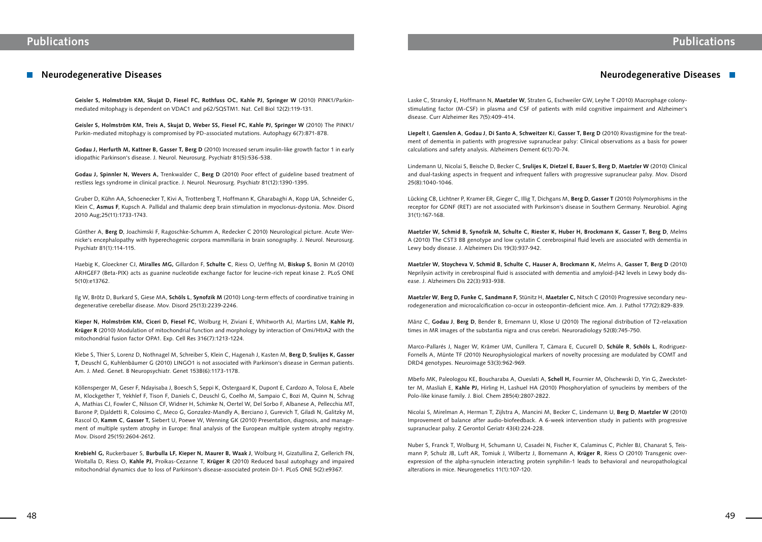**Geisler S, Holmström KM, Skujat D, Fiesel FC, Rothfuss OC, Kahle PJ, Springer W** (2010) PINK1/Parkinmediated mitophagy is dependent on VDAC1 and p62/SQSTM1. Nat. Cell Biol 12(2):119-131.

**Godau J, Herfurth M, Kattner B, Gasser T, Berg D** (2010) Increased serum insulin-like growth factor 1 in early idiopathic Parkinson's disease. J. Neurol. Neurosurg. Psychiatr 81(5):536-538.

**Geisler S, Holmström KM, Treis A, Skujat D, Weber SS, Fiesel FC, Kahle PJ, Springer W** (2010) The PINK1/ Parkin-mediated mitophagy is compromised by PD-associated mutations. Autophagy 6(7):871-878.

**Godau J, Spinnler N, Wevers A,** Trenkwalder C, **Berg D** (2010) Poor effect of guideline based treatment of restless legs syndrome in clinical practice. J. Neurol. Neurosurg. Psychiatr 81(12):1390-1395.

Gruber D, Kühn AA, Schoenecker T, Kivi A, Trottenberg T, Hoffmann K, Gharabaghi A, Kopp UA, Schneider G, Klein C, **Asmus F**, Kupsch A. Pallidal and thalamic deep brain stimulation in myoclonus-dystonia. Mov. Disord 2010 Aug;25(11):1733-1743.

Günther A, **Berg D**, Joachimski F, Ragoschke-Schumm A, Redecker C 2010) Neurological picture. Acute Wernicke's encephalopathy with hyperechogenic corpora mammillaria in brain sonography. J. Neurol. Neurosurg. Psychiatr 81(1):114-115.

Haebig K, Gloeckner CJ, **Miralles MG,** Gillardon F, **Schulte C**, Riess O, Ueffing M, **Biskup S,** Bonin M (2010) ARHGEF7 (Beta-PIX) acts as guanine nucleotide exchange factor for leucine-rich repeat kinase 2. PLoS ONE 5(10):e13762.

Ilg W, Brötz D, Burkard S, Giese MA, **Schöls L**, **Synofzik M** (2010) Long-term effects of coordinative training in degenerative cerebellar disease. Mov. Disord 25(13):2239-2246.

**Kieper N, Holmström KM, Ciceri D, Fiesel FC**, Wolburg H, Ziviani E, Whitworth AJ, Martins LM, **Kahle PJ, Krüger R** (2010) Modulation of mitochondrial function and morphology by interaction of Omi/HtrA2 with the mitochondrial fusion factor OPA1. Exp. Cell Res 316(7):1213-1224.

Klebe S, Thier S, Lorenz D, Nothnagel M, Schreiber S, Klein C, Hagenah J, Kasten M, **Berg D**, **Srulijes K, Gasser T,** Deuschl G, Kuhlenbäumer G (2010) LINGO1 is not associated with Parkinson's disease in German patients. Am. J. Med. Genet. B Neuropsychiatr. Genet 153B(6):1173-1178.

Köllensperger M, Geser F, Ndayisaba J, Boesch S, Seppi K, Ostergaard K, Dupont E, Cardozo A, Tolosa E, Abele M, Klockgether T, Yekhlef F, Tison F, Daniels C, Deuschl G, Coelho M, Sampaio C, Bozi M, Quinn N, Schrag A, Mathias CJ, Fowler C, Nilsson CF, Widner H, Schimke N, Oertel W, Del Sorbo F, Albanese A, Pellecchia MT, Barone P, Djaldetti R, Colosimo C, Meco G, Gonzalez-Mandly A, Berciano J, Gurevich T, Giladi N, Galitzky M, Rascol O, **Kamm C**, **Gasser T,** Siebert U, Poewe W, Wenning GK (2010) Presentation, diagnosis, and management of multiple system atrophy in Europe: final analysis of the European multiple system atrophy registry. Mov. Disord 25(15):2604-2612.

**Krebiehl G,** Ruckerbauer S, **Burbulla LF, Kieper N, Maurer B, Waak J**, Wolburg H, Gizatullina Z, Gellerich FN, Woitalla D, Riess O, **Kahle PJ,** Proikas-Cezanne T, **Krüger R** (2010) Reduced basal autophagy and impaired mitochondrial dynamics due to loss of Parkinson's disease-associated protein DJ-1. PLoS ONE 5(2):e9367.

## **Neurodegenerative Diseases**

Laske C, Stransky E, Hoffmann N, **Maetzler W**, Straten G, Eschweiler GW, Leyhe T (2010) Macrophage colonystimulating factor (M-CSF) in plasma and CSF of patients with mild cognitive impairment and Alzheimer's disease. Curr Alzheimer Res 7(5):409-414.

**Liepelt I**, **Gaenslen A**, **Godau J**, **Di Santo A**, **Schweitzer K**J, **Gasser T, Berg D** (2010) Rivastigmine for the treatment of dementia in patients with progressive supranuclear palsy: Clinical observations as a basis for power calculations and safety analysis. Alzheimers Dement 6(1):70-74.

Lindemann U, Nicolai S, Beische D, Becker C, **Srulijes K, Dietzel E, Bauer S, Berg D**, **Maetzler W** (2010) Clinical and dual-tasking aspects in frequent and infrequent fallers with progressive supranuclear palsy. Mov. Disord 25(8):1040-1046.

Lücking CB, Lichtner P, Kramer ER, Gieger C, Illig T, Dichgans M, **Berg D**, **Gasser T** (2010) Polymorphisms in the receptor for GDNF (RET) are not associated with Parkinson's disease in Southern Germany. Neurobiol. Aging 31(1):167-168.

**Maetzler W, Schmid B, Synofzik M, Schulte C, Riester K, Huber H, Brockmann K, Gasser T, Berg D**, Melms A (2010) The CST3 BB genotype and low cystatin C cerebrospinal fluid levels are associated with dementia in Lewy body disease. J. Alzheimers Dis 19(3):937-942.

**Maetzler W, Stoycheva V, Schmid B, Schulte C, Hauser A, Brockmann K,** Melms A, **Gasser T, Berg D** (2010) Neprilysin activity in cerebrospinal fluid is associated with dementia and amyloid-β42 levels in Lewy body disease. J. Alzheimers Dis 22(3):933-938.

**Maetzler W**, **Berg D, Funke C, Sandmann F,** Stünitz H, **Maetzler C,** Nitsch C (2010) Progressive secondary neurodegeneration and microcalcification co-occur in osteopontin-deficient mice. Am. J. Pathol 177(2):829-839.

Mänz C, **Godau J**, **Berg D**, Bender B, Ernemann U, Klose U (2010) The regional distribution of T2-relaxation times in MR images of the substantia nigra and crus cerebri. Neuroradiology 52(8):745-750.

Marco-Pallarés J, Nager W, Krämer UM, Cunillera T, Càmara E, Cucurell D, **Schüle R**, **Schöls L**, Rodriguez-Fornells A, Münte TF (2010) Neurophysiological markers of novelty processing are modulated by COMT and DRD4 genotypes. Neuroimage 53(3):962-969.

Mbefo MK, Paleologou KE, Boucharaba A, Oueslati A, **Schell H,** Fournier M, Olschewski D, Yin G, Zweckstetter M, Masliah E, **Kahle PJ,** Hirling H, Lashuel HA (2010) Phosphorylation of synucleins by members of the Polo-like kinase family. J. Biol. Chem 285(4):2807-2822.

Nicolai S, Mirelman A, Herman T, Zijlstra A, Mancini M, Becker C, Lindemann U, **Berg D**, **Maetzler W** (2010) Improvement of balance after audio-biofeedback. A 6-week intervention study in patients with progressive supranuclear palsy. Z Gerontol Geriatr 43(4):224-228.

Nuber S, Franck T, Wolburg H, Schumann U, Casadei N, Fischer K, Calaminus C, Pichler BJ, Chanarat S, Teismann P, Schulz JB, Luft AR, Tomiuk J, Wilbertz J, Bornemann A, **Krüger R**, Riess O (2010) Transgenic overexpression of the alpha-synuclein interacting protein synphilin-1 leads to behavioral and neuropathological alterations in mice. Neurogenetics 11(1):107-120.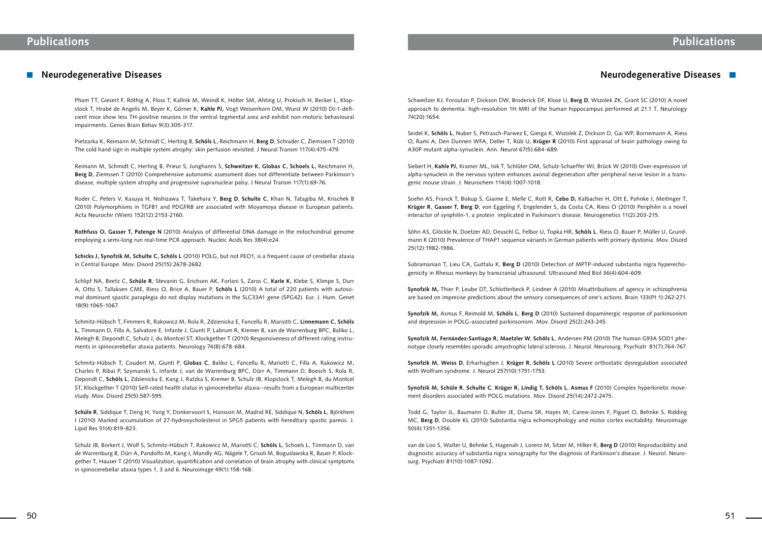Pham TT, Giesert F, Röthig A, Floss T, Kallnik M, Weindl K, Hölter SM, Ahting U, Prokisch H, Becker L, Klopstock T, Hrabé de Angelis M, Beyer K, Görner K, **Kahle PJ,** Vogt Weisenhorn DM, Wurst W (2010) DJ-1-deficient mice show less TH-positive neurons in the ventral tegmental area and exhibit non-motoric behavioural impairments. Genes Brain Behav 9(3):305-317.

Pietzarka K, Reimann M, Schmidt C, Herting B, **Schöls L**, Reichmann H, **Berg D**, Schrader C, Ziemssen T (2010) The cold hand sign in multiple system atrophy: skin perfusion revisited. J Neural Transm 117(4):475-479.

Reimann M, Schmidt C, Herting B, Prieur S, Junghanns S, **Schweitzer K, Globas C, Schoels L,** Reichmann H, **Berg D**, Ziemssen T (2010) Comprehensive autonomic assessment does not differentiate between Parkinson's disease, multiple system atrophy and progressive supranuclear palsy. J Neural Transm 117(1):69-76.

Roder C, Peters V, Kasuya H, Nishizawa T, Takehara Y, **Berg D**, **Schulte C**, Khan N, Tatagiba M, Krischek B (2010) Polymorphisms in TGFB1 and PDGFRB are associated with Moyamoya disease in European patients. Acta Neurochir (Wien) 152(12):2153-2160.

**Rothfuss O, Gasser T, Patenge N** (2010) Analysis of differential DNA damage in the mitochondrial genome employing a semi-long run real-time PCR approach. Nucleic Acids Res 38(4):e24.

**Schicks J, Synofzik M, Schulte C, Schöls L** (2010) POLG, but not PEO1, is a frequent cause of cerebellar ataxia in Central Europe. Mov. Disord 25(15):2678-2682.

Schlipf NA, Beetz C, **Schüle R**, Stevanin G, Erichsen AK, Forlani S, Zaros C, **Karle K,** Klebe S, Klimpe S, Durr A, Otto S, Tallaksen CME, Riess O, Brice A, Bauer P, **Schöls L** (2010) A total of 220 patients with autosomal dominant spastic paraplegia do not display mutations in the SLC33A1 gene (SPG42). Eur. J. Hum. Genet 18(9):1065-1067.

Schmitz-Hübsch T, Fimmers R, Rakowicz M, Rola R, Zdzienicka E, Fancellu R, Mariotti C, **Linnemann C, Schöls L**, Timmann D, Filla A, Salvatore E, Infante J, Giunti P, Labrum R, Kremer B, van de Warrenburg BPC, Baliko L, Melegh B, Depondt C, Schulz J, du Montcel ST, Klockgether T (2010) Responsiveness of different rating instruments in spinocerebellar ataxia patients. Neurology 74(8):678-684.

Schmitz-Hübsch T, Coudert M, Giunti P, **Globas C**, Baliko L, Fancellu R, Mariotti C, Filla A, Rakowicz M, Charles P, Ribai P, Szymanski S, Infante J, van de Warrenburg BPC, Dürr A, Timmann D, Boesch S, Rola R, Depondt C, **Schöls L**, Zdzienicka E, Kang J, Ratzka S, Kremer B, Schulz JB, Klopstock T, Melegh B, du Montcel ST, Klockgether T (2010) Self-rated health status in spinocerebellar ataxia--results from a European multicenter study. Mov. Disord 25(5):587-595.

**Schüle R**, Siddique T, Deng H, Yang Y, Donkervoort S, Hansson M, Madrid RE, Siddique N, **Schöls L**, Björkhem I (2010) Marked accumulation of 27-hydroxycholesterol in SPG5 patients with hereditary spastic paresis. J. Lipid Res 51(4):819-823.

Schulz JB, Borkert J, Wolf S, Schmitz-Hübsch T, Rakowicz M, Mariotti C, **Schöls L**, Schoels L, Timmann D, van de Warrenburg B, Dürr A, Pandolfo M, Kang J, Mandly AG, Nägele T, Grisoli M, Boguslawska R, Bauer P, Klockgether T, Hauser T (2010) Visualization, quantification and correlation of brain atrophy with clinical symptoms in spinocerebellar ataxia types 1, 3 and 6. Neuroimage 49(1):158-168.

## **Neurodegenerative Diseases**

Schweitzer KJ, Foroutan P, Dickson DW, Broderick DF, Klose U, **Berg D**, Wszolek ZK, Grant SC (2010) A novel approach to dementia: high-resolution 1H MRI of the human hippocampus performed at 21.1 T. Neurology 74(20):1654.

Seidel K, **Schöls L**, Nuber S, Petrasch-Parwez E, Gierga K, Wszolek Z, Dickson D, Gai WP, Bornemann A, Riess O, Rami A, Den Dunnen WFA, Deller T, Rüb U, **Krüger R** (2010) First appraisal of brain pathology owing to A30P mutant alpha-synuclein. Ann. Neurol 67(5):684-689.

Siebert H, **Kahle PJ,** Kramer ML, Isik T, Schlüter OM, Schulz-Schaeffer WJ, Brück W (2010) Over-expression of alpha-synuclein in the nervous system enhances axonal degeneration after peripheral nerve lesion in a transgenic mouse strain. J. Neurochem 114(4):1007-1018.

Soehn AS, Franck T, Biskup S, Giaime E, Melle C, Rott R, **Cebo D,** Kalbacher H, Ott E, Pahnke J, Meitinger T, **Krüger R**, **Gasser T, Berg D**, von Eggeling F, Engelender S, da Costa CA, Riess O (2010) Periphilin is a novel interactor of synphilin-1, a protein implicated in Parkinson's disease. Neurogenetics 11(2):203-215.

Söhn AS, Glöckle N, Doetzer AD, Deuschl G, Felbor U, Topka HR, **Schöls L**, Riess O, Bauer P, Müller U, Grundmann K (2010) Prevalence of THAP1 sequence variants in German patients with primary dystonia. Mov. Disord 25(12):1982-1986.

Subramanian T, Lieu CA, Guttalu K, **Berg D** (2010) Detection of MPTP-induced substantia nigra hyperechogenicity in Rhesus monkeys by transcranial ultrasound. Ultrasound Med Biol 36(4):604-609.

**Synofzik M,** Thier P, Leube DT, Schlotterbeck P, Lindner A (2010) Misattributions of agency in schizophrenia are based on imprecise predictions about the sensory consequences of one's actions. Brain 133(Pt 1):262-271.

**Synofzik M,** Asmus F, Reimold M, **Schöls L**, **Berg D** (2010) Sustained dopaminergic response of parkinsonism and depression in POLG-associated parkinsonism. Mov. Disord 25(2):243-245.

**Synofzik M, Fernández-Santiago R, Maetzler W**, **Schöls L**, Andersen PM (2010) The human G93A SOD1 phenotype closely resembles sporadic amyotrophic lateral sclerosis. J. Neurol. Neurosurg. Psychiatr 81(7):764-767.

**Synofzik M, Weiss D**, Erharhaghen J, **Krüger R**, **Schöls L** (2010) Severe orthostatic dysregulation associated with Wolfram syndrome. J. Neurol 257(10):1751-1753.

**Synofzik M, Schüle R**, **Schulte C**, **Krüger R, Lindig T, Schöls L**, **Asmus F** (2010) Complex hyperkinetic movement disorders associated with POLG mutations. Mov. Disord 25(14):2472-2475.

Todd G, Taylor JL, Baumann D, Butler JE, Duma SR, Hayes M, Carew-Jones F, Piguet O, Behnke S, Ridding MC, **Berg D**, Double KL (2010) Substantia nigra echomorphology and motor cortex excitability. Neuroimage 50(4):1351-1356.

van de Loo S, Walter U, Behnke S, Hagenah J, Lorenz M, Sitzer M, Hilker R, **Berg D** (2010) Reproducibility and diagnostic accuracy of substantia nigra sonography for the diagnosis of Parkinson's disease. J. Neurol. Neurosurg. Psychiatr 81(10):1087-1092.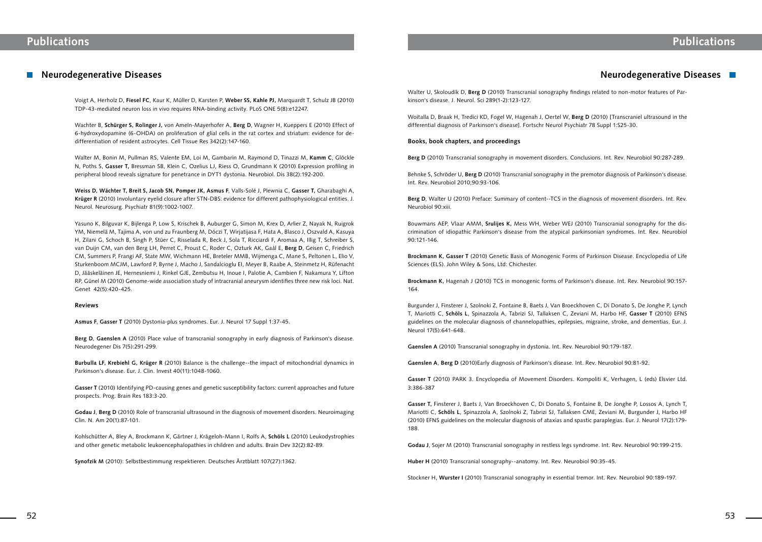Voigt A, Herholz D, **Fiesel FC**, Kaur K, Müller D, Karsten P, **Weber SS, Kahle PJ,** Marquardt T, Schulz JB (2010) TDP-43-mediated neuron loss in vivo requires RNA-binding activity. PLoS ONE 5(8):e12247.

Wachter B, **Schürger S, Rolinger J,** von Ameln-Mayerhofer A, **Berg D**, Wagner H, Kueppers E (2010) Effect of 6-hydroxydopamine (6-OHDA) on proliferation of glial cells in the rat cortex and striatum: evidence for dedifferentiation of resident astrocytes. Cell Tissue Res 342(2):147-160.

Walter M, Bonin M, Pullman RS, Valente EM, Loi M, Gambarin M, Raymond D, Tinazzi M, **Kamm C**, Glöckle N, Poths S, **Gasser T,** Bressman SB, Klein C, Ozelius LJ, Riess O, Grundmann K (2010) Expression profiling in peripheral blood reveals signature for penetrance in DYT1 dystonia. Neurobiol. Dis 38(2):192-200.

**Weiss D, Wächter T, Breit S, Jacob SN, Pomper JK, Asmus F**, Valls-Solé J, Plewnia C, **Gasser T,** Gharabaghi A, **Krüger R** (2010) Involuntary eyelid closure after STN-DBS: evidence for different pathophysiological entities. J. Neurol. Neurosurg. Psychiatr 81(9):1002-1007.

Yasuno K, Bilguvar K, Bijlenga P, Low S, Krischek B, Auburger G, Simon M, Krex D, Arlier Z, Nayak N, Ruigrok YM, Niemelä M, Tajima A, von und zu Fraunberg M, Dóczi T, Wirjatijasa F, Hata A, Blasco J, Oszvald A, Kasuya H, Zilani G, Schoch B, Singh P, Stüer C, Risselada R, Beck J, Sola T, Ricciardi F, Aromaa A, Illig T, Schreiber S, van Duijn CM, van den Berg LH, Perret C, Proust C, Roder C, Ozturk AK, Gaál E, **Berg D**, Geisen C, Friedrich CM, Summers P, Frangi AF, State MW, Wichmann HE, Breteler MMB, Wijmenga C, Mane S, Peltonen L, Elio V, Sturkenboom MCJM, Lawford P, Byrne J, Macho J, Sandalcioglu EI, Meyer B, Raabe A, Steinmetz H, Rüfenacht D, Jääskeläinen JE, Hernesniemi J, Rinkel GJE, Zembutsu H, Inoue I, Palotie A, Cambien F, Nakamura Y, Lifton RP, Günel M (2010) Genome-wide association study of intracranial aneurysm identifies three new risk loci. Nat. Genet 42(5):420-425.

### **Reviews**

**Asmus F**, **Gasser T** (2010) Dystonia-plus syndromes. Eur. J. Neurol 17 Suppl 1:37-45.

**Berg D**, **Gaenslen A** (2010) Place value of transcranial sonography in early diagnosis of Parkinson's disease. Neurodegener Dis 7(5):291-299.

**Burbulla LF, Krebiehl G, Krüger R** (2010) Balance is the challenge--the impact of mitochondrial dynamics in Parkinson's disease. Eur. J. Clin. Invest 40(11):1048-1060.

**Gasser T** (2010) Identifying PD-causing genes and genetic susceptibility factors: current approaches and future prospects. Prog. Brain Res 183:3-20.

**Godau J**, **Berg D** (2010) Role of transcranial ultrasound in the diagnosis of movement disorders. Neuroimaging Clin. N. Am 20(1):87-101.

Kohlschütter A, Bley A, Brockmann K, Gärtner J, Krägeloh-Mann I, Rolfs A, **Schöls L** (2010) Leukodystrophies and other genetic metabolic leukoencephalopathies in children and adults. Brain Dev 32(2):82-89.

**Synofzik M** (2010): Selbstbestimmung respektieren. Deutsches Ärztblatt 107(27):1362.

### **Neurodegenerative Diseases**

Walter U, Skoloudík D, **Berg D** (2010) Transcranial sonography findings related to non-motor features of Parkinson's disease. J. Neurol. Sci 289(1-2):123-127.

Woitalla D, Braak H, Tredici KD, Fogel W, Hagenah J, Oertel W, **Berg D** (2010) [Transcraniel ultrasound in the differential diagnosis of Parkinson's disease]. Fortschr Neurol Psychiatr 78 Suppl 1:S25-30.

#### **Books, book chapters, and proceedings**

**Berg D** (2010) Transcranial sonography in movement disorders. Conclusions. Int. Rev. Neurobiol 90:287-289.

Behnke S, Schröder U, **Berg D** (2010) Transcranial sonography in the premotor diagnosis of Parkinson's disease. Int. Rev. Neurobiol 2010;90:93-106.

**Berg D**, Walter U (2010) Preface: Summary of content--TCS in the diagnosis of movement disorders. Int. Rev. Neurobiol 90:xiii.

Bouwmans AEP, Vlaar AMM, **Srulijes K,** Mess WH, Weber WEJ (2010) Transcranial sonography for the discrimination of idiopathic Parkinson's disease from the atypical parkinsonian syndromes. Int. Rev. Neurobiol 90:121-146.

**Brockmann K, Gasser T** (2010) Genetic Basis of Monogenic Forms of Parkinson Disease. Encyclopedia of Life Sciences (ELS). John Wiley & Sons, Ltd: Chichester.

**Brockmann K,** Hagenah J (2010) TCS in monogenic forms of Parkinson's disease. Int. Rev. Neurobiol 90:157- 164.

Burgunder J, Finsterer J, Szolnoki Z, Fontaine B, Baets J, Van Broeckhoven C, Di Donato S, De Jonghe P, Lynch T, Mariotti C, **Schöls L**, Spinazzola A, Tabrizi SJ, Tallaksen C, Zeviani M, Harbo HF, **Gasser T** (2010) EFNS guidelines on the molecular diagnosis of channelopathies, epilepsies, migraine, stroke, and dementias. Eur. J. Neurol 17(5):641-648.

**Gaenslen A** (2010) Transcranial sonography in dystonia. Int. Rev. Neurobiol 90:179-187.

**Gaenslen A**, **Berg D** (2010)Early diagnosis of Parkinson's disease. Int. Rev. Neurobiol 90:81-92.

**Gasser T** (2010) PARK 3. Encyclopedia of Movement Disorders. Kompoliti K, Verhagen, L (eds) Elsvier Ltd. 3:386-387

**Gasser T,** Finsterer J, Baets J, Van Broeckhoven C, Di Donato S, Fontaine B, De Jonghe P, Lossos A, Lynch T, Mariotti C, **Schöls L**, Spinazzola A, Szolnoki Z, Tabrizi SJ, Tallaksen CME, Zeviani M, Burgunder J, Harbo HF (2010) EFNS guidelines on the molecular diagnosis of ataxias and spastic paraplegias. Eur. J. Neurol 17(2):179- 188.

**Godau J**, Sojer M (2010) Transcranial sonography in restless legs syndrome. Int. Rev. Neurobiol 90:199-215.

**Huber H** (2010) Transcranial sonography--anatomy. Int. Rev. Neurobiol 90:35-45.

Stockner H, **Wurster I** (2010) Transcranial sonography in essential tremor. Int. Rev. Neurobiol 90:189-197.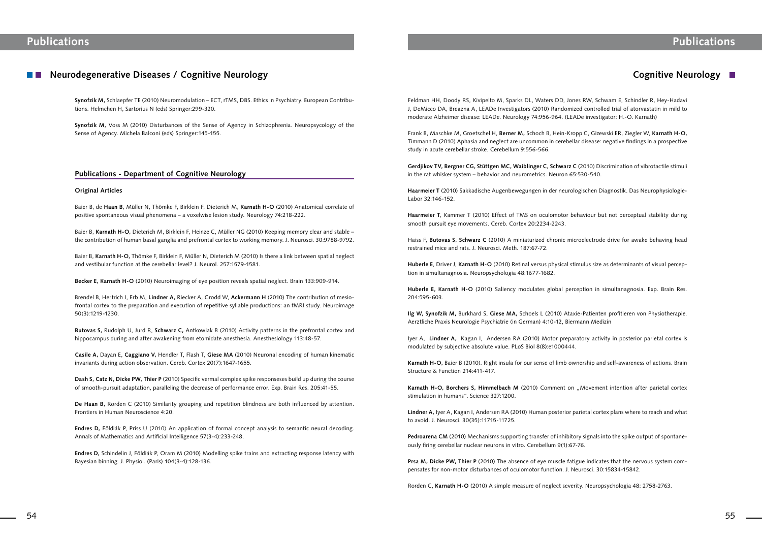## **Neurodegenerative Diseases / Cognitive Neurology**

**Synofzik M,** Schlaepfer TE (2010) Neuromodulation – ECT, rTMS, DBS. Ethics in Psychiatry. European Contributions. Helmchen H, Sartorius N (eds) Springer:299-320.

**Synofzik M,** Voss M (2010) Disturbances of the Sense of Agency in Schizophrenia. Neuropsycology of the Sense of Agency. Michela Balconi (eds) Springer:145-155.

### **Publications - Department of Cognitive Neurology**

#### **Original Articles**

Baier B, de **Haan B**, Müller N, Thömke F, Birklein F, Dieterich M, **Karnath H-O** (2010) Anatomical correlate of positive spontaneous visual phenomena – a voxelwise lesion study. Neurology 74:218-222.

Baier B, **Karnath H-O,** Dieterich M, Birklein F, Heinze C, Müller NG (2010) Keeping memory clear and stable – the contribution of human basal ganglia and prefrontal cortex to working memory. J. Neurosci. 30:9788-9792.

Baier B, **Karnath H-O,** Thömke F, Birklein F, Müller N, Dieterich M (2010) Is there a link between spatial neglect and vestibular function at the cerebellar level? J. Neurol. 257:1579-1581.

**Becker E, Karnath H-O** (2010) Neuroimaging of eye position reveals spatial neglect. Brain 133:909-914.

Brendel B, Hertrich I, Erb M, **Lindner A,** Riecker A, Grodd W, **Ackermann H** (2010) The contribution of mesiofrontal cortex to the preparation and execution of repetitive syllable productions: an fMRI study. Neuroimage 50(3):1219-1230.

**Butovas S,** Rudolph U, Jurd R, **Schwarz C,** Antkowiak B (2010) Activity patterns in the prefrontal cortex and hippocampus during and after awakening from etomidate anesthesia. Anesthesiology 113:48-57.

**Casile A,** Dayan E, **Caggiano V,** Hendler T, Flash T, **Giese MA** (2010) Neuronal encoding of human kinematic invariants during action observation. Cereb. Cortex 20(7):1647-1655.

**Dash S, Catz N, Dicke PW, Thier P** (2010) Specific vermal complex spike responseses build up during the course of smooth-pursuit adaptation, paralleling the decrease of performance error. Exp. Brain Res. 205:41-55.

**De Haan B,** Rorden C (2010) Similarity grouping and repetition blindness are both influenced by attention. Frontiers in Human Neuroscience 4:20.

**Endres D,** Földiák P, Priss U (2010) An application of formal concept analysis to semantic neural decoding. Annals of Mathematics and Artificial Intelligence 57(3-4):233-248.

Karnath H-O, Borchers S, Himmelbach M (2010) Comment on "Movement intention after parietal cortex stimulation in humans". Science 327:1200.

**Endres D,** Schindelin J, Földiák P, Oram M (2010) Modelling spike trains and extracting response latency with Bayesian binning. J. Physiol. (Paris) 104(3-4):128-136.

## **Cognitive Neurology**

Feldman HH, Doody RS, Kivipelto M, Sparks DL, Waters DD, Jones RW, Schwam E, Schindler R, Hey-Hadavi J, DeMicco DA, Breazna A, LEADe Investigators (2010) Randomized controlled trial of atorvastatin in mild to moderate Alzheimer disease: LEADe. Neurology 74:956-964. (LEADe investigator: H.-O. Karnath)

Frank B, Maschke M, Groetschel H, **Berner M,** Schoch B, Hein-Kropp C, Gizewski ER, Ziegler W, **Karnath H-O,**  Timmann D (2010) Aphasia and neglect are uncommon in cerebellar disease: negative findings in a prospective study in acute cerebellar stroke. Cerebellum 9:556-566.

**Gerdjikov TV, Bergner CG, Stüttgen MC, Waiblinger C, Schwarz C** (2010) Discrimination of vibrotactile stimuli in the rat whisker system – behavior and neurometrics. Neuron 65:530-540.

**Haarmeier T** (2010) Sakkadische Augenbewegungen in der neurologischen Diagnostik. Das Neurophysiologie-Labor 32:146-152.

**Haarmeier T**, Kammer T (2010) Effect of TMS on oculomotor behaviour but not perceptual stability during smooth pursuit eye movements. Cereb. Cortex 20:2234-2243.

Haiss F, **Butovas S, Schwarz C** (2010) A miniaturized chronic microelectrode drive for awake behaving head restrained mice and rats. J. Neurosci. Meth. 187:67-72.

**Huberle E**, Driver J, **Karnath H-O** (2010) Retinal versus physical stimulus size as determinants of visual perception in simultanagnosia. Neuropsychologia 48:1677-1682.

**Huberle E, Karnath H-O** (2010) Saliency modulates global perception in simultanagnosia. Exp. Brain Res. 204:595-603.

**Ilg W, Synofzik M,** Burkhard S, **Giese MA,** Schoels L (2010) Ataxie-Patienten profitieren von Physiotherapie. Aerztliche Praxis Neurologie Psychiatrie (in German) 4:10-12, Biermann Medizin

Iyer A, **Lindner A,** Kagan I, Andersen RA (2010) Motor preparatory activity in posterior parietal cortex is modulated by subjective absolute value. PLoS Biol 8(8):e1000444.

**Karnath H-O,** Baier B (2010). Right insula for our sense of limb ownership and self-awareness of actions. Brain Structure & Function 214:411-417.

**Lindner A,** Iyer A, Kagan I, Andersen RA (2010) Human posterior parietal cortex plans where to reach and what to avoid. J. Neurosci. 30(35):11715-11725.

**Pedroarena CM** (2010) Mechanisms supporting transfer of inhibitory signals into the spike output of spontaneously firing cerebellar nuclear neurons in vitro. Cerebellum 9(1):67-76.

**Prsa M, Dicke PW, Thier P** (2010) The absence of eye muscle fatigue indicates that the nervous system compensates for non-motor disturbances of oculomotor function. J. Neurosci. 30:15834-15842.

Rorden C, **Karnath H-O** (2010) A simple measure of neglect severity. Neuropsychologia 48: 2758-2763.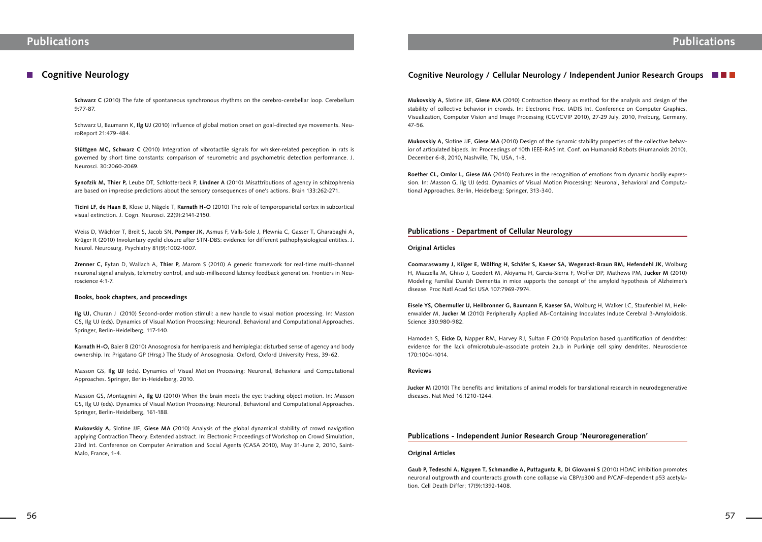### **Cognitive Neurology**

**Schwarz C** (2010) The fate of spontaneous synchronous rhythms on the cerebro-cerebellar loop. Cerebellum 9:77-87.

Schwarz U, Baumann K, **Ilg UJ** (2010) Influence of global motion onset on goal-directed eye movements. NeuroReport 21:479-484.

**Stüttgen MC, Schwarz C** (2010) Integration of vibrotactile signals for whisker-related perception in rats is governed by short time constants: comparison of neurometric and psychometric detection performance. J. Neurosci. 30:2060-2069.

**Synofzik M, Thier P,** Leube DT, Schlotterbeck P, **Lindner A** (2010) Misattributions of agency in schizophrenia are based on imprecise predictions about the sensory consequences of one's actions. Brain 133:262-271.

**Ticini LF, de Haan B,** Klose U, Nägele T, **Karnath H-O** (2010) The role of temporoparietal cortex in subcortical visual extinction. J. Cogn. Neurosci. 22(9):2141-2150.

Weiss D, Wächter T, Breit S, Jacob SN, **Pomper JK,** Asmus F, Valls-Sole J, Plewnia C, Gasser T**,** Gharabaghi A, Krüger R (2010) Involuntary eyelid closure after STN-DBS: evidence for different pathophysiological entities. J. Neurol. Neurosurg. Psychiatry 81(9):1002-1007.

**Zrenner C,** Eytan D, Wallach A, **Thier P,** Marom S (2010) A generic framework for real-time multi-channel neuronal signal analysis, telemetry control, and sub-millisecond latency feedback generation. Frontiers in Neuroscience 4:1-7.

### **Books, book chapters, and proceedings**

**Ilg UJ,** Churan J (2010) Second-order motion stimuli: a new handle to visual motion processing. In: Masson GS, Ilg UJ (eds). Dynamics of Visual Motion Processing: Neuronal, Behavioral and Computational Approaches. Springer, Berlin-Heidelberg, 117-140.

**Karnath H-O,** Baier B (2010) Anosognosia for hemiparesis and hemiplegia: disturbed sense of agency and body ownership. In: Prigatano GP (Hrsg.) The Study of Anosognosia. Oxford, Oxford University Press, 39-62.

Masson GS, **Ilg UJ** (eds). Dynamics of Visual Motion Processing: Neuronal, Behavioral and Computational Approaches. Springer, Berlin-Heidelberg, 2010.

Masson GS, Montagnini A, **Ilg UJ** (2010) When the brain meets the eye: tracking object motion. In: Masson GS, Ilg UJ (eds). Dynamics of Visual Motion Processing: Neuronal, Behavioral and Computational Approaches. Springer, Berlin-Heidelberg, 161-188.

**Mukovskiy A,** Slotine JJE, **Giese MA** (2010) Analysis of the global dynamical stability of crowd navigation applying Contraction Theory. Extended abstract. In: Electronic Proceedings of Workshop on Crowd Simulation, 23rd Int. Conference on Computer Animation and Social Agents (CASA 2010), May 31-June 2, 2010, Saint-Malo, France, 1-4.

### **Cognitive Neurology / Cellular Neurology / Independent Junior Research Groups**

**Mukovskiy A,** Slotine JJE, **Giese MA** (2010) Contraction theory as method for the analysis and design of the stability of collective behavior in crowds. In: Electronic Proc. IADIS Int. Conference on Computer Graphics, Visualization, Computer Vision and Image Processing (CGVCVIP 2010), 27-29 July, 2010, Freiburg, Germany, 47-56.

**Mukovskiy A,** Slotine JJE, **Giese MA** (2010) Design of the dynamic stability properties of the collective behavior of articulated bipeds. In: Proceedings of 10th IEEE-RAS Int. Conf. on Humanoid Robots (Humanoids 2010), December 6-8, 2010, Nashville, TN, USA, 1-8.

**Roether CL, Omlor L, Giese MA** (2010) Features in the recognition of emotions from dynamic bodily expression. In: Masson G, Ilg UJ (eds). Dynamics of Visual Motion Processing: Neuronal, Behavioral and Computational Approaches. Berlin, Heidelberg: Springer, 313-340.

### **Publications - Department of Cellular Neurology**

### **Original Articles**

**Coomaraswamy J, Kilger E, Wölfing H, Schäfer S, Kaeser SA, Wegenast-Braun BM, Hefendehl JK,** Wolburg H, Mazzella M, Ghiso J, Goedert M, Akiyama H, Garcia-Sierra F, Wolfer DP, Mathews PM, **Jucker M** (2010) Modeling Familial Danish Dementia in mice supports the concept of the amyloid hypothesis of Alzheimer´s disease. Proc Natl Acad Sci USA 107:7969-7974.

**Eisele YS, Obermuller U, Heilbronner G, Baumann F, Kaeser SA,** Wolburg H, Walker LC, Staufenbiel M, Heikenwalder M, Jucker M (2010) Peripherally Applied Aß-Containing Inoculates Induce Cerebral β-Amyloidosis. Science 330:980-982.

Hamodeh S, **Eicke D,** Napper RM, Harvey RJ, Sultan F (2010) Population based quantification of dendrites: evidence for the lack ofmicrotubule-associate protein 2a,b in Purkinje cell spiny dendrites. Neuroscience 170:1004-1014.

### **Reviews**

**Jucker M** (2010) The benefits and limitations of animal models for translational research in neurodegenerative diseases. Nat Med 16:1210-1244.

### **Publications - Independent Junior Research Group 'Neuroregeneration'**

### **Original Articles**

**Gaub P, Tedeschi A, Nguyen T, Schmandke A, Puttagunta R, Di Giovanni S** (2010) HDAC inhibition promotes neuronal outgrowth and counteracts growth cone collapse via CBP/p300 and P/CAF-dependent p53 acetylation. Cell Death Differ; 17(9):1392-1408.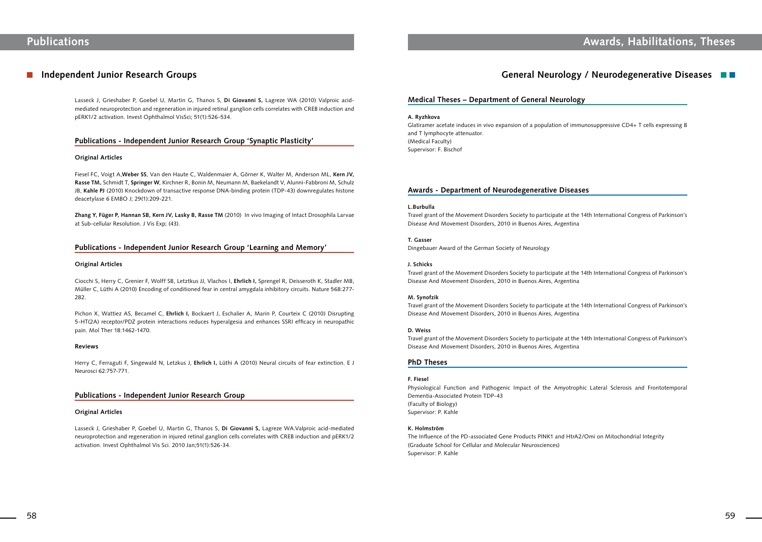# **Publications Awards, Habilitations, Theses**

### **Independent Junior Research Groups**

Lasseck J, Grieshaber P, Goebel U, Martin G, Thanos S, **Di Giovanni S,** Lagreze WA (2010) Valproic acidmediated neuroprotection and regeneration in injured retinal ganglion cells correlates with CREB induction and pERK1/2 activation. Invest Ophthalmol VisSci; 51(1):526-534.

### **Publications - Independent Junior Research Group 'Synaptic Plasticity'**

### **Original Articles**

Fiesel FC, Voigt A,**Weber SS**, Van den Haute C, Waldenmaier A, Görner K, Walter M, Anderson ML, **Kern JV, Rasse TM,** Schmidt T, **Springer W**, Kirchner R, Bonin M, Neumann M, Baekelandt V, Alunni-Fabbroni M, Schulz JB, **Kahle PJ** (2010) Knockdown of transactive response DNA-binding protein (TDP-43) downregulates histone deacetylase 6 EMBO J; 29(1):209-221.

**Zhang Y, Füger P, Hannan SB, Kern JV, Lasky B, Rasse TM** (2010) In vivo Imaging of Intact Drosophila Larvae at Sub-cellular Resolution. J Vis Exp; (43).

### **Publications - Independent Junior Research Group 'Learning and Memory'**

### **Original Articles**

Ciocchi S, Herry C, Grenier F, Wolff SB, Letztkus JJ, Vlachos I, **Ehrlich I,** Sprengel R, Deisseroth K, Stadler MB, Müller C, Lüthi A (2010) Encoding of conditioned fear in central amygdala inhibitory circuits. Nature 568:277- 282.

Pichon X, Wattiez AS, Becamel C, **Ehrlich I,** Bockaert J, Eschalier A, Marin P, Courteix C (2010) Disrupting 5-HT(2A) receptor/PDZ protein interactions reduces hyperalgesia and enhances SSRI efficacy in neuropathic pain. Mol Ther 18:1462-1470.

#### **Reviews**

Herry C, Ferraguti F, Singewald N, Letzkus J, **Ehrlich I,** Lüthi A (2010) Neural circuits of fear extinction. E J Neurosci 62:757-771.

### **Publications - Independent Junior Research Group**

### **Original Articles**

Lasseck J, Grieshaber P, Goebel U, Martin G, Thanos S, **Di Giovanni S,** Lagreze WA.Valproic acid-mediated neuroprotection and regeneration in injured retinal ganglion cells correlates with CREB induction and pERK1/2 activation. Invest Ophthalmol Vis Sci. 2010 Jan;51(1):526-34.

### **General Neurology / Neurodegenerative Diseases**

### **Medical Theses – Department of General Neurology**

#### **A. Ryzhkova**

Glatiramer acetate induces in vivo expansion of a population of immunosuppressive CD4+ T cells expressing B and T lymphocyte attenuator. (Medical Faculty) Supervisor: F. Bischof

### **Awards - Department of Neurodegenerative Diseases**

### **L.Burbulla**

Travel grant of the Movement Disorders Society to participate at the 14th International Congress of Parkinson's Disease And Movement Disorders, 2010 in Buenos Aires, Argentina

**T. Gasser**

Dingebauer Award of the German Society of Neurology

### **J. Schicks**

Travel grant of the Movement Disorders Society to participate at the 14th International Congress of Parkinson's Disease And Movement Disorders, 2010 in Buenos Aires, Argentina

#### **M. Synofzik**

Travel grant of the Movement Disorders Society to participate at the 14th International Congress of Parkinson's Disease And Movement Disorders, 2010 in Buenos Aires, Argentina

#### **D. Weiss**

Travel grant of the Movement Disorders Society to participate at the 14th International Congress of Parkinson's Disease And Movement Disorders, 2010 in Buenos Aires, Argentina

### **PhD Theses**

### **F. Fiesel**

Physiological Function and Pathogenic Impact of the Amyotrophic Lateral Sclerosis and Frontotemporal Dementia-Associated Protein TDP-43 (Faculty of Biology) Supervisor: P. Kahle

### **K. Holmström**

The Influence of the PD-associated Gene Products PINK1 and HtrA2/Omi on Mitochondrial Integrity (Graduate School for Cellular and Molecular Neurosciences) Supervisor: P. Kahle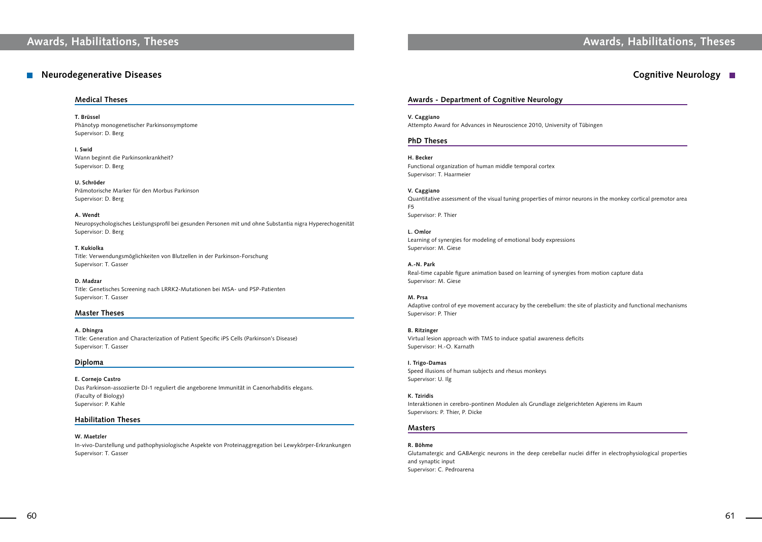# **Awards, Habilitations, Theses Awards, Habilitations, Theses**

### **Medical Theses**

**T. Brüssel** Phänotyp monogenetischer Parkinsonsymptome Supervisor: D. Berg

**I. Swid** Wann beginnt die Parkinsonkrankheit? Supervisor: D. Berg

**U. Schröder** Prämotorische Marker für den Morbus Parkinson Supervisor: D. Berg

**A. Wendt** Neuropsychologisches Leistungsprofil bei gesunden Personen mit und ohne Substantia nigra Hyperechogenität Supervisor: D. Berg

**T. Kukiolka** Title: Verwendungsmöglichkeiten von Blutzellen in der Parkinson-Forschung Supervisor: T. Gasser

**D. Madzar** Title: Genetisches Screening nach LRRK2-Mutationen bei MSA- und PSP-Patienten Supervisor: T. Gasser

### **Master Theses**

**A. Dhingra** Title: Generation and Characterization of Patient Specific iPS Cells (Parkinson's Disease) Supervisor: T. Gasser

### **Diploma**

**E. Cornejo Castro** Das Parkinson-assoziierte DJ-1 reguliert die angeborene Immunität in Caenorhabditis elegans. (Faculty of Biology) Supervisor: P. Kahle

### **Habilitation Theses**

### **W. Maetzler**

In-vivo-Darstellung und pathophysiologische Aspekte von Proteinaggregation bei Lewykörper-Erkrankungen Supervisor: T. Gasser

## **Cognitive Neurology**

### **Awards - Department of Cognitive Neurology**

**V. Caggiano** Attempto Award for Advances in Neuroscience 2010, University of Tübingen

### **PhD Theses**

**H. Becker** Functional organization of human middle temporal cortex Supervisor: T. Haarmeier

**V. Caggiano** Quantitative assessment of the visual tuning properties of mirror neurons in the monkey cortical premotor area F5 Supervisor: P. Thier

**L. Omlor** Learning of synergies for modeling of emotional body expressions Supervisor: M. Giese

**A.-N. Park** Real-time capable figure animation based on learning of synergies from motion capture data Supervisor: M. Giese

**M. Prsa** Adaptive control of eye movement accuracy by the cerebellum: the site of plasticity and functional mechanisms Supervisor: P. Thier

**B. Ritzinger** Virtual lesion approach with TMS to induce spatial awareness deficits Supervisor: H.-O. Karnath

**I. Trigo-Damas** Speed illusions of human subjects and rhesus monkeys Supervisor: U. Ilg

**K. Tziridis** Interaktionen in cerebro-pontinen Modulen als Grundlage zielgerichteten Agierens im Raum Supervisors: P. Thier, P. Dicke

### **Masters**

**R. Böhme** Glutamatergic and GABAergic neurons in the deep cerebellar nuclei differ in electrophysiological properties and synaptic input Supervisor: C. Pedroarena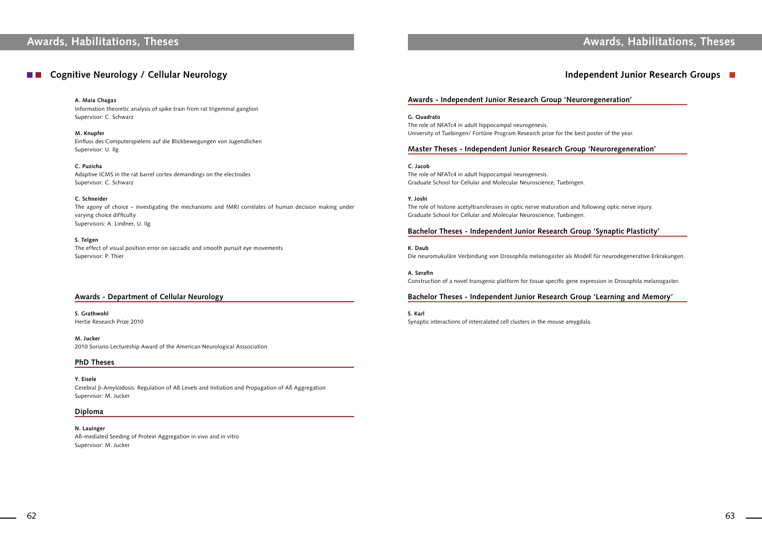# **Awards, Habilitations, Theses Awards, Habilitations, Theses**

## **Cognitive Neurology / Cellular Neurology**

**A. Maia Chagas** Information theoretic analysis of spike train from rat trigeminal ganglion

Supervisor: C. Schwarz

**M. Knupfer** Einfluss des Computerspielens auf die Blickbewegungen von Jugendlichen Supervisor: U. Ilg

**C. Puzicha** Adaptive ICMS in the rat barrel cortex demandings on the electrodes Supervisor: C. Schwarz

**C. Schneider** The agony of choice – investigating the mechanisms and fMRI correlates of human decision making under varying choice difficulty Supervisors: A. Lindner, U. Ilg

**S. Telgen** The effect of visual position error on saccadic and smooth pursuit eye movements Supervisor: P. Thier

### **Awards - Department of Cellular Neurology**

**S. Grathwohl** Hertie Research Prize 2010

**M. Jucker** 2010 Soriano Lectureship Award of the American Neurological Asssociation

### **PhD Theses**

**Y. Eisele** Cerebral β-Amyloidosis: Regulation of Aß Levels and Initiation and Propagation of Aß Aggregation Supervisor: M. Jucker

### **Diploma**

**N. Lauinger** Aß-mediated Seeding of Protein Aggregation in vivo and in vitro Supervisor: M. Jucker

## **Independent Junior Research Groups**

### **Awards - Independent Junior Research Group 'Neuroregeneration'**

**G. Quadrato** The role of NFATc4 in adult hippocampal neurogenesis. University of Tuebingen/ Fortüne Program Research prize for the best poster of the year.

### **Master Theses - Independent Junior Research Group 'Neuroregeneration'**

**C. Jacob** The role of NFATc4 in adult hippocampal neurogenesis. Graduate School for Cellular and Molecular Neuroscience, Tuebingen.

**Y. Joshi** The role of histone acetyltransferases in optic nerve maturation and following optic nerve injury. Graduate School for Cellular and Molecular Neuroscience, Tuebingen.

### **Bachelor Theses - Independent Junior Research Group 'Synaptic Plasticity'**

**K. Daub** Die neuromukuläre Verbindung von Drosophila melanogaster als Modell für neurodegenerative Erkrakungen.

**A. Serafin** Construction of a novel transgenic platform for tissue specific gene expression in Drosophila melanogaster.

### **Bachelor Theses - Independent Junior Research Group 'Learning and Memory'**

**S. Karl** Synaptic interactions of intercalated cell clusters in the mouse amygdala.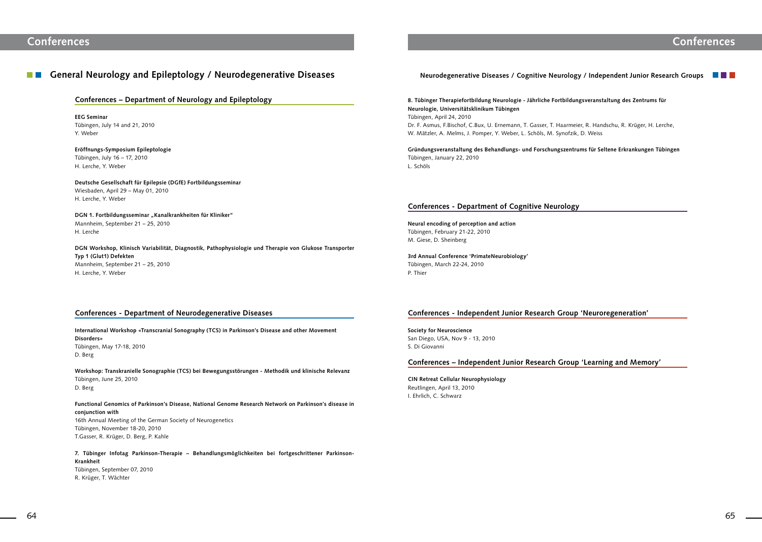#### **General Neurology and Epileptology / Neurodegenerative Diseases TELEVISION**

### **Conferences – Department of Neurology and Epileptology**

**EEG Seminar** Tübingen, July 14 and 21, 2010 Y. Weber

**Eröffnungs-Symposium Epileptologie** Tübingen, July 16 – 17, 2010 H. Lerche, Y. Weber

DGN 1. Fortbildungsseminar "Kanalkrankheiten für Kliniker" Mannheim, September 21 – 25, 2010 H. Lerche

**Deutsche Gesellschaft für Epilepsie (DGfE) Fortbildungsseminar**  Wiesbaden, April 29 – May 01, 2010 H. Lerche, Y. Weber

**DGN Workshop, Klinisch Variabilität, Diagnostik, Pathophysiologie und Therapie von Glukose Transporter Typ 1 (Glut1) Defekten** Mannheim, September 21 – 25, 2010 H. Lerche, Y. Weber

### **Conferences - Department of Neurodegenerative Diseases**

**International Workshop «Transcranial Sonography (TCS) in Parkinson's Disease and other Movement Disorders»** Tübingen, May 17-18, 2010 D. Berg

**Workshop: Transkranielle Sonographie (TCS) bei Bewegungsstörungen - Methodik und klinische Relevanz** Tübingen, June 25, 2010 D. Berg

**Functional Genomics of Parkinson's Disease, National Genome Research Network on Parkinson's disease in conjunction with** 16th Annual Meeting of the German Society of Neurogenetics Tübingen, November 18-20, 2010 T.Gasser, R. Krüger, D. Berg, P. Kahle

**7. Tübinger Infotag Parkinson-Therapie – Behandlungsmöglichkeiten bei fortgeschrittener Parkinson-Krankheit**  Tübingen, September 07, 2010 R. Krüger, T. Wächter

### **Neurodegenerative Diseases / Cognitive Neurology / Independent Junior Research Groups**

## **Conferences**

**8. Tübinger Therapiefortbildung Neurologie - Jährliche Fortbildungsveranstaltung des Zentrums für Neurologie, Universitätsklinikum Tübingen** Tübingen, April 24, 2010 Dr. F. Asmus, F.Bischof, C.Bux, U. Ernemann, T. Gasser, T. Haarmeier, R. Handschu, R. Krüger, H. Lerche, W. Mätzler, A. Melms, J. Pomper, Y. Weber, L. Schöls, M. Synofzik, D. Weiss

**Gründungsveranstaltung des Behandlungs- und Forschungszentrums für Seltene Erkrankungen Tübingen**  Tübingen, January 22, 2010 L. Schöls

### **Conferences - Department of Cognitive Neurology**

**Neural encoding of perception and action** Tübingen, February 21-22, 2010 M. Giese, D. Sheinberg

**3rd Annual Conference 'PrimateNeurobiology'** Tübingen, March 22-24, 2010 P. Thier

### **Conferences - Independent Junior Research Group 'Neuroregeneration'**

**Society for Neuroscience** San Diego, USA, Nov 9 - 13, 2010 S. Di Giovanni

### **Conferences – Independent Junior Research Group 'Learning and Memory'**

**CIN Retreat Cellular Neurophysiology** Reutlingen, April 13, 2010 I. Ehrlich, C. Schwarz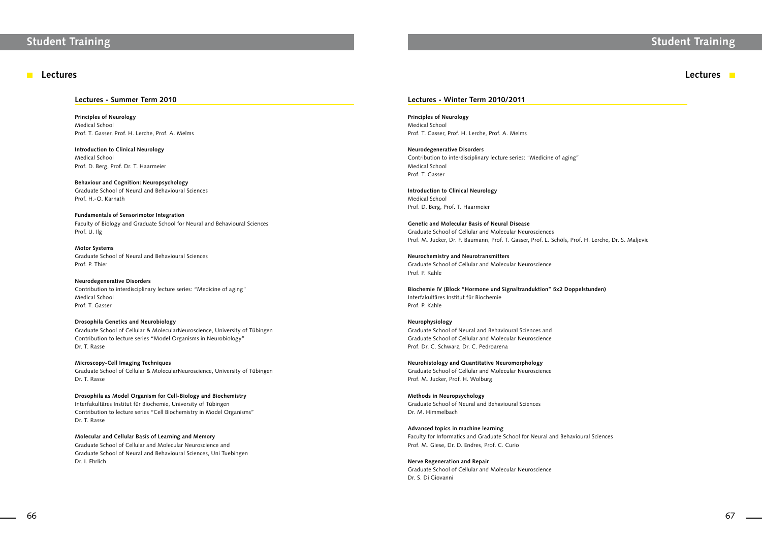# **Student Training Student Training**

### **Lectures**

### **Lectures - Summer Term 2010**

**Principles of Neurology** Medical School Prof. T. Gasser, Prof. H. Lerche, Prof. A. Melms

**Introduction to Clinical Neurology** Medical School Prof. D. Berg, Prof. Dr. T. Haarmeier

**Behaviour and Cognition: Neuropsychology** Graduate School of Neural and Behavioural Sciences Prof. H.-O. Karnath

**Fundamentals of Sensorimotor Integration** Faculty of Biology and Graduate School for Neural and Behavioural Sciences Prof. U. Ilg

**Motor Systems** Graduate School of Neural and Behavioural Sciences Prof. P. Thier

**Neurodegenerative Disorders** Contribution to interdisciplinary lecture series: "Medicine of aging" Medical School Prof. T. Gasser

### **Drosophila Genetics and Neurobiology**

Graduate School of Cellular & MolecularNeuroscience, University of Tübingen Contribution to lecture series "Model Organisms in Neurobiology" Dr. T. Rasse

**Microscopy-Cell Imaging Techniques** Graduate School of Cellular & MolecularNeuroscience, University of Tübingen Dr. T. Rasse

**Drosophila as Model Organism for Cell-Biology and Biochemistry** Interfakultäres Institut für Biochemie, University of Tübingen Contribution to lecture series "Cell Biochemistry in Model Organisms" Dr. T. Rasse

**Molecular and Cellular Basis of Learning and Memory**

Graduate School of Cellular and Molecular Neuroscience and Graduate School of Neural and Behavioural Sciences, Uni Tuebingen Dr. I. Ehrlich



### **Lectures - Winter Term 2010/2011**

**Principles of Neurology** Medical School Prof. T. Gasser, Prof. H. Lerche, Prof. A. Melms

**Neurodegenerative Disorders** Contribution to interdisciplinary lecture series: "Medicine of aging" Medical School Prof. T. Gasser

**Introduction to Clinical Neurology** Medical School Prof. D. Berg, Prof. T. Haarmeier

**Genetic and Molecular Basis of Neural Disease** Graduate School of Cellular and Molecular Neurosciences Prof. M. Jucker, Dr. F. Baumann, Prof. T. Gasser, Prof. L. Schöls, Prof. H. Lerche, Dr. S. Maljevic

**Neurochemistry and Neurotransmitters** Graduate School of Cellular and Molecular Neuroscience Prof. P. Kahle

**Biochemie IV (Block "Hormone und Signaltranduktion" 5x2 Doppelstunden)** Interfakultäres Institut für Biochemie Prof. P. Kahle

### **Neurophysiology**

Graduate School of Neural and Behavioural Sciences and Graduate School of Cellular and Molecular Neuroscience Prof. Dr. C. Schwarz, Dr. C. Pedroarena

**Neurohistology and Quantitative Neuromorphology** Graduate School of Cellular and Molecular Neuroscience Prof. M. Jucker, Prof. H. Wolburg

**Methods in Neuropsychology** Graduate School of Neural and Behavioural Sciences Dr. M. Himmelbach

**Advanced topics in machine learning** Faculty for Informatics and Graduate School for Neural and Behavioural Sciences Prof. M. Giese, Dr. D. Endres, Prof. C. Curio

**Nerve Regeneration and Repair** Graduate School of Cellular and Molecular Neuroscience Dr. S. Di Giovanni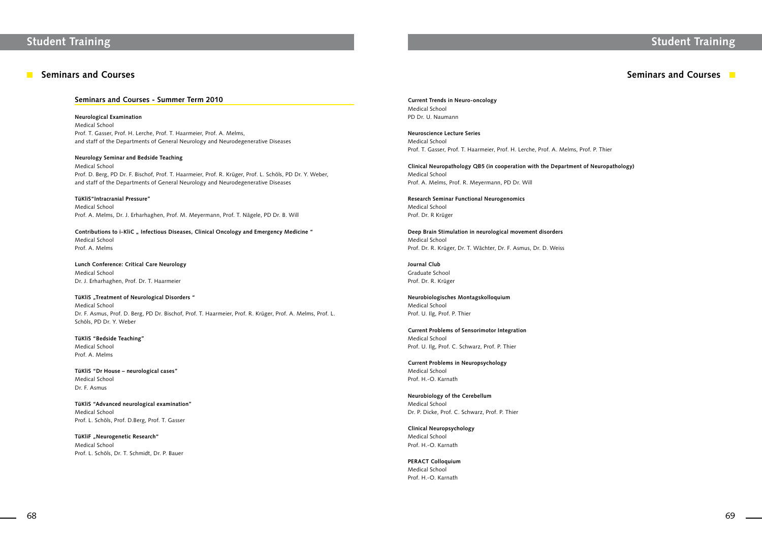### **Seminars and Courses**

# **Student Training Student Training**

### **Seminars and Courses - Summer Term 2010**

### **Neurological Examination**

Medical School Prof. T. Gasser, Prof. H. Lerche, Prof. T. Haarmeier, Prof. A. Melms, and staff of the Departments of General Neurology and Neurodegenerative Diseases

### **Neurology Seminar and Bedside Teaching**

Medical School Prof. D. Berg, PD Dr. F. Bischof, Prof. T. Haarmeier, Prof. R. Krüger, Prof. L. Schöls, PD Dr. Y. Weber, and staff of the Departments of General Neurology and Neurodegenerative Diseases

### **TüKliS"Intracranial Pressure"**

Medical School Prof. A. Melms, Dr. J. Erharhaghen, Prof. M. Meyermann, Prof. T. Nägele, PD Dr. B. Will

**TüKliF** "Neurogenetic Research" Medical School Prof. L. Schöls, Dr. T. Schmidt, Dr. P. Bauer

### **Contributions to i-KliC " Infectious Diseases, Clinical Oncology and Emergency Medicine "**

Medical School Prof. A. Melms

**Lunch Conference: Critical Care Neurology** Medical School Dr. J. Erharhaghen, Prof. Dr. T. Haarmeier

### **TüKliS** "Treatment of Neurological Disorders"

Medical School Dr. F. Asmus, Prof. D. Berg, PD Dr. Bischof, Prof. T. Haarmeier, Prof. R. Krüger, Prof. A. Melms, Prof. L. Schöls, PD Dr. Y. Weber

### **TüKliS "Bedside Teaching"**

Medical School Prof. A. Melms

**TüKliS "Dr House – neurological cases"** Medical School Dr. F. Asmus

**TüKliS "Advanced neurological examination"** Medical School Prof. L. Schöls, Prof. D.Berg, Prof. T. Gasser

## **Seminars and Courses**

**Current Trends in Neuro-oncology** Medical School PD Dr. U. Naumann

**Neuroscience Lecture Series** Medical School Prof. T. Gasser, Prof. T. Haarmeier, Prof. H. Lerche, Prof. A. Melms, Prof. P. Thier

**Clinical Neuropathology QB5 (in cooperation with the Department of Neuropathology)** Medical School Prof. A. Melms, Prof. R. Meyermann, PD Dr. Will

**Research Seminar Functional Neurogenomics** Medical School Prof. Dr. R Krüger

**Deep Brain Stimulation in neurological movement disorders** Medical School Prof. Dr. R. Krüger, Dr. T. Wächter, Dr. F. Asmus, Dr. D. Weiss

**Journal Club** Graduate School Prof. Dr. R. Krüger

**Neurobiologisches Montagskolloquium** Medical School Prof. U. Ilg, Prof. P. Thier

**Current Problems of Sensorimotor Integration** Medical School Prof. U. Ilg, Prof. C. Schwarz, Prof. P. Thier

**Current Problems in Neuropsychology** Medical School Prof. H.-O. Karnath

**Neurobiology of the Cerebellum** Medical School Dr. P. Dicke, Prof. C. Schwarz, Prof. P. Thier

**Clinical Neuropsychology** Medical School Prof. H.-O. Karnath

**PERACT Colloquium** Medical School Prof. H.-O. Karnath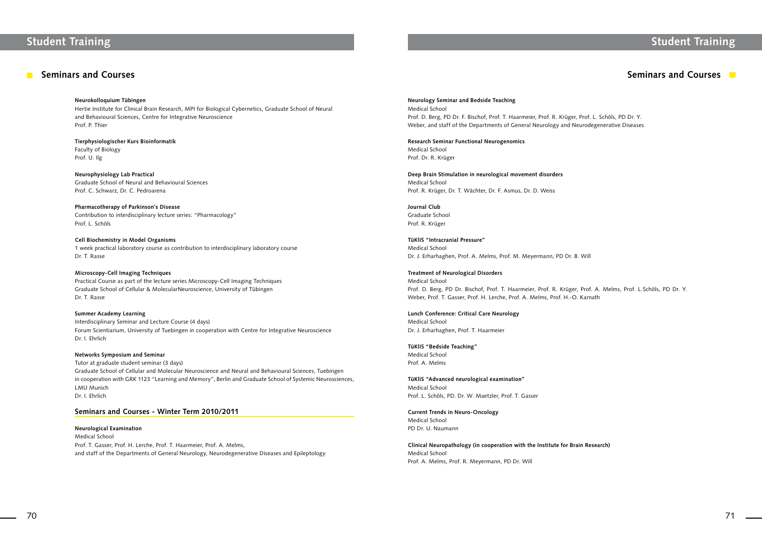# **Student Training Student Training**

### **Seminars and Courses**

**Neurokolloquium Tübingen**

Hertie Institute for Clinical Brain Research, MPI for Biological Cybernetics, Graduate School of Neural and Behavioural Sciences, Centre for Integrative Neuroscience Prof. P. Thier

**Tierphysiologischer Kurs Bioinformatik** Faculty of Biology Prof. U. Ilg

**Neurophysiology Lab Practical** Graduate School of Neural and Behavioural Sciences Prof. C. Schwarz, Dr. C. Pedroarena

**Pharmacotherapy of Parkinson's Disease** Contribution to interdisciplinary lecture series: "Pharmacology" Prof. L. Schöls

**Cell Biochemistry in Model Organisms** 1 week practical laboratory course as contribution to interdisciplinary laboratory course Dr. T. Rasse

**Microscopy-Cell Imaging Techniques** Practical Course as part of the lecture series Microscopy-Cell Imaging Techniques Graduate School of Cellular & MolecularNeuroscience, University of Tübingen Dr. T. Rasse

### **Summer Academy Learning**

Interdisciplinary Seminar and Lecture Course (4 days) Forum Scientiarium, University of Tuebingen in cooperation with Centre for Integrative Neuroscience Dr. I. Ehrlich

### **Networks Symposium and Seminar**

Tutor at graduate student seminar (3 days) Graduate School of Cellular and Molecular Neuroscience and Neural and Behavioural Sciences, Tuebingen in cooperation with GRK 1123 "Learning and Memory", Berlin and Graduate School of Systemic Neurosciences, LMU Munich Dr. I. Ehrlich

### **Seminars and Courses - Winter Term 2010/2011**

**Neurological Examination** Medical School Prof. T. Gasser, Prof. H. Lerche, Prof. T. Haarmeier, Prof. A. Melms, and staff of the Departments of General Neurology, Neurodegenerative Diseases and Epileptology

## **Seminars and Courses**

## **Neurology Seminar and Bedside Teaching** Medical School

Prof. D. Berg, PD Dr. F. Bischof, Prof. T. Haarmeier, Prof. R. Krüger, Prof. L. Schöls, PD Dr. Y. Weber, and staff of the Departments of General Neurology and Neurodegenerative Diseases

**Research Seminar Functional Neurogenomics** Medical School Prof. Dr. R. Krüger

**Deep Brain Stimulation in neurological movement disorders** Medical School Prof. R. Krüger, Dr. T. Wächter, Dr. F. Asmus, Dr. D. Weiss

**Journal Club** Graduate School Prof. R. Krüger

**TüKliS "Intracranial Pressure"** Medical School Dr. J. Erharhaghen, Prof. A. Melms, Prof. M. Meyermann, PD Dr. B. Will

**Treatment of Neurological Disorders** Medical School Prof. D. Berg, PD Dr. Bischof, Prof. T. Haarmeier, Prof. R. Krüger, Prof. A. Melms, Prof. L.Schöls, PD Dr. Y. Weber, Prof. T. Gasser, Prof. H. Lerche, Prof. A. Melms, Prof. H.-O. Karnath

**Lunch Conference: Critical Care Neurology** Medical School Dr. J. Erharhaghen, Prof. T. Haarmeier

**TüKliS "Bedside Teaching"**

Medical School Prof. A. Melms

**TüKliS "Advanced neurological examination"** Medical School Prof. L. Schöls, PD. Dr. W. Maetzler, Prof. T. Gasser

**Current Trends in Neuro-Oncology** Medical School PD Dr. U. Naumann

**Clinical Neuropathology (in cooperation with the Institute for Brain Research)** Medical School Prof. A. Melms, Prof. R. Meyermann, PD Dr. Will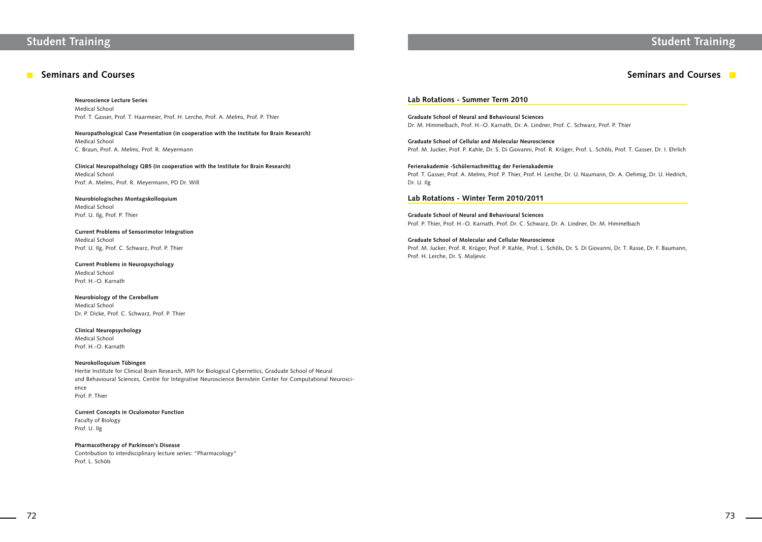### **Seminars and Courses**

# **Student Training Student Training**

**Neuroscience Lecture Series** Medical School Prof. T. Gasser, Prof. T. Haarmeier, Prof. H. Lerche, Prof. A. Melms, Prof. P. Thier

**Neuropathological Case Presentation (in cooperation with the Institute for Brain Research)** Medical School C. Braun, Prof. A. Melms, Prof. R. Meyermann

**Clinical Neuropathology QB5 (in cooperation with the Institute for Brain Research)** Medical School Prof. A. Melms, Prof. R. Meyermann, PD Dr. Will

**Neurobiologisches Montagskolloquium** Medical School Prof. U. Ilg, Prof. P. Thier

### **Current Problems of Sensorimotor Integration** Medical School

Prof. U. Ilg, Prof. C. Schwarz, Prof. P. Thier

**Current Problems in Neuropsychology** Medical School Prof. H.-O. Karnath

**Neurobiology of the Cerebellum** Medical School Dr. P. Dicke, Prof. C. Schwarz, Prof. P. Thier

**Clinical Neuropsychology** Medical School Prof. H.-O. Karnath

### **Neurokolloquium Tübingen**

Hertie Institute for Clinical Brain Research, MPI for Biological Cybernetics, Graduate School of Neural and Behavioural Sciences, Centre for Integrative Neuroscience Bernstein Center for Computational Neuroscience Prof. P. Thier

### **Current Concepts in Oculomotor Function** Faculty of Biology

Prof. U. Ilg

### **Pharmacotherapy of Parkinson's Disease**

Contribution to interdisciplinary lecture series: "Pharmacology" Prof. L. Schöls

## **Seminars and Courses**

### **Lab Rotations - Summer Term 2010**

**Graduate School of Neural and Behavioural Sciences** Dr. M. Himmelbach, Prof. H.-O. Karnath, Dr. A. Lindner, Prof. C. Schwarz, Prof. P. Thier

**Graduate School of Cellular and Molecular Neuroscience** Prof. M. Jucker, Prof. P. Kahle, Dr. S. Di Giovanni, Prof. R. Krüger, Prof. L. Schöls, Prof. T. Gasser, Dr. I. Ehrlich

**Ferienakademie -Schülernachmittag der Ferienakademie** Prof. T. Gasser, Prof. A. Melms, Prof. P. Thier, Prof. H. Lerche, Dr. U. Naumann, Dr. A. Oehmig, Dr. U. Hedrich, Dr. U. Ilg

### **Lab Rotations - Winter Term 2010/2011**

**Graduate School of Neural and Behavioural Sciences** Prof. P. Thier, Prof. H.-O. Karnath, Prof. Dr. C. Schwarz, Dr. A. Lindner, Dr. M. Himmelbach

### **Graduate School of Molecular and Cellular Neuroscience**

Prof. M. Jucker, Prof. R. Krüger, Prof. P. Kahle, Prof. L. Schöls, Dr. S. Di Giovanni, Dr. T. Rasse, Dr. F. Baumann, Prof. H. Lerche, Dr. S. Maljevic